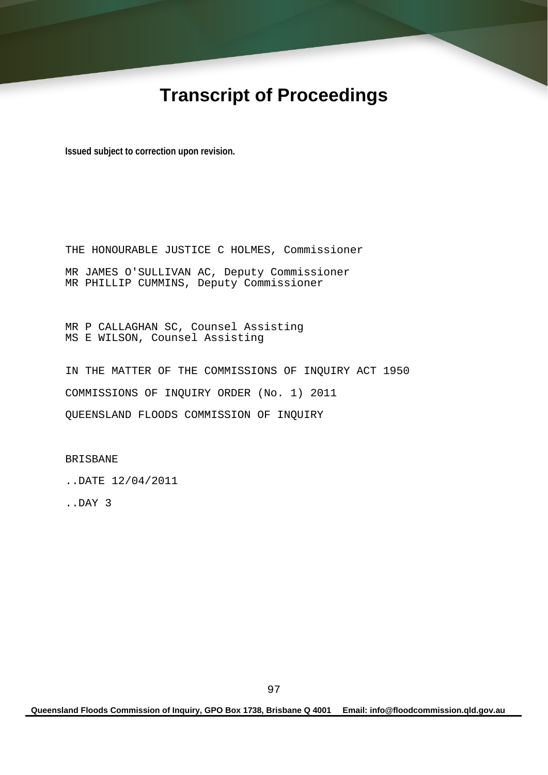# **Transcript of Proceedings**

**Issued subject to correction upon revision.** 

THE HONOURABLE JUSTICE C HOLMES, Commissioner MR JAMES O'SULLIVAN AC, Deputy Commissioner MR PHILLIP CUMMINS, Deputy Commissioner

MR P CALLAGHAN SC, Counsel Assisting MS E WILSON, Counsel Assisting

IN THE MATTER OF THE COMMISSIONS OF INQUIRY ACT 1950 COMMISSIONS OF INQUIRY ORDER (No. 1) 2011 QUEENSLAND FLOODS COMMISSION OF INQUIRY

BRISBANE

..DATE 12/04/2011

..DAY 3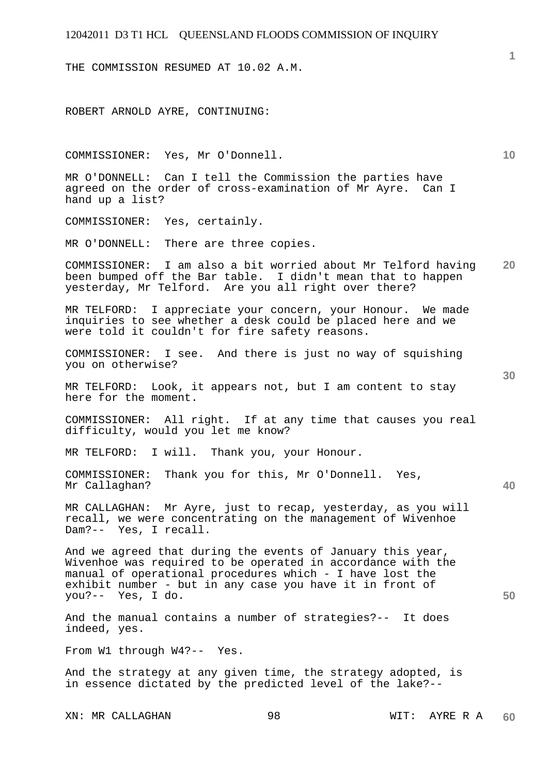THE COMMISSION RESUMED AT 10.02 A.M.

ROBERT ARNOLD AYRE, CONTINUING:

COMMISSIONER: Yes, Mr O'Donnell.

MR O'DONNELL: Can I tell the Commission the parties have agreed on the order of cross-examination of Mr Ayre. Can I hand up a list?

COMMISSIONER: Yes, certainly.

MR O'DONNELL: There are three copies.

**20**  COMMISSIONER: I am also a bit worried about Mr Telford having been bumped off the Bar table. I didn't mean that to happen yesterday, Mr Telford. Are you all right over there?

MR TELFORD: I appreciate your concern, your Honour. We made inquiries to see whether a desk could be placed here and we were told it couldn't for fire safety reasons.

COMMISSIONER: I see. And there is just no way of squishing you on otherwise?

MR TELFORD: Look, it appears not, but I am content to stay here for the moment.

COMMISSIONER: All right. If at any time that causes you real difficulty, would you let me know?

MR TELFORD: I will. Thank you, your Honour.

COMMISSIONER: Thank you for this, Mr O'Donnell. Yes, Mr Callaghan?

MR CALLAGHAN: Mr Ayre, just to recap, yesterday, as you will recall, we were concentrating on the management of Wivenhoe Dam?-- Yes, I recall.

And we agreed that during the events of January this year, Wivenhoe was required to be operated in accordance with the manual of operational procedures which - I have lost the exhibit number - but in any case you have it in front of you?-- Yes, I do.

And the manual contains a number of strategies?-- It does indeed, yes.

From W1 through W4?-- Yes.

And the strategy at any given time, the strategy adopted, is in essence dictated by the predicted level of the lake?--

**1**

**10** 

**30** 

**40**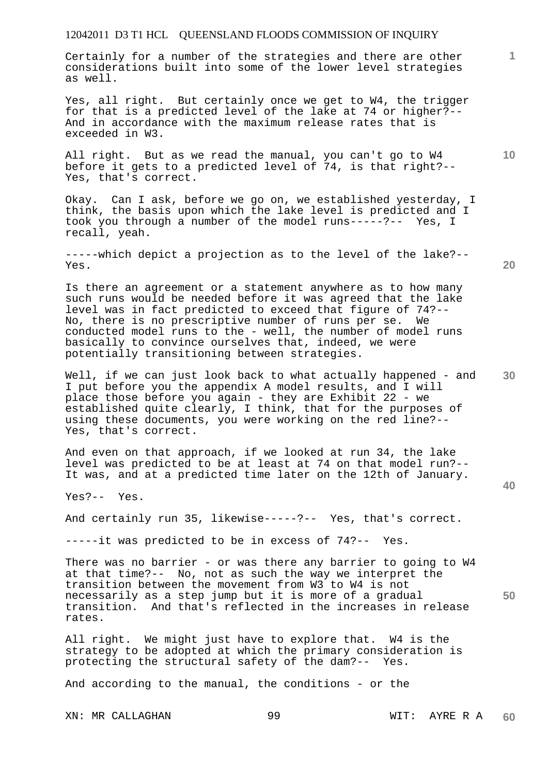Certainly for a number of the strategies and there are other considerations built into some of the lower level strategies as well.

Yes, all right. But certainly once we get to W4, the trigger for that is a predicted level of the lake at 74 or higher?-- And in accordance with the maximum release rates that is exceeded in W3.

All right. But as we read the manual, you can't go to W4 before it gets to a predicted level of 74, is that right?-- Yes, that's correct.

Okay. Can I ask, before we go on, we established yesterday, I think, the basis upon which the lake level is predicted and I took you through a number of the model runs-----?-- Yes, I recall, yeah.

-----which depict a projection as to the level of the lake?-- Yes.

**20** 

**40** 

**10** 

**1**

Is there an agreement or a statement anywhere as to how many such runs would be needed before it was agreed that the lake level was in fact predicted to exceed that figure of 74?-- No, there is no prescriptive number of runs per se. We conducted model runs to the - well, the number of model runs basically to convince ourselves that, indeed, we were potentially transitioning between strategies.

**30**  Well, if we can just look back to what actually happened - and I put before you the appendix A model results, and I will place those before you again - they are Exhibit 22 - we established quite clearly, I think, that for the purposes of using these documents, you were working on the red line?-- Yes, that's correct.

And even on that approach, if we looked at run 34, the lake level was predicted to be at least at 74 on that model run?-- It was, and at a predicted time later on the 12th of January.

Yes?-- Yes.

And certainly run 35, likewise-----?-- Yes, that's correct.

-----it was predicted to be in excess of 74?-- Yes.

**50**  There was no barrier - or was there any barrier to going to W4 at that time?-- No, not as such the way we interpret the transition between the movement from W3 to W4 is not necessarily as a step jump but it is more of a gradual transition. And that's reflected in the increases in release rates.

All right. We might just have to explore that. W4 is the strategy to be adopted at which the primary consideration is protecting the structural safety of the dam?-- Yes.

And according to the manual, the conditions - or the

XN: MR CALLAGHAN 99 WIT: AYRE R A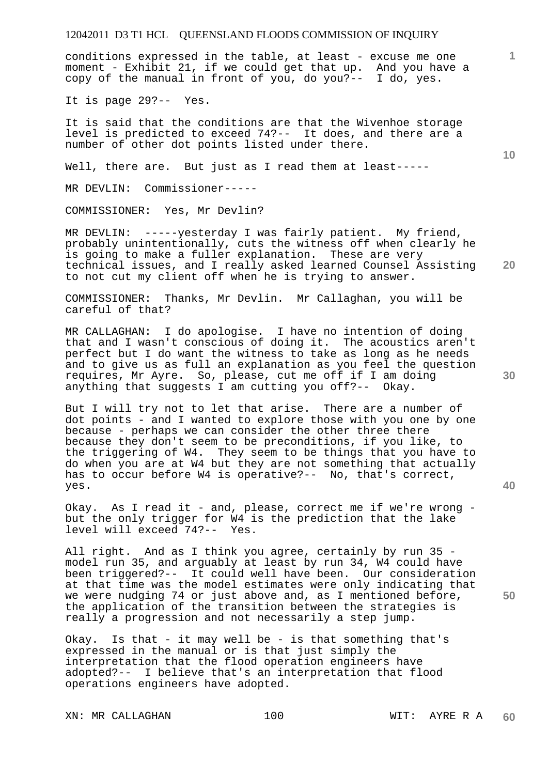conditions expressed in the table, at least - excuse me one moment - Exhibit 21, if we could get that up. And you have a copy of the manual in front of you, do you?-- I do, yes.

It is page 29?-- Yes.

It is said that the conditions are that the Wivenhoe storage level is predicted to exceed 74?-- It does, and there are a number of other dot points listed under there.

Well, there are. But just as I read them at least-----

MR DEVLIN: Commissioner-----

COMMISSIONER: Yes, Mr Devlin?

MR DEVLIN: -----yesterday I was fairly patient. My friend, probably unintentionally, cuts the witness off when clearly he is going to make a fuller explanation. These are very technical issues, and I really asked learned Counsel Assisting to not cut my client off when he is trying to answer.

COMMISSIONER: Thanks, Mr Devlin. Mr Callaghan, you will be careful of that?

MR CALLAGHAN: I do apologise. I have no intention of doing that and I wasn't conscious of doing it. The acoustics aren't perfect but I do want the witness to take as long as he needs and to give us as full an explanation as you feel the question requires, Mr Ayre. So, please, cut me off if I am doing anything that suggests I am cutting you off?-- Okay.

But I will try not to let that arise. There are a number of dot points - and I wanted to explore those with you one by one because - perhaps we can consider the other three there because they don't seem to be preconditions, if you like, to the triggering of W4. They seem to be things that you have to do when you are at W4 but they are not something that actually has to occur before W4 is operative?-- No, that's correct, yes.

Okay. As I read it - and, please, correct me if we're wrong but the only trigger for W4 is the prediction that the lake level will exceed 74?-- Yes.

All right. And as I think you agree, certainly by run 35 model run 35, and arguably at least by run 34, W4 could have been triggered?-- It could well have been. Our consideration at that time was the model estimates were only indicating that we were nudging 74 or just above and, as I mentioned before, the application of the transition between the strategies is really a progression and not necessarily a step jump.

Okay. Is that - it may well be - is that something that's expressed in the manual or is that just simply the interpretation that the flood operation engineers have adopted?-- I believe that's an interpretation that flood operations engineers have adopted.

XN: MR CALLAGHAN 100 100 WIT: AYRE R A

**10** 

**20** 

**30** 

**1**

**40**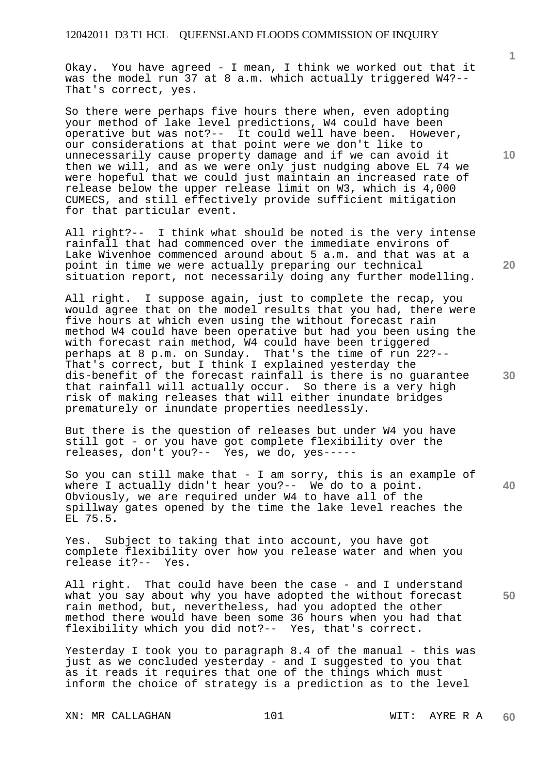Okay. You have agreed - I mean, I think we worked out that it was the model run 37 at 8 a.m. which actually triggered W4?-- That's correct, yes.

So there were perhaps five hours there when, even adopting your method of lake level predictions, W4 could have been operative but was not?-- It could well have been. However, our considerations at that point were we don't like to unnecessarily cause property damage and if we can avoid it then we will, and as we were only just nudging above EL 74 we were hopeful that we could just maintain an increased rate of release below the upper release limit on W3, which is 4,000 CUMECS, and still effectively provide sufficient mitigation for that particular event.

All right?-- I think what should be noted is the very intense rainfall that had commenced over the immediate environs of Lake Wivenhoe commenced around about 5 a.m. and that was at a point in time we were actually preparing our technical situation report, not necessarily doing any further modelling.

All right. I suppose again, just to complete the recap, you would agree that on the model results that you had, there were five hours at which even using the without forecast rain method W4 could have been operative but had you been using the with forecast rain method, W4 could have been triggered perhaps at 8 p.m. on Sunday. That's the time of run 22?-- That's correct, but I think I explained yesterday the dis-benefit of the forecast rainfall is there is no guarantee that rainfall will actually occur. So there is a very high risk of making releases that will either inundate bridges prematurely or inundate properties needlessly.

But there is the question of releases but under W4 you have still got - or you have got complete flexibility over the releases, don't you?-- Yes, we do, yes-----

**40**  So you can still make that - I am sorry, this is an example of where I actually didn't hear you?-- We do to a point. Obviously, we are required under W4 to have all of the spillway gates opened by the time the lake level reaches the EL 75.5.

Yes. Subject to taking that into account, you have got complete flexibility over how you release water and when you release it?-- Yes.

All right. That could have been the case - and I understand what you say about why you have adopted the without forecast rain method, but, nevertheless, had you adopted the other method there would have been some 36 hours when you had that flexibility which you did not?-- Yes, that's correct.

Yesterday I took you to paragraph 8.4 of the manual - this was just as we concluded yesterday - and I suggested to you that as it reads it requires that one of the things which must inform the choice of strategy is a prediction as to the level

XN: MR CALLAGHAN 101 101 WIT: AYRE R A

**10** 

**1**

**20** 

**30**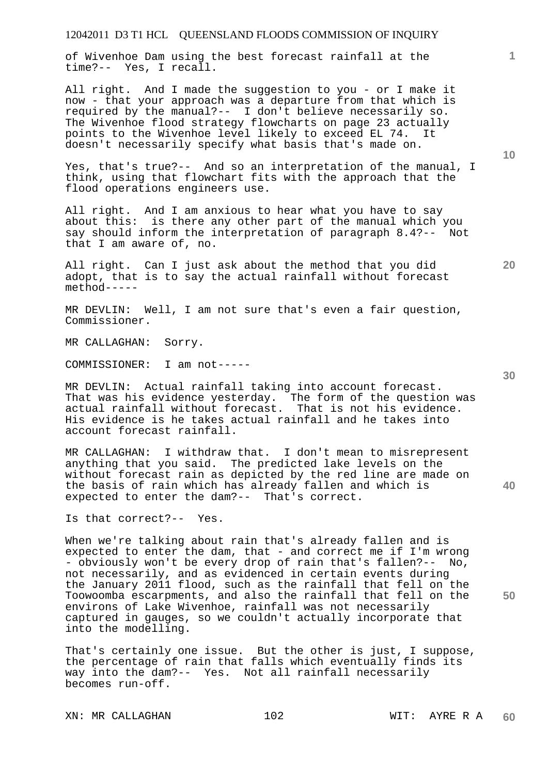of Wivenhoe Dam using the best forecast rainfall at the time?-- Yes, I recall.

All right. And I made the suggestion to you - or I make it now - that your approach was a departure from that which is required by the manual?-- I don't believe necessarily so. The Wivenhoe flood strategy flowcharts on page 23 actually points to the Wivenhoe level likely to exceed EL 74. It doesn't necessarily specify what basis that's made on.

Yes, that's true?-- And so an interpretation of the manual, I think, using that flowchart fits with the approach that the flood operations engineers use.

All right. And I am anxious to hear what you have to say about this: is there any other part of the manual which you say should inform the interpretation of paragraph 8.4?-- Not that I am aware of, no.

All right. Can I just ask about the method that you did adopt, that is to say the actual rainfall without forecast method-----

MR DEVLIN: Well, I am not sure that's even a fair question, Commissioner.

MR CALLAGHAN: Sorry.

COMMISSIONER: I am not-----

MR DEVLIN: Actual rainfall taking into account forecast. That was his evidence yesterday. The form of the question was actual rainfall without forecast. That is not his evidence. His evidence is he takes actual rainfall and he takes into account forecast rainfall.

MR CALLAGHAN: I withdraw that. I don't mean to misrepresent anything that you said. The predicted lake levels on the without forecast rain as depicted by the red line are made on the basis of rain which has already fallen and which is expected to enter the dam?-- That's correct.

Is that correct?-- Yes.

When we're talking about rain that's already fallen and is expected to enter the dam, that - and correct me if I'm wrong - obviously won't be every drop of rain that's fallen?-- No, not necessarily, and as evidenced in certain events during the January 2011 flood, such as the rainfall that fell on the Toowoomba escarpments, and also the rainfall that fell on the environs of Lake Wivenhoe, rainfall was not necessarily captured in gauges, so we couldn't actually incorporate that into the modelling.

That's certainly one issue. But the other is just, I suppose, the percentage of rain that falls which eventually finds its way into the dam?-- Yes. Not all rainfall necessarily becomes run-off.

XN: MR CALLAGHAN 102 WIT: AYRE R A

**10** 

**1**

**40** 

**20**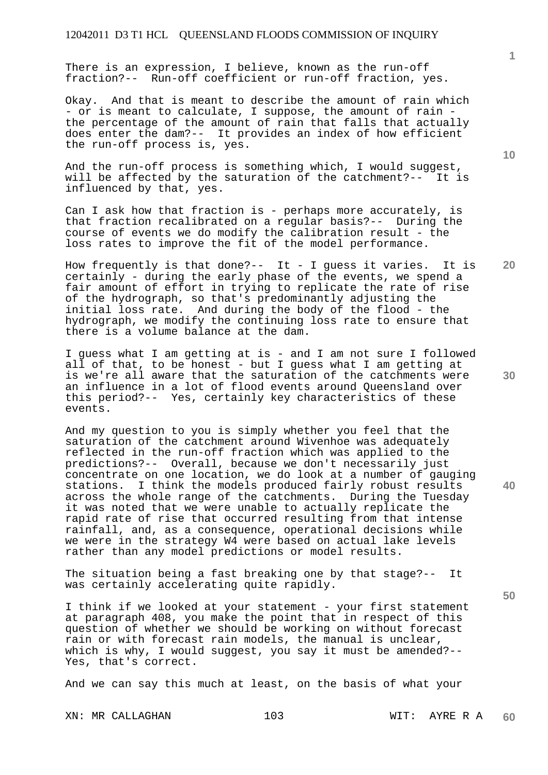There is an expression, I believe, known as the run-off fraction?-- Run-off coefficient or run-off fraction, yes.

Okay. And that is meant to describe the amount of rain which - or is meant to calculate, I suppose, the amount of rain the percentage of the amount of rain that falls that actually does enter the dam?-- It provides an index of how efficient the run-off process is, yes.

And the run-off process is something which, I would suggest, will be affected by the saturation of the catchment?-- It is influenced by that, yes.

Can I ask how that fraction is - perhaps more accurately, is that fraction recalibrated on a regular basis?-- During the course of events we do modify the calibration result - the loss rates to improve the fit of the model performance.

How frequently is that done?-- It - I guess it varies. It is certainly - during the early phase of the events, we spend a fair amount of effort in trying to replicate the rate of rise of the hydrograph, so that's predominantly adjusting the initial loss rate. And during the body of the flood - the hydrograph, we modify the continuing loss rate to ensure that there is a volume balance at the dam.

I guess what I am getting at is - and I am not sure I followed all of that, to be honest - but I guess what I am getting at is we're all aware that the saturation of the catchments were an influence in a lot of flood events around Queensland over this period?-- Yes, certainly key characteristics of these events.

And my question to you is simply whether you feel that the saturation of the catchment around Wivenhoe was adequately reflected in the run-off fraction which was applied to the predictions?-- Overall, because we don't necessarily just concentrate on one location, we do look at a number of gauging stations. I think the models produced fairly robust results across the whole range of the catchments. During the Tuesday it was noted that we were unable to actually replicate the rapid rate of rise that occurred resulting from that intense rainfall, and, as a consequence, operational decisions while we were in the strategy W4 were based on actual lake levels rather than any model predictions or model results.

The situation being a fast breaking one by that stage?-- It was certainly accelerating quite rapidly.

I think if we looked at your statement - your first statement at paragraph 408, you make the point that in respect of this question of whether we should be working on without forecast rain or with forecast rain models, the manual is unclear, which is why, I would suggest, you say it must be amended?-- Yes, that's correct.

And we can say this much at least, on the basis of what your

XN: MR CALLAGHAN 103 103 WIT: AYRE R A

**20** 

**1**

**40** 

**50**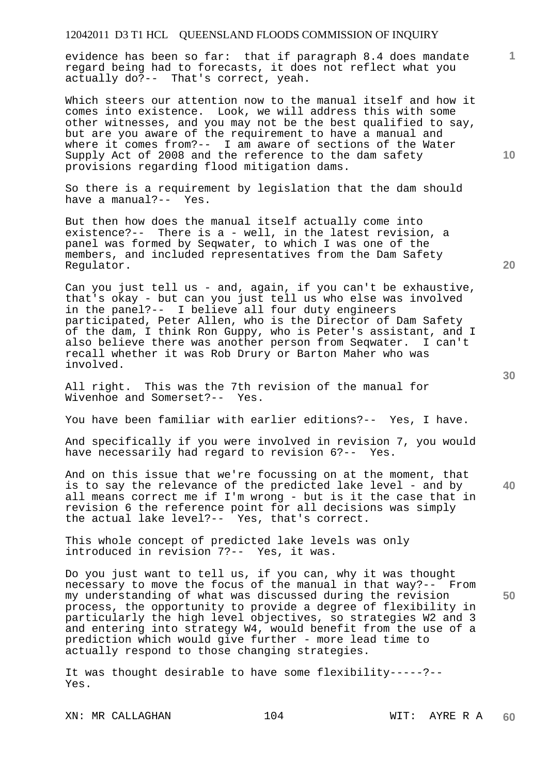evidence has been so far: that if paragraph 8.4 does mandate regard being had to forecasts, it does not reflect what you actually do?-- That's correct, yeah.

Which steers our attention now to the manual itself and how it comes into existence. Look, we will address this with some other witnesses, and you may not be the best qualified to say, but are you aware of the requirement to have a manual and where it comes from?-- I am aware of sections of the Water Supply Act of 2008 and the reference to the dam safety provisions regarding flood mitigation dams.

So there is a requirement by legislation that the dam should have a manual?-- Yes.

But then how does the manual itself actually come into existence?-- There is a - well, in the latest revision, a panel was formed by Seqwater, to which I was one of the members, and included representatives from the Dam Safety Regulator.

Can you just tell us - and, again, if you can't be exhaustive, that's okay - but can you just tell us who else was involved in the panel?-- I believe all four duty engineers participated, Peter Allen, who is the Director of Dam Safety of the dam, I think Ron Guppy, who is Peter's assistant, and I also believe there was another person from Seqwater. I can't recall whether it was Rob Drury or Barton Maher who was involved.

All right. This was the 7th revision of the manual for Wivenhoe and Somerset?-- Yes.

You have been familiar with earlier editions?-- Yes, I have.

And specifically if you were involved in revision 7, you would have necessarily had regard to revision 6?-- Yes.

And on this issue that we're focussing on at the moment, that is to say the relevance of the predicted lake level - and by all means correct me if I'm wrong - but is it the case that in revision 6 the reference point for all decisions was simply the actual lake level?-- Yes, that's correct.

This whole concept of predicted lake levels was only introduced in revision 7?-- Yes, it was.

Do you just want to tell us, if you can, why it was thought necessary to move the focus of the manual in that way?-- From my understanding of what was discussed during the revision process, the opportunity to provide a degree of flexibility in particularly the high level objectives, so strategies W2 and 3 and entering into strategy W4, would benefit from the use of a prediction which would give further - more lead time to actually respond to those changing strategies.

It was thought desirable to have some flexibility-----?-- Yes.

XN: MR CALLAGHAN 104 104 WIT: AYRE R A

**20** 

**40** 

**50** 

**10**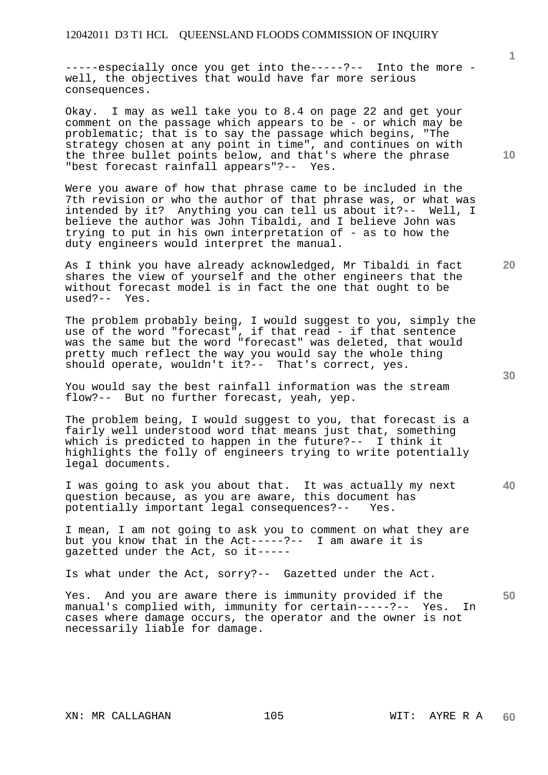-----especially once you get into the-----?-- Into the more well, the objectives that would have far more serious consequences.

Okay. I may as well take you to 8.4 on page 22 and get your comment on the passage which appears to be - or which may be problematic; that is to say the passage which begins, "The strategy chosen at any point in time", and continues on with the three bullet points below, and that's where the phrase "best forecast rainfall appears"?-- Yes.

Were you aware of how that phrase came to be included in the 7th revision or who the author of that phrase was, or what was intended by it? Anything you can tell us about it?-- Well, I believe the author was John Tibaldi, and I believe John was trying to put in his own interpretation of - as to how the duty engineers would interpret the manual.

As I think you have already acknowledged, Mr Tibaldi in fact shares the view of yourself and the other engineers that the without forecast model is in fact the one that ought to be used?-- Yes.  $used? --$ 

The problem probably being, I would suggest to you, simply the use of the word "forecast", if that read - if that sentence was the same but the word "forecast" was deleted, that would pretty much reflect the way you would say the whole thing should operate, wouldn't it?-- That's correct, yes.

You would say the best rainfall information was the stream flow?-- But no further forecast, yeah, yep.

The problem being, I would suggest to you, that forecast is a fairly well understood word that means just that, something which is predicted to happen in the future?-- I think it highlights the folly of engineers trying to write potentially legal documents.

**40**  I was going to ask you about that. It was actually my next question because, as you are aware, this document has potentially important legal consequences?-- Yes.

I mean, I am not going to ask you to comment on what they are but you know that in the Act-----?-- I am aware it is gazetted under the Act, so it-----

Is what under the Act, sorry?-- Gazetted under the Act.

**50**  Yes. And you are aware there is immunity provided if the manual's complied with, immunity for certain-----?-- Yes. In cases where damage occurs, the operator and the owner is not necessarily liable for damage.

**10** 

**1**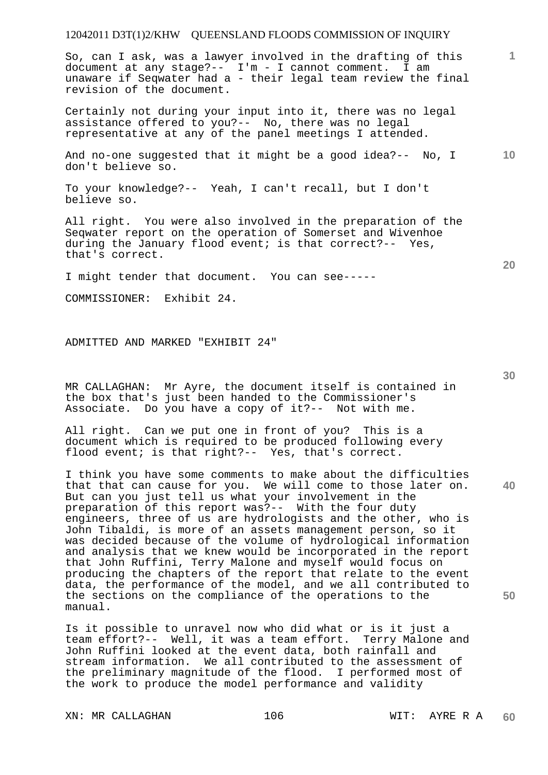So, can I ask, was a lawyer involved in the drafting of this document at any stage?-- I'm - I cannot comment. I am unaware if Seqwater had a - their legal team review the final revision of the document.

Certainly not during your input into it, there was no legal assistance offered to you?-- No, there was no legal representative at any of the panel meetings I attended.

**10**  And no-one suggested that it might be a good idea?-- No, I don't believe so.

To your knowledge?-- Yeah, I can't recall, but I don't believe so.

All right. You were also involved in the preparation of the Seqwater report on the operation of Somerset and Wivenhoe during the January flood event; is that correct?-- Yes, that's correct.

I might tender that document. You can see-----

COMMISSIONER: Exhibit 24.

ADMITTED AND MARKED "EXHIBIT 24"

MR CALLAGHAN: Mr Ayre, the document itself is contained in the box that's just been handed to the Commissioner's Associate. Do you have a copy of it?-- Not with me.

All right. Can we put one in front of you? This is a document which is required to be produced following every flood event; is that right?-- Yes, that's correct.

I think you have some comments to make about the difficulties that that can cause for you. We will come to those later on. But can you just tell us what your involvement in the preparation of this report was?-- With the four duty engineers, three of us are hydrologists and the other, who is John Tibaldi, is more of an assets management person, so it was decided because of the volume of hydrological information and analysis that we knew would be incorporated in the report that John Ruffini, Terry Malone and myself would focus on producing the chapters of the report that relate to the event data, the performance of the model, and we all contributed to the sections on the compliance of the operations to the manual.

Is it possible to unravel now who did what or is it just a team effort?-- Well, it was a team effort. Terry Malone and John Ruffini looked at the event data, both rainfall and stream information. We all contributed to the assessment of the preliminary magnitude of the flood. I performed most of the work to produce the model performance and validity

XN: MR CALLAGHAN 106 106 WIT: AYRE R A

**30** 

**40** 

**20** 

**50**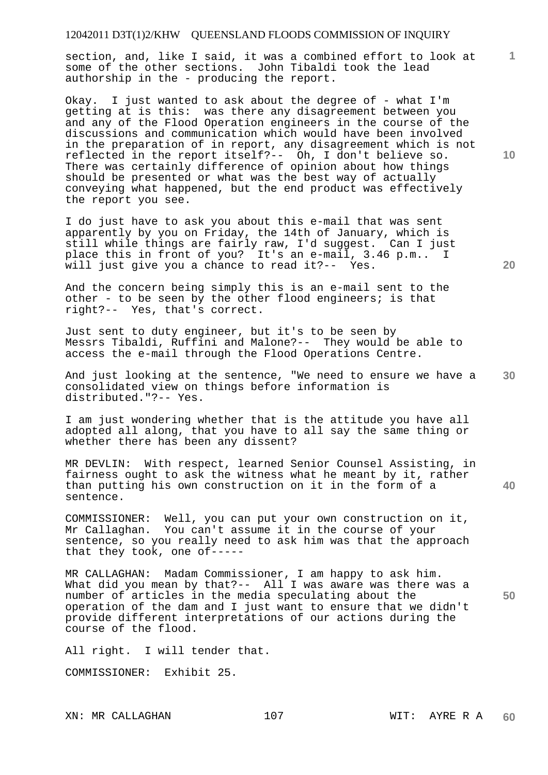section, and, like I said, it was a combined effort to look at some of the other sections. John Tibaldi took the lead authorship in the - producing the report.

Okay. I just wanted to ask about the degree of - what I'm getting at is this: was there any disagreement between you and any of the Flood Operation engineers in the course of the discussions and communication which would have been involved in the preparation of in report, any disagreement which is not reflected in the report itself?-- Oh, I don't believe so. There was certainly difference of opinion about how things should be presented or what was the best way of actually conveying what happened, but the end product was effectively the report you see.

I do just have to ask you about this e-mail that was sent apparently by you on Friday, the 14th of January, which is still while things are fairly raw, I'd suggest. Can I just place this in front of you? It's an e-mail, 3.46 p.m.. I will just give you a chance to read it?-- Yes.

And the concern being simply this is an e-mail sent to the other - to be seen by the other flood engineers; is that right?-- Yes, that's correct.

Just sent to duty engineer, but it's to be seen by Messrs Tibaldi, Ruffini and Malone?-- They would be able to access the e-mail through the Flood Operations Centre.

**30**  And just looking at the sentence, "We need to ensure we have a consolidated view on things before information is distributed."?-- Yes.

I am just wondering whether that is the attitude you have all adopted all along, that you have to all say the same thing or whether there has been any dissent?

MR DEVLIN: With respect, learned Senior Counsel Assisting, in fairness ought to ask the witness what he meant by it, rather than putting his own construction on it in the form of a sentence.

COMMISSIONER: Well, you can put your own construction on it, Mr Callaghan. You can't assume it in the course of your sentence, so you really need to ask him was that the approach that they took, one of-----

MR CALLAGHAN: Madam Commissioner, I am happy to ask him. What did you mean by that?-- All I was aware was there was a number of articles in the media speculating about the operation of the dam and I just want to ensure that we didn't provide different interpretations of our actions during the course of the flood.

All right. I will tender that.

COMMISSIONER: Exhibit 25.

**10** 

**1**

**40** 

**50**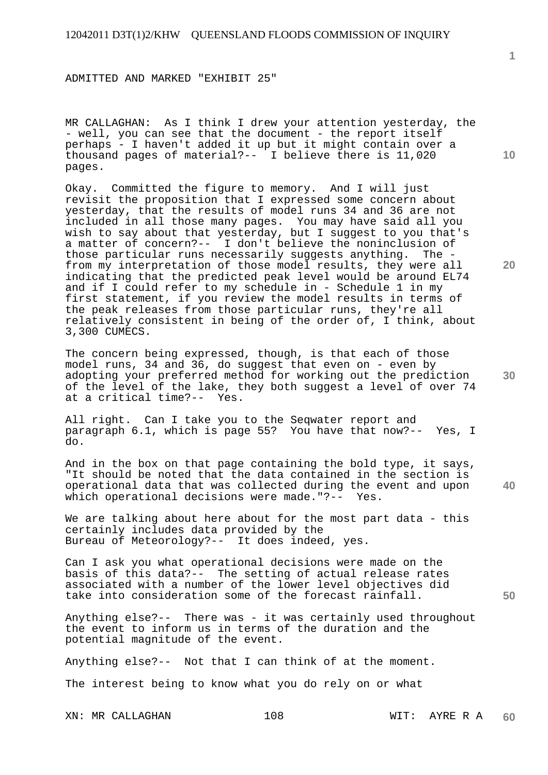ADMITTED AND MARKED "EXHIBIT 25"

MR CALLAGHAN: As I think I drew your attention yesterday, the - well, you can see that the document - the report itself perhaps - I haven't added it up but it might contain over a thousand pages of material?-- I believe there is 11,020 pages.

Okay. Committed the figure to memory. And I will just revisit the proposition that I expressed some concern about yesterday, that the results of model runs 34 and 36 are not included in all those many pages. You may have said all you wish to say about that yesterday, but I suggest to you that's a matter of concern?-- I don't believe the noninclusion of those particular runs necessarily suggests anything. The from my interpretation of those model results, they were all indicating that the predicted peak level would be around EL74 and if I could refer to my schedule in - Schedule 1 in my first statement, if you review the model results in terms of the peak releases from those particular runs, they're all relatively consistent in being of the order of, I think, about 3,300 CUMECS.

The concern being expressed, though, is that each of those model runs, 34 and 36, do suggest that even on - even by adopting your preferred method for working out the prediction of the level of the lake, they both suggest a level of over 74 at a critical time?-- Yes.

All right. Can I take you to the Seqwater report and paragraph 6.1, which is page 55? You have that now?-- Yes, I do.

**40**  And in the box on that page containing the bold type, it says, "It should be noted that the data contained in the section is operational data that was collected during the event and upon which operational decisions were made."?-- Yes.

We are talking about here about for the most part data - this certainly includes data provided by the Bureau of Meteorology?-- It does indeed, yes.

Can I ask you what operational decisions were made on the basis of this data?-- The setting of actual release rates associated with a number of the lower level objectives did take into consideration some of the forecast rainfall.

Anything else?-- There was - it was certainly used throughout the event to inform us in terms of the duration and the potential magnitude of the event.

Anything else?-- Not that I can think of at the moment.

The interest being to know what you do rely on or what

XN: MR CALLAGHAN 108 108 WIT: AYRE R A

**20** 

**30** 

**50**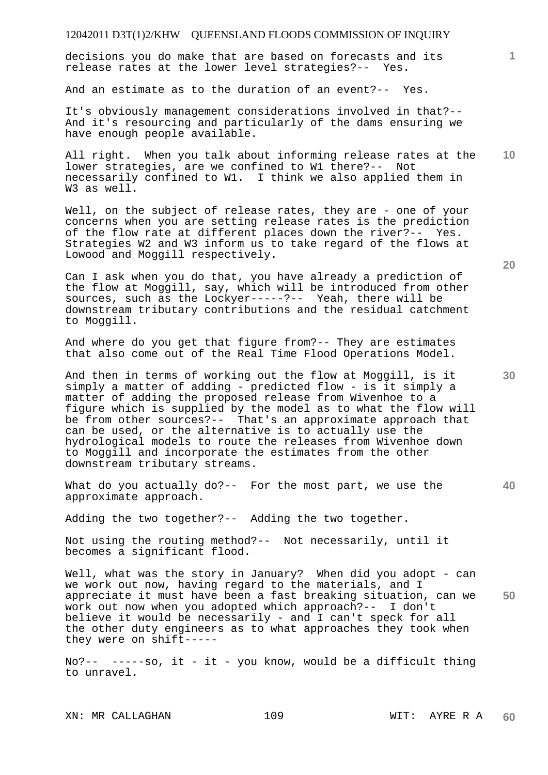decisions you do make that are based on forecasts and its release rates at the lower level strategies?-- Yes.

And an estimate as to the duration of an event?-- Yes.

It's obviously management considerations involved in that?-- And it's resourcing and particularly of the dams ensuring we have enough people available.

**10**  All right. When you talk about informing release rates at the lower strategies, are we confined to W1 there?-- Not necessarily confined to W1. I think we also applied them in W<sub>3</sub> as well.

Well, on the subject of release rates, they are - one of your concerns when you are setting release rates is the prediction of the flow rate at different places down the river?-- Yes. Strategies W2 and W3 inform us to take regard of the flows at Lowood and Moggill respectively.

Can I ask when you do that, you have already a prediction of the flow at Moggill, say, which will be introduced from other sources, such as the Lockyer-----?-- Yeah, there will be downstream tributary contributions and the residual catchment to Moggill.

And where do you get that figure from?-- They are estimates that also come out of the Real Time Flood Operations Model.

And then in terms of working out the flow at Moggill, is it simply a matter of adding - predicted flow - is it simply a matter of adding the proposed release from Wivenhoe to a figure which is supplied by the model as to what the flow will be from other sources?-- That's an approximate approach that can be used, or the alternative is to actually use the hydrological models to route the releases from Wivenhoe down to Moggill and incorporate the estimates from the other downstream tributary streams.

What do you actually do?-- For the most part, we use the approximate approach.

Adding the two together?-- Adding the two together.

Not using the routing method?-- Not necessarily, until it becomes a significant flood.

**50**  Well, what was the story in January? When did you adopt - can we work out now, having regard to the materials, and I appreciate it must have been a fast breaking situation, can we work out now when you adopted which approach?-- I don't believe it would be necessarily - and I can't speck for all the other duty engineers as to what approaches they took when they were on shift-----

No?-- -----so, it - it - you know, would be a difficult thing to unravel.

**20** 

**1**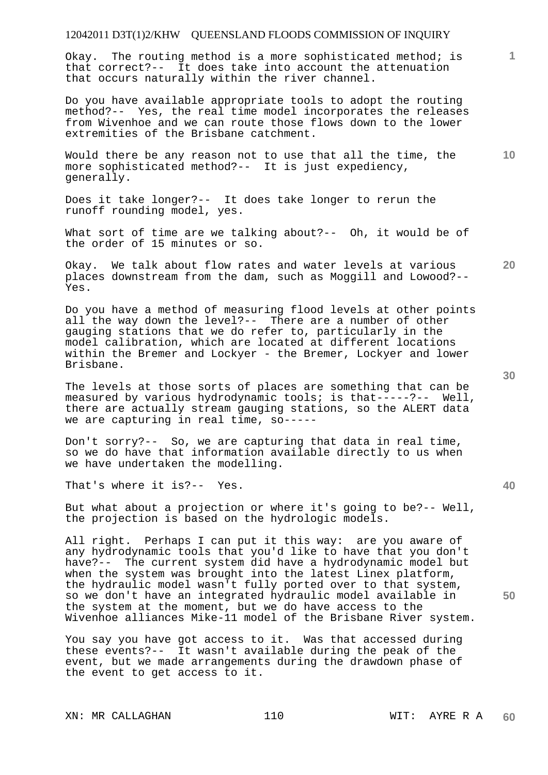Okay. The routing method is a more sophisticated method; is that correct?-- It does take into account the attenuation that occurs naturally within the river channel.

Do you have available appropriate tools to adopt the routing method?-- Yes, the real time model incorporates the releases from Wivenhoe and we can route those flows down to the lower extremities of the Brisbane catchment.

Would there be any reason not to use that all the time, the more sophisticated method?-- It is just expediency, generally.

Does it take longer?-- It does take longer to rerun the runoff rounding model, yes.

What sort of time are we talking about?-- Oh, it would be of the order of 15 minutes or so.

Okay. We talk about flow rates and water levels at various places downstream from the dam, such as Moggill and Lowood?-- Yes.

Do you have a method of measuring flood levels at other points all the way down the level?-- There are a number of other gauging stations that we do refer to, particularly in the model calibration, which are located at different locations within the Bremer and Lockyer - the Bremer, Lockyer and lower Brisbane.

The levels at those sorts of places are something that can be measured by various hydrodynamic tools; is that-----?-- Well, there are actually stream gauging stations, so the ALERT data we are capturing in real time, so-----

Don't sorry?-- So, we are capturing that data in real time, so we do have that information available directly to us when we have undertaken the modelling.

That's where it is?-- Yes.

But what about a projection or where it's going to be?-- Well, the projection is based on the hydrologic models.

All right. Perhaps I can put it this way: are you aware of any hydrodynamic tools that you'd like to have that you don't have?-- The current system did have a hydrodynamic model but when the system was brought into the latest Linex platform, the hydraulic model wasn't fully ported over to that system, so we don't have an integrated hydraulic model available in the system at the moment, but we do have access to the Wivenhoe alliances Mike-11 model of the Brisbane River system.

You say you have got access to it. Was that accessed during these events?-- It wasn't available during the peak of the event, but we made arrangements during the drawdown phase of the event to get access to it.

XN: MR CALLAGHAN 110 110 WIT: AYRE R A

**30** 

**20** 

**50** 

**10**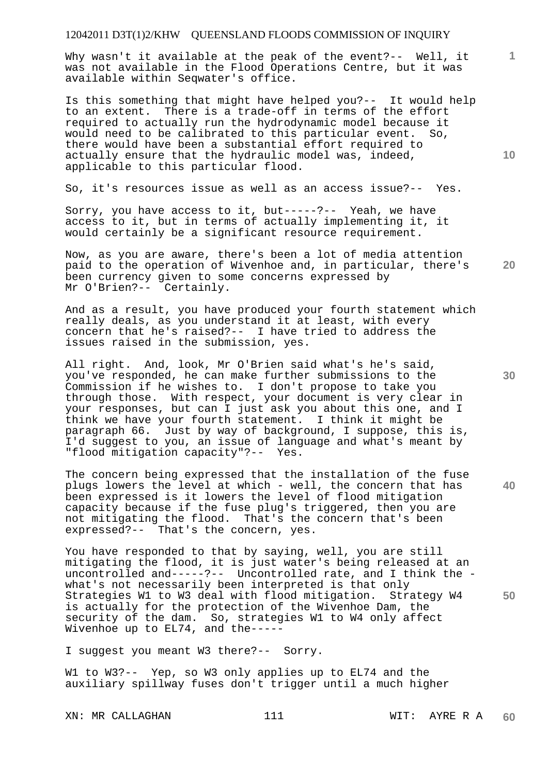Why wasn't it available at the peak of the event?-- Well, it was not available in the Flood Operations Centre, but it was available within Seqwater's office.

Is this something that might have helped you?-- It would help to an extent. There is a trade-off in terms of the effort required to actually run the hydrodynamic model because it would need to be calibrated to this particular event. So, there would have been a substantial effort required to actually ensure that the hydraulic model was, indeed, applicable to this particular flood.

So, it's resources issue as well as an access issue?-- Yes.

Sorry, you have access to it, but-----?-- Yeah, we have access to it, but in terms of actually implementing it, it would certainly be a significant resource requirement.

Now, as you are aware, there's been a lot of media attention paid to the operation of Wivenhoe and, in particular, there's been currency given to some concerns expressed by Mr O'Brien?-- Certainly.

And as a result, you have produced your fourth statement which really deals, as you understand it at least, with every concern that he's raised?-- I have tried to address the issues raised in the submission, yes.

All right. And, look, Mr O'Brien said what's he's said, you've responded, he can make further submissions to the Commission if he wishes to. I don't propose to take you through those. With respect, your document is very clear in your responses, but can I just ask you about this one, and I think we have your fourth statement. I think it might be paragraph 66. Just by way of background, I suppose, this is, I'd suggest to you, an issue of language and what's meant by "flood mitigation capacity"?-- Yes.

**40**  The concern being expressed that the installation of the fuse plugs lowers the level at which - well, the concern that has been expressed is it lowers the level of flood mitigation capacity because if the fuse plug's triggered, then you are not mitigating the flood. That's the concern that's been expressed?-- That's the concern, yes.

You have responded to that by saying, well, you are still mitigating the flood, it is just water's being released at an uncontrolled and-----?-- Uncontrolled rate, and I think the what's not necessarily been interpreted is that only Strategies W1 to W3 deal with flood mitigation. Strategy W4 is actually for the protection of the Wivenhoe Dam, the security of the dam. So, strategies W1 to W4 only affect Wivenhoe up to EL74, and the-----

I suggest you meant W3 there?-- Sorry.

W1 to W3?-- Yep, so W3 only applies up to EL74 and the auxiliary spillway fuses don't trigger until a much higher

XN: MR CALLAGHAN 111 WIT: AYRE R A

**10** 

**20** 

**1**

**30**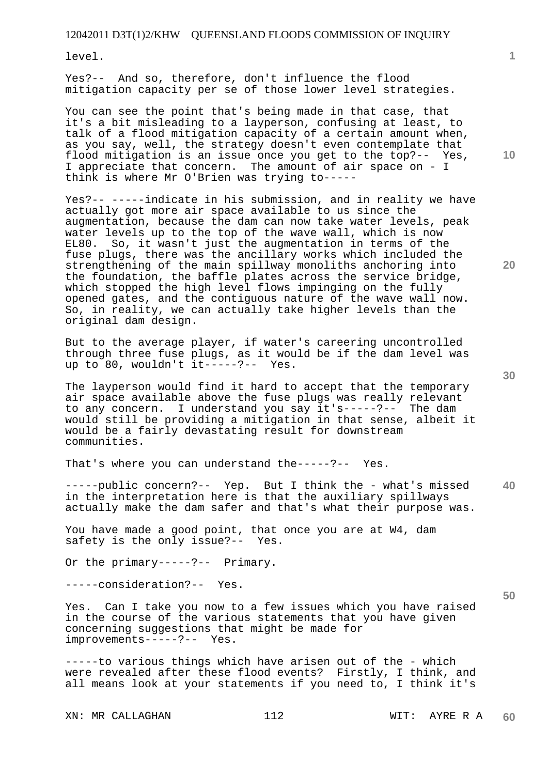level.

Yes?-- And so, therefore, don't influence the flood mitigation capacity per se of those lower level strategies.

You can see the point that's being made in that case, that it's a bit misleading to a layperson, confusing at least, to talk of a flood mitigation capacity of a certain amount when, as you say, well, the strategy doesn't even contemplate that flood mitigation is an issue once you get to the top?-- Yes, I appreciate that concern. The amount of air space on - I think is where Mr O'Brien was trying to-----

Yes?-- -----indicate in his submission, and in reality we have actually got more air space available to us since the augmentation, because the dam can now take water levels, peak water levels up to the top of the wave wall, which is now EL80. So, it wasn't just the augmentation in terms of the fuse plugs, there was the ancillary works which included the strengthening of the main spillway monoliths anchoring into the foundation, the baffle plates across the service bridge, which stopped the high level flows impinging on the fully opened gates, and the contiguous nature of the wave wall now. So, in reality, we can actually take higher levels than the original dam design.

But to the average player, if water's careering uncontrolled through three fuse plugs, as it would be if the dam level was up to 80, wouldn't it-----?-- Yes.

The layperson would find it hard to accept that the temporary air space available above the fuse plugs was really relevant to any concern. I understand you say it's-----?-- The dam would still be providing a mitigation in that sense, albeit it would be a fairly devastating result for downstream communities.

That's where you can understand the-----?-- Yes.

**40**  -----public concern?-- Yep. But I think the - what's missed in the interpretation here is that the auxiliary spillways actually make the dam safer and that's what their purpose was.

You have made a good point, that once you are at W4, dam safety is the only issue?-- Yes.

Or the primary-----?-- Primary.

-----consideration?-- Yes.

Yes. Can I take you now to a few issues which you have raised in the course of the various statements that you have given concerning suggestions that might be made for improvements-----?-- Yes.

-----to various things which have arisen out of the - which were revealed after these flood events? Firstly, I think, and all means look at your statements if you need to, I think it's

XN: MR CALLAGHAN 112 WIT: AYRE R A

**10** 

**1**

**30** 

**20**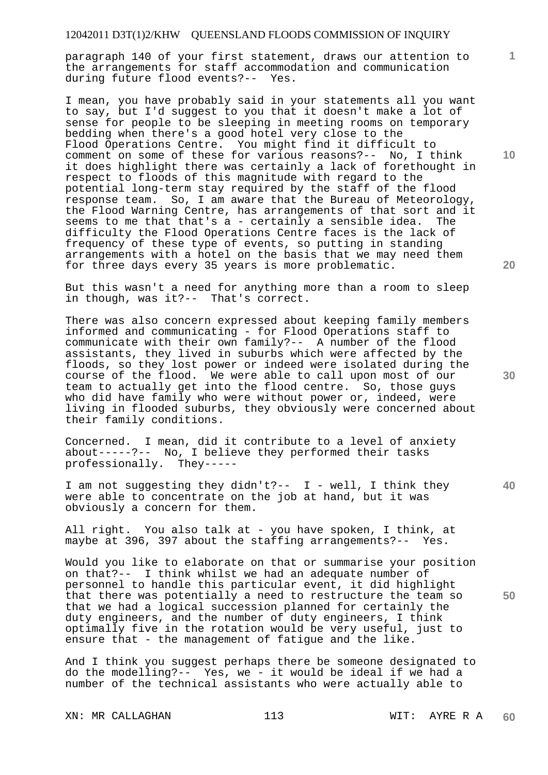paragraph 140 of your first statement, draws our attention to the arrangements for staff accommodation and communication during future flood events?-- Yes.

I mean, you have probably said in your statements all you want to say, but I'd suggest to you that it doesn't make a lot of sense for people to be sleeping in meeting rooms on temporary bedding when there's a good hotel very close to the Flood Operations Centre. You might find it difficult to comment on some of these for various reasons?-- No, I think it does highlight there was certainly a lack of forethought in respect to floods of this magnitude with regard to the potential long-term stay required by the staff of the flood response team. So, I am aware that the Bureau of Meteorology, the Flood Warning Centre, has arrangements of that sort and it seems to me that that's a - certainly a sensible idea. The difficulty the Flood Operations Centre faces is the lack of frequency of these type of events, so putting in standing arrangements with a hotel on the basis that we may need them for three days every 35 years is more problematic.

But this wasn't a need for anything more than a room to sleep in though, was it?-- That's correct.

There was also concern expressed about keeping family members informed and communicating - for Flood Operations staff to communicate with their own family?-- A number of the flood assistants, they lived in suburbs which were affected by the floods, so they lost power or indeed were isolated during the course of the flood. We were able to call upon most of our team to actually get into the flood centre. So, those guys who did have family who were without power or, indeed, were living in flooded suburbs, they obviously were concerned about their family conditions.

Concerned. I mean, did it contribute to a level of anxiety about-----?-- No, I believe they performed their tasks professionally. They-----

I am not suggesting they didn't?-- I - well, I think they were able to concentrate on the job at hand, but it was obviously a concern for them.

All right. You also talk at - you have spoken, I think, at maybe at 396, 397 about the staffing arrangements?-- Yes.

Would you like to elaborate on that or summarise your position on that?-- I think whilst we had an adequate number of personnel to handle this particular event, it did highlight that there was potentially a need to restructure the team so that we had a logical succession planned for certainly the duty engineers, and the number of duty engineers, I think optimally five in the rotation would be very useful, just to ensure that - the management of fatigue and the like.

And I think you suggest perhaps there be someone designated to do the modelling?-- Yes, we - it would be ideal if we had a number of the technical assistants who were actually able to

XN: MR CALLAGHAN 113 WIT: AYRE R A

**10** 

**1**

**20** 

**30** 

**40**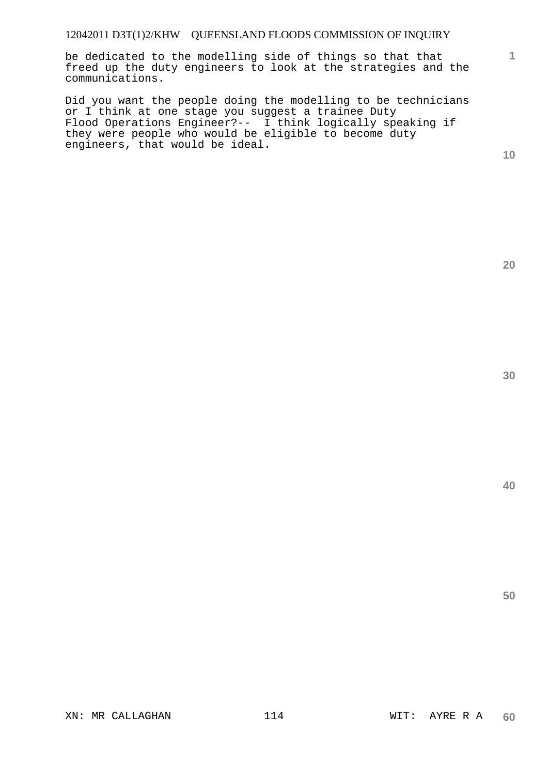be dedicated to the modelling side of things so that that freed up the duty engineers to look at the strategies and the communications.

Did you want the people doing the modelling to be technicians or I think at one stage you suggest a trainee Duty Flood Operations Engineer?-- I think logically speaking if they were people who would be eligible to become duty engineers, that would be ideal.

**10** 

**1**

**20** 

**40**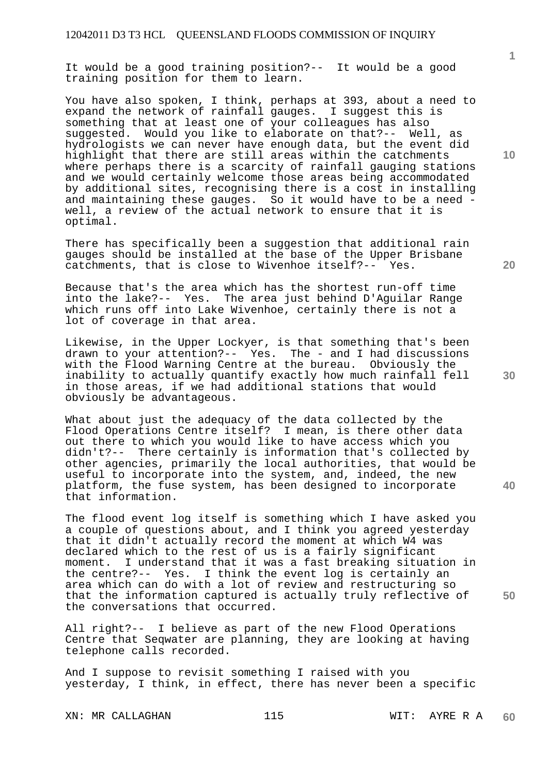It would be a good training position?-- It would be a good training position for them to learn.

You have also spoken, I think, perhaps at 393, about a need to expand the network of rainfall gauges. I suggest this is something that at least one of your colleagues has also suggested. Would you like to elaborate on that?-- Well, as hydrologists we can never have enough data, but the event did highlight that there are still areas within the catchments where perhaps there is a scarcity of rainfall gauging stations and we would certainly welcome those areas being accommodated by additional sites, recognising there is a cost in installing and maintaining these gauges. So it would have to be a need well, a review of the actual network to ensure that it is optimal.

There has specifically been a suggestion that additional rain gauges should be installed at the base of the Upper Brisbane catchments, that is close to Wivenhoe itself?-- Yes.

Because that's the area which has the shortest run-off time into the lake?-- Yes. The area just behind D'Aguilar Range which runs off into Lake Wivenhoe, certainly there is not a lot of coverage in that area.

Likewise, in the Upper Lockyer, is that something that's been drawn to your attention?-- Yes. The - and I had discussions with the Flood Warning Centre at the bureau. Obviously the inability to actually quantify exactly how much rainfall fell in those areas, if we had additional stations that would obviously be advantageous.

What about just the adequacy of the data collected by the Flood Operations Centre itself? I mean, is there other data out there to which you would like to have access which you didn't?-- There certainly is information that's collected by other agencies, primarily the local authorities, that would be useful to incorporate into the system, and, indeed, the new platform, the fuse system, has been designed to incorporate that information.

The flood event log itself is something which I have asked you a couple of questions about, and I think you agreed yesterday that it didn't actually record the moment at which W4 was declared which to the rest of us is a fairly significant moment. I understand that it was a fast breaking situation in the centre?-- Yes. I think the event log is certainly an area which can do with a lot of review and restructuring so that the information captured is actually truly reflective of the conversations that occurred.

All right?-- I believe as part of the new Flood Operations Centre that Seqwater are planning, they are looking at having telephone calls recorded.

And I suppose to revisit something I raised with you yesterday, I think, in effect, there has never been a specific

XN: MR CALLAGHAN 115 115 WIT: AYRE R A

**10** 

**1**

**20** 

**40**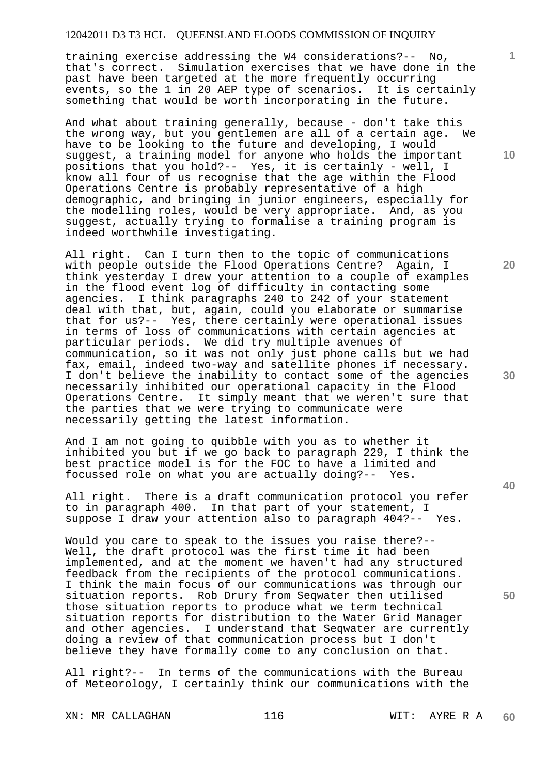training exercise addressing the W4 considerations?-- No, that's correct. Simulation exercises that we have done in the past have been targeted at the more frequently occurring events, so the 1 in 20 AEP type of scenarios. It is certainly something that would be worth incorporating in the future.

And what about training generally, because - don't take this the wrong way, but you gentlemen are all of a certain age. We have to be looking to the future and developing, I would suggest, a training model for anyone who holds the important positions that you hold?-- Yes, it is certainly - well, I know all four of us recognise that the age within the Flood Operations Centre is probably representative of a high demographic, and bringing in junior engineers, especially for the modelling roles, would be very appropriate. And, as you suggest, actually trying to formalise a training program is indeed worthwhile investigating.

All right. Can I turn then to the topic of communications with people outside the Flood Operations Centre? Again, I think yesterday I drew your attention to a couple of examples in the flood event log of difficulty in contacting some agencies. I think paragraphs 240 to 242 of your statement deal with that, but, again, could you elaborate or summarise that for us?-- Yes, there certainly were operational issues in terms of loss of communications with certain agencies at particular periods. We did try multiple avenues of communication, so it was not only just phone calls but we had fax, email, indeed two-way and satellite phones if necessary. I don't believe the inability to contact some of the agencies necessarily inhibited our operational capacity in the Flood Operations Centre. It simply meant that we weren't sure that the parties that we were trying to communicate were necessarily getting the latest information.

And I am not going to quibble with you as to whether it inhibited you but if we go back to paragraph 229, I think the best practice model is for the FOC to have a limited and focussed role on what you are actually doing?-- Yes.

All right. There is a draft communication protocol you refer to in paragraph 400. In that part of your statement, I suppose I draw your attention also to paragraph 404?-- Yes.

Would you care to speak to the issues you raise there?-- Well, the draft protocol was the first time it had been implemented, and at the moment we haven't had any structured feedback from the recipients of the protocol communications. I think the main focus of our communications was through our situation reports. Rob Drury from Seqwater then utilised those situation reports to produce what we term technical situation reports for distribution to the Water Grid Manager and other agencies. I understand that Seqwater are currently doing a review of that communication process but I don't believe they have formally come to any conclusion on that.

All right?-- In terms of the communications with the Bureau of Meteorology, I certainly think our communications with the

XN: MR CALLAGHAN 116 116 WIT: AYRE R A

**10** 

**1**

**20** 

**30** 

**40**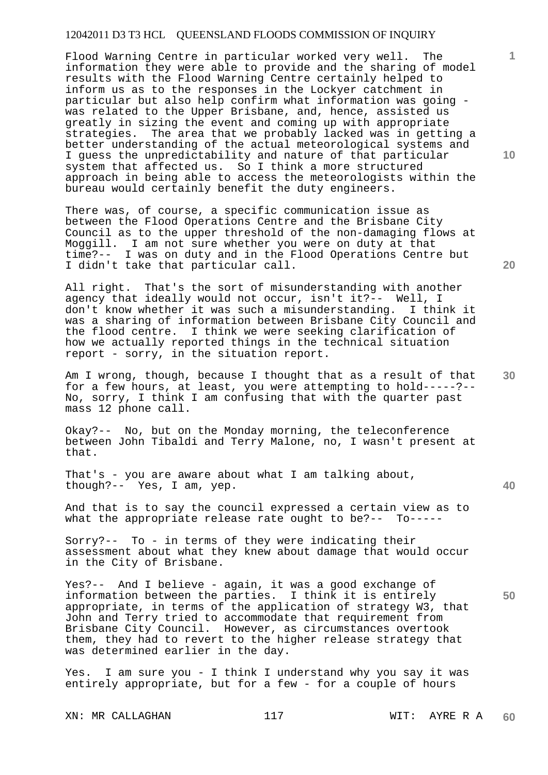Flood Warning Centre in particular worked very well. The information they were able to provide and the sharing of model results with the Flood Warning Centre certainly helped to inform us as to the responses in the Lockyer catchment in particular but also help confirm what information was going was related to the Upper Brisbane, and, hence, assisted us greatly in sizing the event and coming up with appropriate strategies. The area that we probably lacked was in getting a better understanding of the actual meteorological systems and I guess the unpredictability and nature of that particular system that affected us. So I think a more structured approach in being able to access the meteorologists within the bureau would certainly benefit the duty engineers.

There was, of course, a specific communication issue as between the Flood Operations Centre and the Brisbane City Council as to the upper threshold of the non-damaging flows at Moggill. I am not sure whether you were on duty at that time?-- I was on duty and in the Flood Operations Centre but I didn't take that particular call.

All right. That's the sort of misunderstanding with another agency that ideally would not occur, isn't it?-- Well, I don't know whether it was such a misunderstanding. I think it was a sharing of information between Brisbane City Council and the flood centre. I think we were seeking clarification of how we actually reported things in the technical situation report - sorry, in the situation report.

Am I wrong, though, because I thought that as a result of that for a few hours, at least, you were attempting to hold-----?-- No, sorry, I think I am confusing that with the quarter past mass 12 phone call.

Okay?-- No, but on the Monday morning, the teleconference between John Tibaldi and Terry Malone, no, I wasn't present at that.

That's - you are aware about what I am talking about, though?-- Yes, I am, yep.

And that is to say the council expressed a certain view as to what the appropriate release rate ought to be?-- To-----

Sorry?-- To - in terms of they were indicating their assessment about what they knew about damage that would occur in the City of Brisbane.

Yes?-- And I believe - again, it was a good exchange of information between the parties. I think it is entirely appropriate, in terms of the application of strategy W3, that John and Terry tried to accommodate that requirement from Brisbane City Council. However, as circumstances overtook them, they had to revert to the higher release strategy that was determined earlier in the day.

Yes. I am sure you - I think I understand why you say it was entirely appropriate, but for a few - for a couple of hours

XN: MR CALLAGHAN 117 117 WIT: AYRE R A

**10** 

**1**

**50**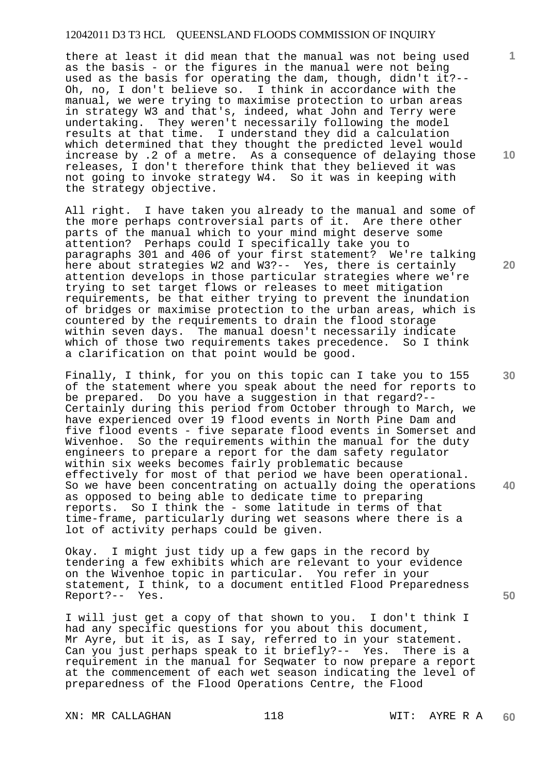there at least it did mean that the manual was not being used as the basis - or the figures in the manual were not being used as the basis for operating the dam, though, didn't it?-- Oh, no, I don't believe so. I think in accordance with the manual, we were trying to maximise protection to urban areas in strategy W3 and that's, indeed, what John and Terry were undertaking. They weren't necessarily following the model results at that time. I understand they did a calculation which determined that they thought the predicted level would increase by .2 of a metre. As a consequence of delaying those releases, I don't therefore think that they believed it was not going to invoke strategy W4. So it was in keeping with the strategy objective.

All right. I have taken you already to the manual and some of the more perhaps controversial parts of it. Are there other parts of the manual which to your mind might deserve some attention? Perhaps could I specifically take you to paragraphs 301 and 406 of your first statement? We're talking here about strategies W2 and W3?-- Yes, there is certainly attention develops in those particular strategies where we're trying to set target flows or releases to meet mitigation requirements, be that either trying to prevent the inundation of bridges or maximise protection to the urban areas, which is countered by the requirements to drain the flood storage within seven days. The manual doesn't necessarily indicate which of those two requirements takes precedence. So I think a clarification on that point would be good.

Finally, I think, for you on this topic can I take you to 155 of the statement where you speak about the need for reports to be prepared. Do you have a suggestion in that regard?-- Certainly during this period from October through to March, we have experienced over 19 flood events in North Pine Dam and five flood events - five separate flood events in Somerset and Wivenhoe. So the requirements within the manual for the duty engineers to prepare a report for the dam safety regulator within six weeks becomes fairly problematic because effectively for most of that period we have been operational. So we have been concentrating on actually doing the operations as opposed to being able to dedicate time to preparing reports. So I think the - some latitude in terms of that time-frame, particularly during wet seasons where there is a lot of activity perhaps could be given.

Okay. I might just tidy up a few gaps in the record by tendering a few exhibits which are relevant to your evidence on the Wivenhoe topic in particular. You refer in your statement, I think, to a document entitled Flood Preparedness Report?-- Yes.

I will just get a copy of that shown to you. I don't think I had any specific questions for you about this document, Mr Ayre, but it is, as I say, referred to in your statement. Can you just perhaps speak to it briefly?-- Yes. There is a requirement in the manual for Seqwater to now prepare a report at the commencement of each wet season indicating the level of preparedness of the Flood Operations Centre, the Flood

XN: MR CALLAGHAN 118 118 WIT: AYRE R A

**10** 

**1**

**20** 

**30** 

**40**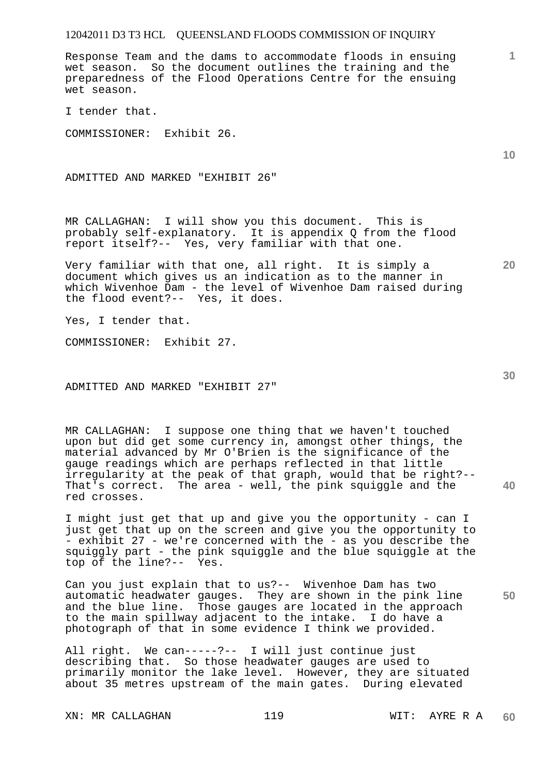Response Team and the dams to accommodate floods in ensuing wet season. So the document outlines the training and the preparedness of the Flood Operations Centre for the ensuing wet season.

I tender that.

COMMISSIONER: Exhibit 26.

ADMITTED AND MARKED "EXHIBIT 26"

MR CALLAGHAN: I will show you this document. This is probably self-explanatory. It is appendix Q from the flood report itself?-- Yes, very familiar with that one.

Very familiar with that one, all right. It is simply a document which gives us an indication as to the manner in which Wivenhoe Dam - the level of Wivenhoe Dam raised during the flood event?-- Yes, it does.

Yes, I tender that.

COMMISSIONER: Exhibit 27.

ADMITTED AND MARKED "EXHIBIT 27"

MR CALLAGHAN: I suppose one thing that we haven't touched upon but did get some currency in, amongst other things, the material advanced by Mr O'Brien is the significance of the gauge readings which are perhaps reflected in that little irregularity at the peak of that graph, would that be right?-- That's correct. The area - well, the pink squiggle and the red crosses.

I might just get that up and give you the opportunity - can I just get that up on the screen and give you the opportunity to - exhibit 27 - we're concerned with the - as you describe the squiggly part - the pink squiggle and the blue squiggle at the top of the line?-- Yes.

**50**  Can you just explain that to us?-- Wivenhoe Dam has two automatic headwater gauges. They are shown in the pink line and the blue line. Those gauges are located in the approach to the main spillway adjacent to the intake. I do have a photograph of that in some evidence I think we provided.

All right. We can-----?-- I will just continue just describing that. So those headwater gauges are used to primarily monitor the lake level. However, they are situated about 35 metres upstream of the main gates. During elevated

XN: MR CALLAGHAN 119 119 WIT: AYRE R A

**10** 

**1**

**20**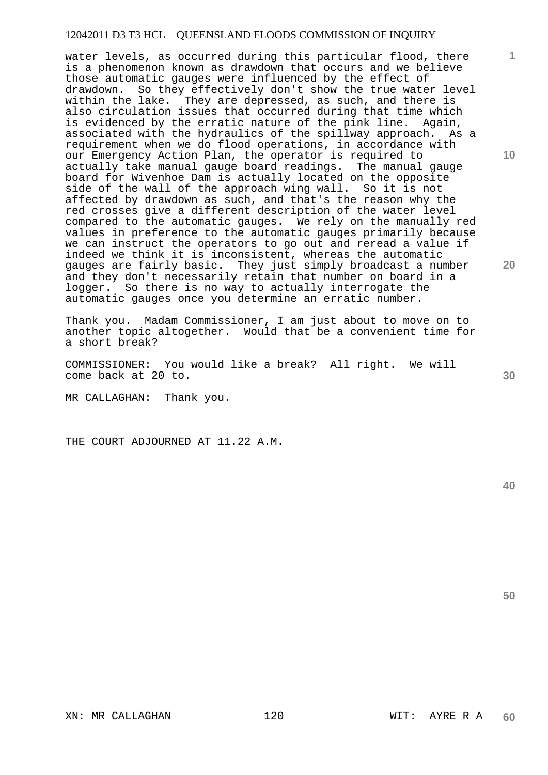water levels, as occurred during this particular flood, there is a phenomenon known as drawdown that occurs and we believe those automatic gauges were influenced by the effect of drawdown. So they effectively don't show the true water level within the lake. They are depressed, as such, and there is also circulation issues that occurred during that time which is evidenced by the erratic nature of the pink line. Again, associated with the hydraulics of the spillway approach. As a requirement when we do flood operations, in accordance with our Emergency Action Plan, the operator is required to actually take manual gauge board readings. The manual gauge board for Wivenhoe Dam is actually located on the opposite side of the wall of the approach wing wall. So it is not affected by drawdown as such, and that's the reason why the red crosses give a different description of the water level compared to the automatic gauges. We rely on the manually red values in preference to the automatic gauges primarily because we can instruct the operators to go out and reread a value if indeed we think it is inconsistent, whereas the automatic gauges are fairly basic. They just simply broadcast a number and they don't necessarily retain that number on board in a logger. So there is no way to actually interrogate the automatic gauges once you determine an erratic number.

Thank you. Madam Commissioner, I am just about to move on to another topic altogether. Would that be a convenient time for a short break?

COMMISSIONER: You would like a break? All right. We will come back at 20 to.

MR CALLAGHAN: Thank you.

THE COURT ADJOURNED AT 11.22 A.M.

**40** 

**50** 

**10** 

**1**

**20**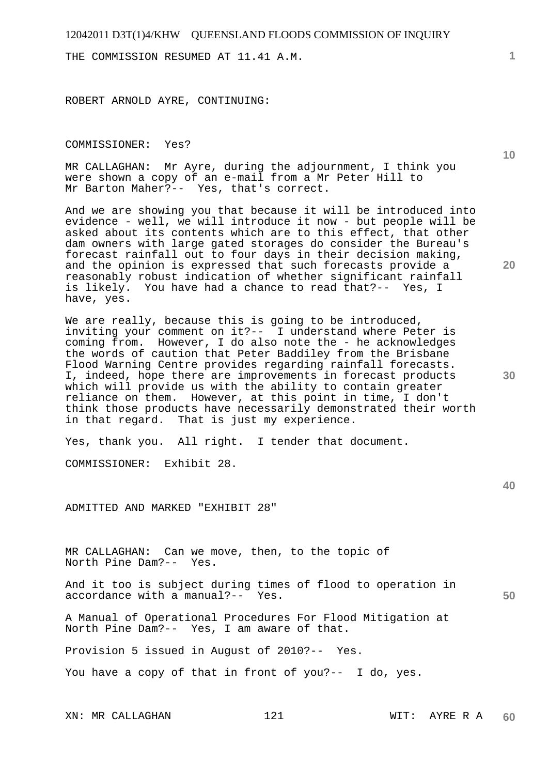THE COMMISSION RESUMED AT 11.41 A.M.

ROBERT ARNOLD AYRE, CONTINUING:

COMMISSIONER: Yes?

MR CALLAGHAN: Mr Ayre, during the adjournment, I think you were shown a copy of an e-mail from a Mr Peter Hill to Mr Barton Maher?-- Yes, that's correct.

And we are showing you that because it will be introduced into evidence - well, we will introduce it now - but people will be asked about its contents which are to this effect, that other dam owners with large gated storages do consider the Bureau's forecast rainfall out to four days in their decision making, and the opinion is expressed that such forecasts provide a reasonably robust indication of whether significant rainfall<br>is likely. You have had a chance to read that?-- Yes, I You have had a chance to read that?-- Yes, I have, yes.

We are really, because this is going to be introduced, inviting your comment on it?-- I understand where Peter is coming from. However, I do also note the - he acknowledges the words of caution that Peter Baddiley from the Brisbane Flood Warning Centre provides regarding rainfall forecasts. I, indeed, hope there are improvements in forecast products which will provide us with the ability to contain greater reliance on them. However, at this point in time, I don't think those products have necessarily demonstrated their worth in that regard. That is just my experience.

Yes, thank you. All right. I tender that document.

COMMISSIONER: Exhibit 28.

ADMITTED AND MARKED "EXHIBIT 28"

MR CALLAGHAN: Can we move, then, to the topic of North Pine Dam?-- Yes.

And it too is subject during times of flood to operation in accordance with a manual?-- Yes.

A Manual of Operational Procedures For Flood Mitigation at North Pine Dam?-- Yes, I am aware of that.

Provision 5 issued in August of 2010?-- Yes.

You have a copy of that in front of you?-- I do, yes.

XN: MR CALLAGHAN 121 WIT: AYRE R A

**1**

**10** 

**30** 

**20** 

**40**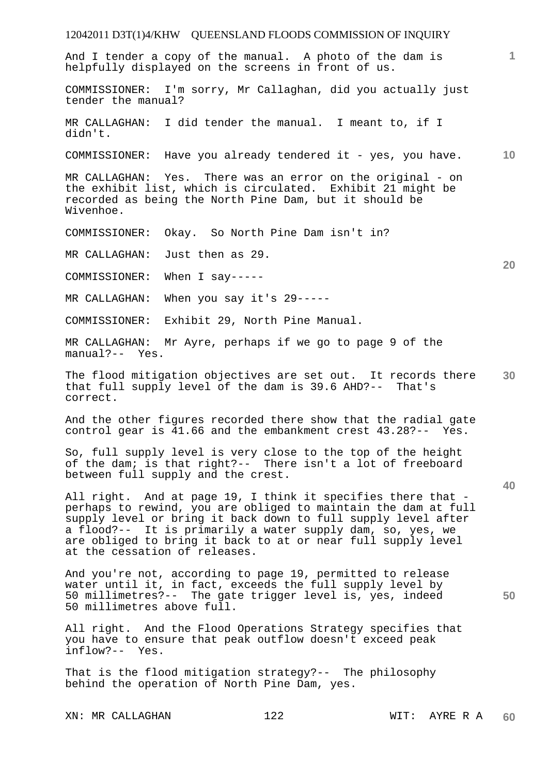# 12042011 D3T(1)4/KHW QUEENSLAND FLOODS COMMISSION OF INQUIRY **1 10 20 30 40 50**  And I tender a copy of the manual. A photo of the dam is helpfully displayed on the screens in front of us. COMMISSIONER: I'm sorry, Mr Callaghan, did you actually just tender the manual? MR CALLAGHAN: I did tender the manual. I meant to, if I didn't. COMMISSIONER: Have you already tendered it - yes, you have. MR CALLAGHAN: Yes. There was an error on the original - on the exhibit list, which is circulated. Exhibit 21 might be recorded as being the North Pine Dam, but it should be Wivenhoe. COMMISSIONER: Okay. So North Pine Dam isn't in? MR CALLAGHAN: Just then as 29. COMMISSIONER: When I say----- MR CALLAGHAN: When you say it's 29----- COMMISSIONER: Exhibit 29, North Pine Manual. MR CALLAGHAN: Mr Ayre, perhaps if we go to page 9 of the manual?-- Yes. The flood mitigation objectives are set out. It records there that full supply level of the dam is 39.6 AHD?-- That's correct. And the other figures recorded there show that the radial gate control gear is 41.66 and the embankment crest 43.28?-- Yes. So, full supply level is very close to the top of the height of the dam; is that right?-- There isn't a lot of freeboard between full supply and the crest. All right. And at page 19, I think it specifies there that perhaps to rewind, you are obliged to maintain the dam at full supply level or bring it back down to full supply level after a flood?-- It is primarily a water supply dam, so, yes, we are obliged to bring it back to at or near full supply level at the cessation of releases. And you're not, according to page 19, permitted to release water until it, in fact, exceeds the full supply level by 50 millimetres?-- The gate trigger level is, yes, indeed 50 millimetres above full. All right. And the Flood Operations Strategy specifies that you have to ensure that peak outflow doesn't exceed peak inflow?-- Yes. That is the flood mitigation strategy?-- The philosophy behind the operation of North Pine Dam, yes.

XN: MR CALLAGHAN 122 WIT: AYRE R A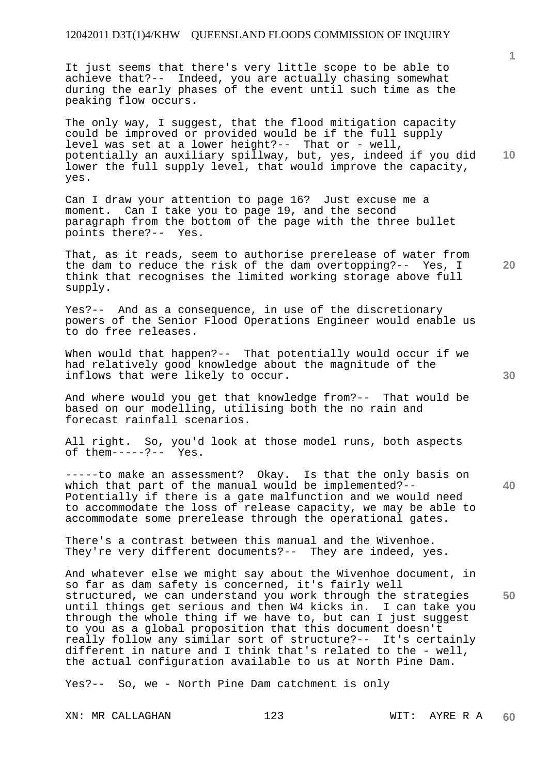It just seems that there's very little scope to be able to achieve that?-- Indeed, you are actually chasing somewhat during the early phases of the event until such time as the peaking flow occurs.

**10**  The only way, I suggest, that the flood mitigation capacity could be improved or provided would be if the full supply level was set at a lower height?-- That or - well, potentially an auxiliary spillway, but, yes, indeed if you did lower the full supply level, that would improve the capacity, yes.

Can I draw your attention to page 16? Just excuse me a moment. Can I take you to page 19, and the second paragraph from the bottom of the page with the three bullet points there?-- Yes.

That, as it reads, seem to authorise prerelease of water from the dam to reduce the risk of the dam overtopping?-- Yes, I think that recognises the limited working storage above full supply.

Yes?-- And as a consequence, in use of the discretionary powers of the Senior Flood Operations Engineer would enable us to do free releases.

When would that happen?-- That potentially would occur if we had relatively good knowledge about the magnitude of the inflows that were likely to occur.

And where would you get that knowledge from?-- That would be based on our modelling, utilising both the no rain and forecast rainfall scenarios.

All right. So, you'd look at those model runs, both aspects of them-----?-- Yes. of them-----?--

-----to make an assessment? Okay. Is that the only basis on which that part of the manual would be implemented?-- Potentially if there is a gate malfunction and we would need to accommodate the loss of release capacity, we may be able to accommodate some prerelease through the operational gates.

There's a contrast between this manual and the Wivenhoe. They're very different documents?-- They are indeed, yes.

And whatever else we might say about the Wivenhoe document, in so far as dam safety is concerned, it's fairly well structured, we can understand you work through the strategies until things get serious and then W4 kicks in. I can take you through the whole thing if we have to, but can I just suggest to you as a global proposition that this document doesn't really follow any similar sort of structure?-- It's certainly different in nature and I think that's related to the - well, the actual configuration available to us at North Pine Dam.

Yes?-- So, we - North Pine Dam catchment is only

XN: MR CALLAGHAN 123 WIT: AYRE R A

**1**

**20** 

**40** 

**50**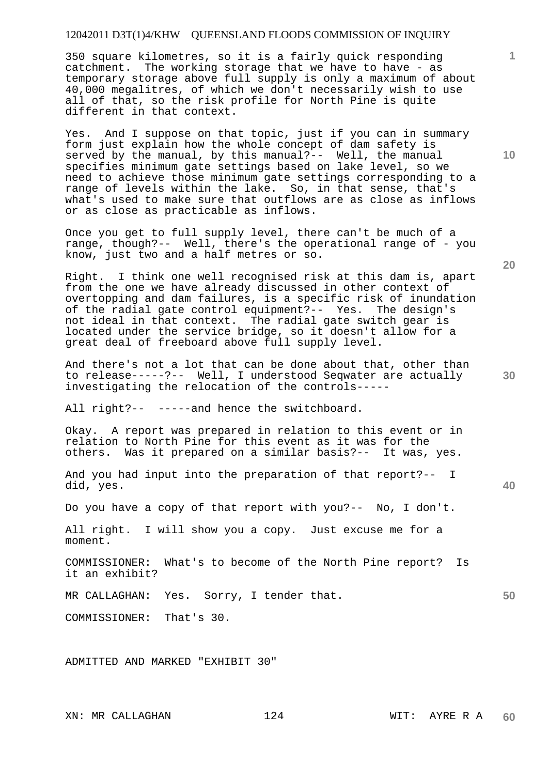350 square kilometres, so it is a fairly quick responding catchment. The working storage that we have to have - as temporary storage above full supply is only a maximum of about 40,000 megalitres, of which we don't necessarily wish to use all of that, so the risk profile for North Pine is quite different in that context.

Yes. And I suppose on that topic, just if you can in summary form just explain how the whole concept of dam safety is served by the manual, by this manual?-- Well, the manual specifies minimum gate settings based on lake level, so we need to achieve those minimum gate settings corresponding to a range of levels within the lake. So, in that sense, that's what's used to make sure that outflows are as close as inflows or as close as practicable as inflows.

Once you get to full supply level, there can't be much of a range, though?-- Well, there's the operational range of - you know, just two and a half metres or so.

Right. I think one well recognised risk at this dam is, apart from the one we have already discussed in other context of overtopping and dam failures, is a specific risk of inundation of the radial gate control equipment?-- Yes. The design's not ideal in that context. The radial gate switch gear is located under the service bridge, so it doesn't allow for a great deal of freeboard above full supply level.

And there's not a lot that can be done about that, other than to release-----?-- Well, I understood Seqwater are actually investigating the relocation of the controls-----

All right?-- -----and hence the switchboard.

Okay. A report was prepared in relation to this event or in relation to North Pine for this event as it was for the others. Was it prepared on a similar basis?-- It was, yes.

And you had input into the preparation of that report?-- I did, yes.

Do you have a copy of that report with you?-- No, I don't.

All right. I will show you a copy. Just excuse me for a moment.

COMMISSIONER: What's to become of the North Pine report? Is it an exhibit?

MR CALLAGHAN: Yes. Sorry, I tender that.

COMMISSIONER: That's 30.

ADMITTED AND MARKED "EXHIBIT 30"

**10** 

**20** 

**1**

**50**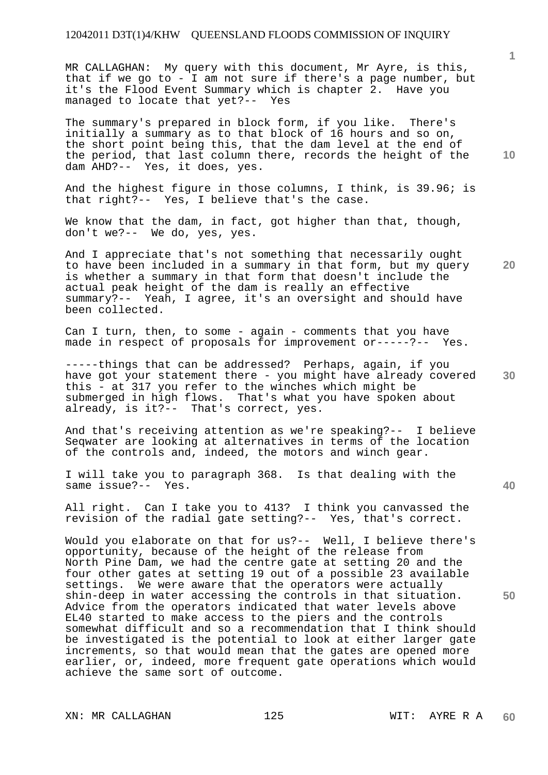MR CALLAGHAN: My query with this document, Mr Ayre, is this, that if we go to - I am not sure if there's a page number, but it's the Flood Event Summary which is chapter 2. Have you managed to locate that yet?-- Yes

The summary's prepared in block form, if you like. There's initially a summary as to that block of 16 hours and so on, the short point being this, that the dam level at the end of the period, that last column there, records the height of the dam AHD?-- Yes, it does, yes.

And the highest figure in those columns, I think, is 39.96; is that right?-- Yes, I believe that's the case.

We know that the dam, in fact, got higher than that, though, don't we?-- We do, yes, yes.

And I appreciate that's not something that necessarily ought to have been included in a summary in that form, but my query is whether a summary in that form that doesn't include the actual peak height of the dam is really an effective summary?-- Yeah, I agree, it's an oversight and should have been collected.

Can I turn, then, to some - again - comments that you have made in respect of proposals for improvement or-----?-- Yes.

**30**  -----things that can be addressed? Perhaps, again, if you have got your statement there - you might have already covered this - at 317 you refer to the winches which might be submerged in high flows. That's what you have spoken about already, is it?-- That's correct, yes.

And that's receiving attention as we're speaking?-- I believe Seqwater are looking at alternatives in terms of the location of the controls and, indeed, the motors and winch gear.

I will take you to paragraph 368. Is that dealing with the same issue?-- Yes.

All right. Can I take you to 413? I think you canvassed the revision of the radial gate setting?-- Yes, that's correct.

Would you elaborate on that for us?-- Well, I believe there's opportunity, because of the height of the release from North Pine Dam, we had the centre gate at setting 20 and the four other gates at setting 19 out of a possible 23 available settings. We were aware that the operators were actually shin-deep in water accessing the controls in that situation. Advice from the operators indicated that water levels above EL40 started to make access to the piers and the controls somewhat difficult and so a recommendation that I think should be investigated is the potential to look at either larger gate increments, so that would mean that the gates are opened more earlier, or, indeed, more frequent gate operations which would achieve the same sort of outcome.

XN: MR CALLAGHAN 125 WIT: AYRE R A

**10** 

**1**

**20** 

**40**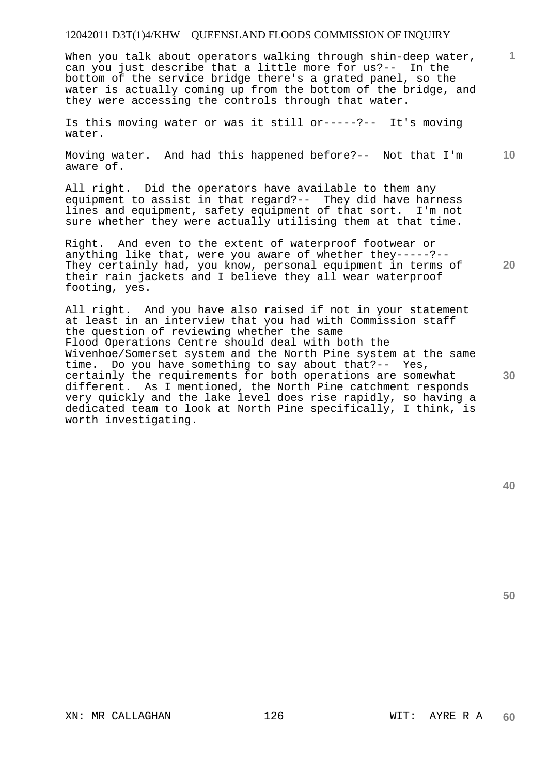When you talk about operators walking through shin-deep water, can you just describe that a little more for us?-- In the bottom of the service bridge there's a grated panel, so the water is actually coming up from the bottom of the bridge, and they were accessing the controls through that water.

Is this moving water or was it still or-----?-- It's moving water.

**10**  Moving water. And had this happened before?-- Not that I'm aware of.

All right. Did the operators have available to them any equipment to assist in that regard?-- They did have harness lines and equipment, safety equipment of that sort. I'm not sure whether they were actually utilising them at that time.

Right. And even to the extent of waterproof footwear or anything like that, were you aware of whether they-----?-- They certainly had, you know, personal equipment in terms of their rain jackets and I believe they all wear waterproof footing, yes.

All right. And you have also raised if not in your statement at least in an interview that you had with Commission staff the question of reviewing whether the same Flood Operations Centre should deal with both the Wivenhoe/Somerset system and the North Pine system at the same time. Do you have something to say about that?-- Yes, certainly the requirements for both operations are somewhat different. As I mentioned, the North Pine catchment responds very quickly and the lake level does rise rapidly, so having a dedicated team to look at North Pine specifically, I think, is worth investigating.

**50** 

**1**

**20**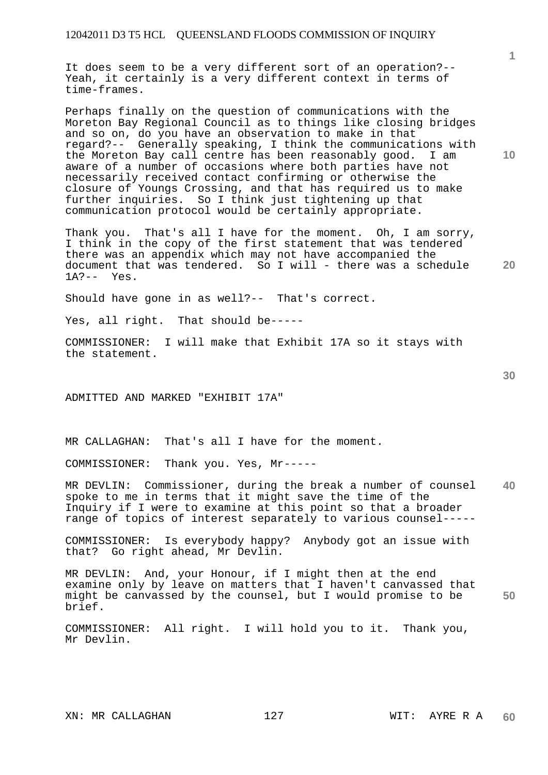It does seem to be a very different sort of an operation?-- Yeah, it certainly is a very different context in terms of time-frames.

Perhaps finally on the question of communications with the Moreton Bay Regional Council as to things like closing bridges and so on, do you have an observation to make in that regard?-- Generally speaking, I think the communications with the Moreton Bay call centre has been reasonably good. I am aware of a number of occasions where both parties have not necessarily received contact confirming or otherwise the closure of Youngs Crossing, and that has required us to make further inquiries. So I think just tightening up that communication protocol would be certainly appropriate.

Thank you. That's all I have for the moment. Oh, I am sorry, I think in the copy of the first statement that was tendered there was an appendix which may not have accompanied the document that was tendered. So I will - there was a schedule 1A?-- Yes.

Should have gone in as well?-- That's correct.

Yes, all right. That should be-----

COMMISSIONER: I will make that Exhibit 17A so it stays with the statement.

ADMITTED AND MARKED "EXHIBIT 17A"

MR CALLAGHAN: That's all I have for the moment.

COMMISSIONER: Thank you. Yes, Mr-----

**40**  MR DEVLIN: Commissioner, during the break a number of counsel spoke to me in terms that it might save the time of the Inquiry if I were to examine at this point so that a broader range of topics of interest separately to various counsel-----

COMMISSIONER: Is everybody happy? Anybody got an issue with that? Go right ahead, Mr Devlin.

**50**  MR DEVLIN: And, your Honour, if I might then at the end examine only by leave on matters that I haven't canvassed that might be canvassed by the counsel, but I would promise to be brief.

COMMISSIONER: All right. I will hold you to it. Thank you, Mr Devlin.

**1**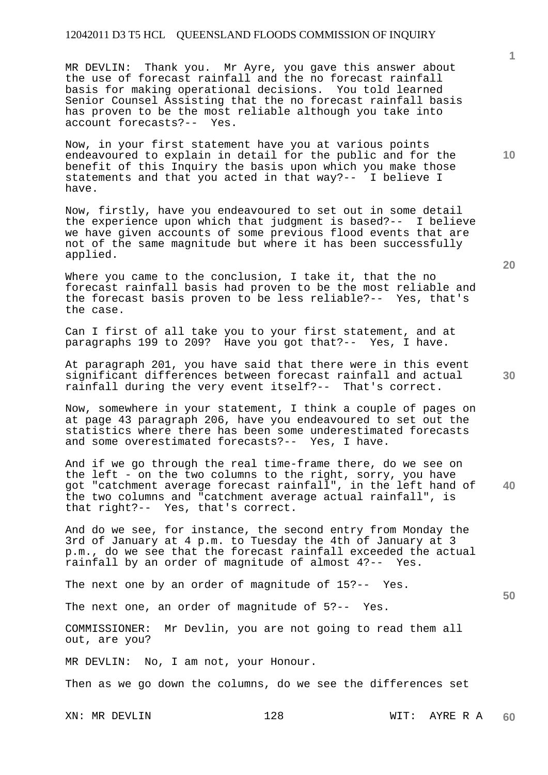MR DEVLIN: Thank you. Mr Ayre, you gave this answer about the use of forecast rainfall and the no forecast rainfall basis for making operational decisions. You told learned Senior Counsel Assisting that the no forecast rainfall basis has proven to be the most reliable although you take into account forecasts?-- Yes.

Now, in your first statement have you at various points endeavoured to explain in detail for the public and for the benefit of this Inquiry the basis upon which you make those statements and that you acted in that way?-- I believe I have.

Now, firstly, have you endeavoured to set out in some detail the experience upon which that judgment is based?-- I believe we have given accounts of some previous flood events that are not of the same magnitude but where it has been successfully applied.

Where you came to the conclusion, I take it, that the no forecast rainfall basis had proven to be the most reliable and the forecast basis proven to be less reliable?-- Yes, that's the case.

Can I first of all take you to your first statement, and at paragraphs 199 to 209? Have you got that?-- Yes, I have.

At paragraph 201, you have said that there were in this event significant differences between forecast rainfall and actual rainfall during the very event itself?-- That's correct.

Now, somewhere in your statement, I think a couple of pages on at page 43 paragraph 206, have you endeavoured to set out the statistics where there has been some underestimated forecasts and some overestimated forecasts?-- Yes, I have.

**40**  And if we go through the real time-frame there, do we see on the left - on the two columns to the right, sorry, you have got "catchment average forecast rainfall", in the left hand of the two columns and "catchment average actual rainfall", is that right?-- Yes, that's correct.

And do we see, for instance, the second entry from Monday the 3rd of January at 4 p.m. to Tuesday the 4th of January at 3 p.m., do we see that the forecast rainfall exceeded the actual rainfall by an order of magnitude of almost 4?-- Yes.

The next one by an order of magnitude of 15?-- Yes.

The next one, an order of magnitude of 5?-- Yes.

COMMISSIONER: Mr Devlin, you are not going to read them all out, are you?

MR DEVLIN: No, I am not, your Honour.

Then as we go down the columns, do we see the differences set

**50** 

**30** 

**10**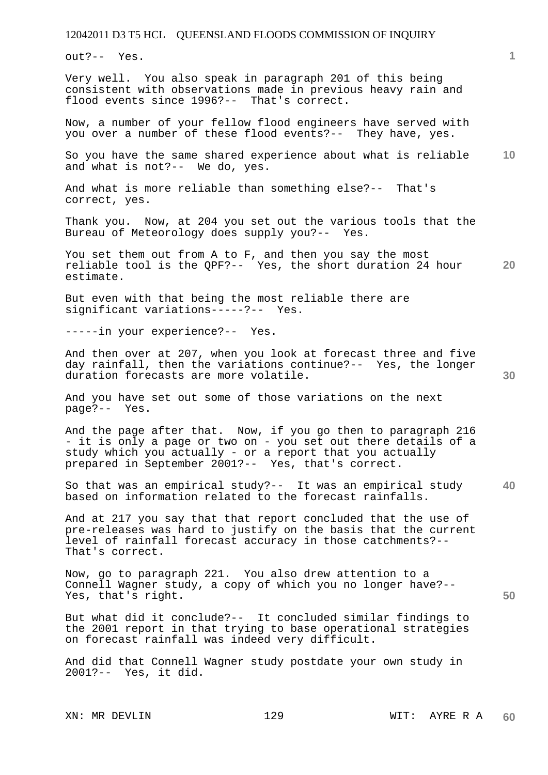out?-- Yes.

Very well. You also speak in paragraph 201 of this being consistent with observations made in previous heavy rain and flood events since 1996?-- That's correct.

Now, a number of your fellow flood engineers have served with you over a number of these flood events?-- They have, yes.

**10**  So you have the same shared experience about what is reliable and what is not?-- We do, yes.

And what is more reliable than something else?-- That's correct, yes.

Thank you. Now, at 204 you set out the various tools that the Bureau of Meteorology does supply you?-- Yes.

**20**  You set them out from A to F, and then you say the most reliable tool is the QPF?-- Yes, the short duration 24 hour estimate.

But even with that being the most reliable there are significant variations-----?-- Yes. significant variations-----?--

-----in your experience?-- Yes.

And then over at 207, when you look at forecast three and five day rainfall, then the variations continue?-- Yes, the longer duration forecasts are more volatile.

And you have set out some of those variations on the next page?-- Yes.

And the page after that. Now, if you go then to paragraph 216 - it is only a page or two on - you set out there details of a study which you actually - or a report that you actually prepared in September 2001?-- Yes, that's correct.

**40**  So that was an empirical study?-- It was an empirical study based on information related to the forecast rainfalls.

And at 217 you say that that report concluded that the use of pre-releases was hard to justify on the basis that the current level of rainfall forecast accuracy in those catchments?-- That's correct.

Now, go to paragraph 221. You also drew attention to a Connell Wagner study, a copy of which you no longer have?-- Yes, that's right.

But what did it conclude?-- It concluded similar findings to the 2001 report in that trying to base operational strategies on forecast rainfall was indeed very difficult.

And did that Connell Wagner study postdate your own study in 2001?-- Yes, it did.

**50**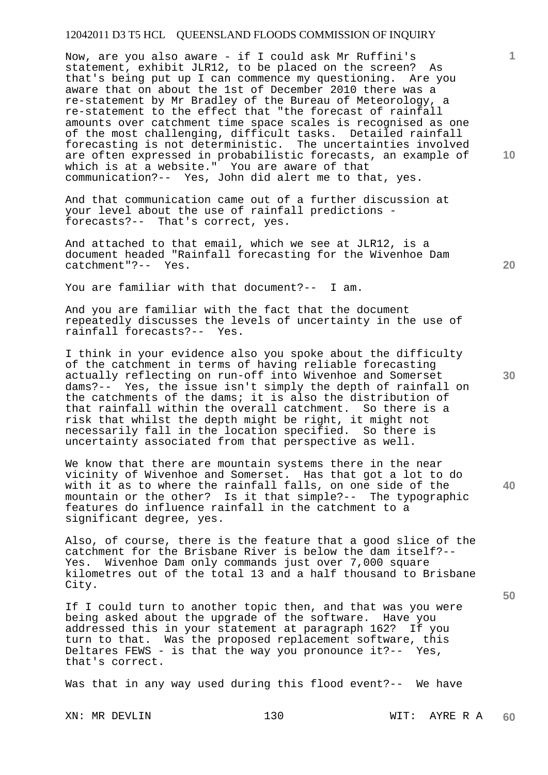Now, are you also aware - if I could ask Mr Ruffini's statement, exhibit JLR12, to be placed on the screen? As that's being put up I can commence my questioning. Are you aware that on about the 1st of December 2010 there was a re-statement by Mr Bradley of the Bureau of Meteorology, a re-statement to the effect that "the forecast of rainfall amounts over catchment time space scales is recognised as one of the most challenging, difficult tasks. Detailed rainfall forecasting is not deterministic. The uncertainties involved are often expressed in probabilistic forecasts, an example of which is at a website." You are aware of that communication?-- Yes, John did alert me to that, yes.

And that communication came out of a further discussion at your level about the use of rainfall predictions forecasts?-- That's correct, yes.

And attached to that email, which we see at JLR12, is a document headed "Rainfall forecasting for the Wivenhoe Dam catchment"?-- Yes.

You are familiar with that document?-- I am.

And you are familiar with the fact that the document repeatedly discusses the levels of uncertainty in the use of rainfall forecasts?-- Yes.

I think in your evidence also you spoke about the difficulty of the catchment in terms of having reliable forecasting actually reflecting on run-off into Wivenhoe and Somerset dams?-- Yes, the issue isn't simply the depth of rainfall on the catchments of the dams; it is also the distribution of that rainfall within the overall catchment. So there is a risk that whilst the depth might be right, it might not necessarily fall in the location specified. So there is uncertainty associated from that perspective as well.

We know that there are mountain systems there in the near vicinity of Wivenhoe and Somerset. Has that got a lot to do with it as to where the rainfall falls, on one side of the mountain or the other? Is it that simple?-- The typographic features do influence rainfall in the catchment to a significant degree, yes.

Also, of course, there is the feature that a good slice of the catchment for the Brisbane River is below the dam itself?-- Yes. Wivenhoe Dam only commands just over 7,000 square kilometres out of the total 13 and a half thousand to Brisbane City.

If I could turn to another topic then, and that was you were being asked about the upgrade of the software. Have you addressed this in your statement at paragraph 162? If you turn to that. Was the proposed replacement software, this Deltares FEWS - is that the way you pronounce it?-- Yes, that's correct.

Was that in any way used during this flood event?-- We have

**10** 

**1**

**30** 

**20** 

**40**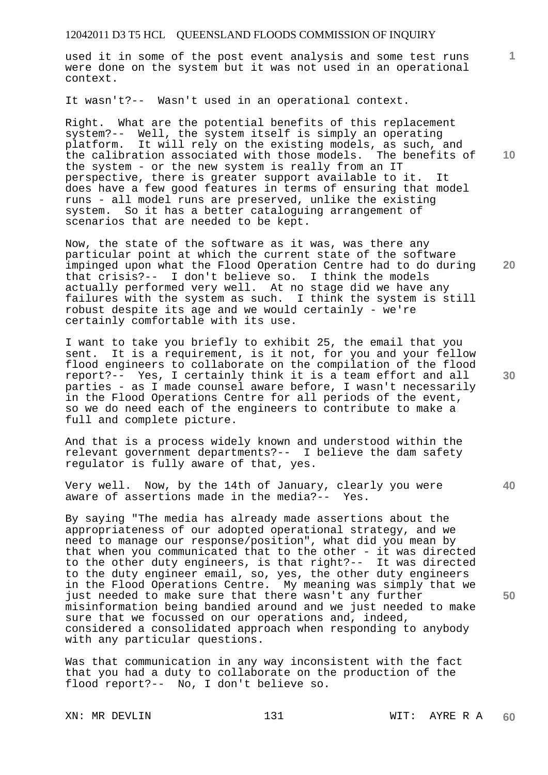used it in some of the post event analysis and some test runs were done on the system but it was not used in an operational context.

It wasn't?-- Wasn't used in an operational context.

Right. What are the potential benefits of this replacement system?-- Well, the system itself is simply an operating platform. It will rely on the existing models, as such, and the calibration associated with those models. The benefits of the system - or the new system is really from an IT perspective, there is greater support available to it. It does have a few good features in terms of ensuring that model runs - all model runs are preserved, unlike the existing system. So it has a better cataloguing arrangement of scenarios that are needed to be kept.

Now, the state of the software as it was, was there any particular point at which the current state of the software impinged upon what the Flood Operation Centre had to do during that crisis?-- I don't believe so. I think the models actually performed very well. At no stage did we have any failures with the system as such. I think the system is still robust despite its age and we would certainly - we're certainly comfortable with its use.

I want to take you briefly to exhibit 25, the email that you sent. It is a requirement, is it not, for you and your fellow flood engineers to collaborate on the compilation of the flood report?-- Yes, I certainly think it is a team effort and all parties - as I made counsel aware before, I wasn't necessarily in the Flood Operations Centre for all periods of the event, so we do need each of the engineers to contribute to make a full and complete picture.

And that is a process widely known and understood within the relevant government departments?-- I believe the dam safety regulator is fully aware of that, yes.

Very well. Now, by the 14th of January, clearly you were<br>aware of assertions made in the media?-- Yes. aware of assertions made in the media?--

By saying "The media has already made assertions about the appropriateness of our adopted operational strategy, and we need to manage our response/position", what did you mean by that when you communicated that to the other - it was directed to the other duty engineers, is that right?-- It was directed to the duty engineer email, so, yes, the other duty engineers in the Flood Operations Centre. My meaning was simply that we just needed to make sure that there wasn't any further misinformation being bandied around and we just needed to make sure that we focussed on our operations and, indeed, considered a consolidated approach when responding to anybody with any particular questions.

Was that communication in any way inconsistent with the fact that you had a duty to collaborate on the production of the flood report?-- No, I don't believe so.

**10** 

**1**

**30** 

**40** 

**50**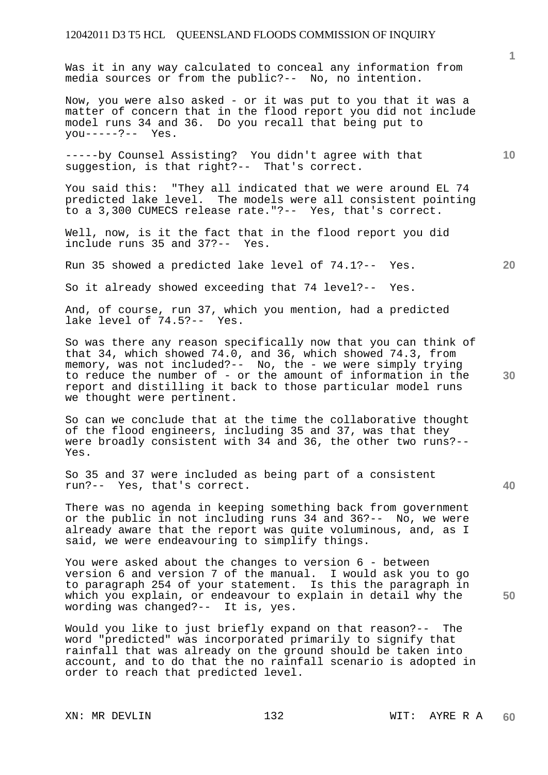Was it in any way calculated to conceal any information from media sources or from the public?-- No, no intention.

Now, you were also asked - or it was put to you that it was a matter of concern that in the flood report you did not include model runs 34 and 36. Do you recall that being put to you-----?-- Yes.

-----by Counsel Assisting? You didn't agree with that suggestion, is that right?-- That's correct.

You said this: "They all indicated that we were around EL 74 predicted lake level. The models were all consistent pointing to a 3,300 CUMECS release rate."?-- Yes, that's correct.

Well, now, is it the fact that in the flood report you did include runs 35 and 37?-- Yes.

Run 35 showed a predicted lake level of 74.1?-- Yes.

So it already showed exceeding that 74 level?-- Yes.

And, of course, run 37, which you mention, had a predicted lake level of 74.5?-- Yes.

So was there any reason specifically now that you can think of that 34, which showed 74.0, and 36, which showed 74.3, from memory, was not included?-- No, the - we were simply trying to reduce the number of - or the amount of information in the report and distilling it back to those particular model runs we thought were pertinent.

So can we conclude that at the time the collaborative thought of the flood engineers, including 35 and 37, was that they were broadly consistent with 34 and 36, the other two runs?-- Yes.

So 35 and 37 were included as being part of a consistent run?-- Yes, that's correct.

There was no agenda in keeping something back from government or the public in not including runs 34 and 36?-- No, we were already aware that the report was quite voluminous, and, as I said, we were endeavouring to simplify things.

You were asked about the changes to version 6 - between version 6 and version 7 of the manual. I would ask you to go to paragraph 254 of your statement. Is this the paragraph in which you explain, or endeavour to explain in detail why the wording was changed?-- It is, yes.

Would you like to just briefly expand on that reason?-- The word "predicted" was incorporated primarily to signify that rainfall that was already on the ground should be taken into account, and to do that the no rainfall scenario is adopted in order to reach that predicted level.

**10** 

**1**

**30** 

**20** 

**40**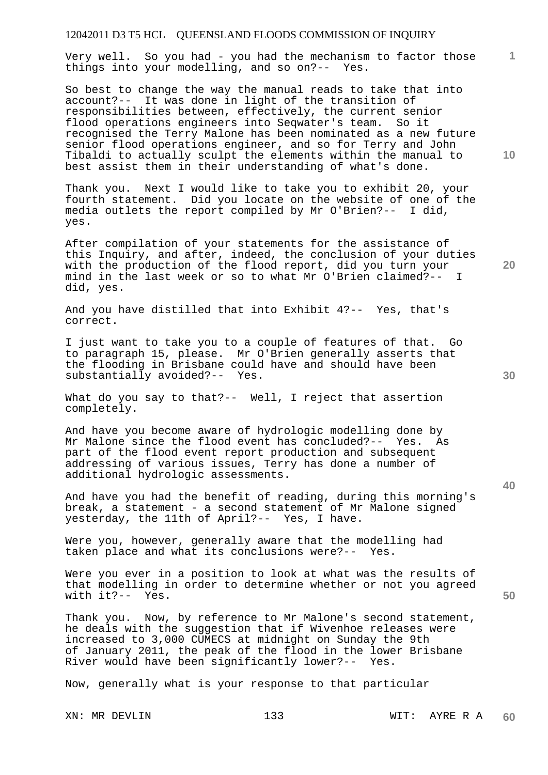Very well. So you had - you had the mechanism to factor those things into your modelling, and so on?-- Yes.

So best to change the way the manual reads to take that into account?-- It was done in light of the transition of responsibilities between, effectively, the current senior flood operations engineers into Seqwater's team. So it recognised the Terry Malone has been nominated as a new future senior flood operations engineer, and so for Terry and John Tibaldi to actually sculpt the elements within the manual to best assist them in their understanding of what's done.

Thank you. Next I would like to take you to exhibit 20, your fourth statement. Did you locate on the website of one of the media outlets the report compiled by Mr O'Brien?-- I did, yes.

After compilation of your statements for the assistance of this Inquiry, and after, indeed, the conclusion of your duties with the production of the flood report, did you turn your mind in the last week or so to what Mr O'Brien claimed?-did, yes.

And you have distilled that into Exhibit 4?-- Yes, that's correct.

I just want to take you to a couple of features of that. Go to paragraph 15, please. Mr O'Brien generally asserts that the flooding in Brisbane could have and should have been substantially avoided?-- Yes.

What do you say to that?-- Well, I reject that assertion completely.

And have you become aware of hydrologic modelling done by Mr Malone since the flood event has concluded?-- Yes. As part of the flood event report production and subsequent addressing of various issues, Terry has done a number of additional hydrologic assessments.

And have you had the benefit of reading, during this morning's break, a statement - a second statement of Mr Malone signed yesterday, the 11th of April?-- Yes, I have.

Were you, however, generally aware that the modelling had taken place and what its conclusions were?-- Yes.

Were you ever in a position to look at what was the results of that modelling in order to determine whether or not you agreed with it?-- Yes.

Thank you. Now, by reference to Mr Malone's second statement, he deals with the suggestion that if Wivenhoe releases were increased to 3,000 CUMECS at midnight on Sunday the 9th of January 2011, the peak of the flood in the lower Brisbane River would have been significantly lower?-- Yes.

Now, generally what is your response to that particular

**20** 

**40** 

**50** 

**10**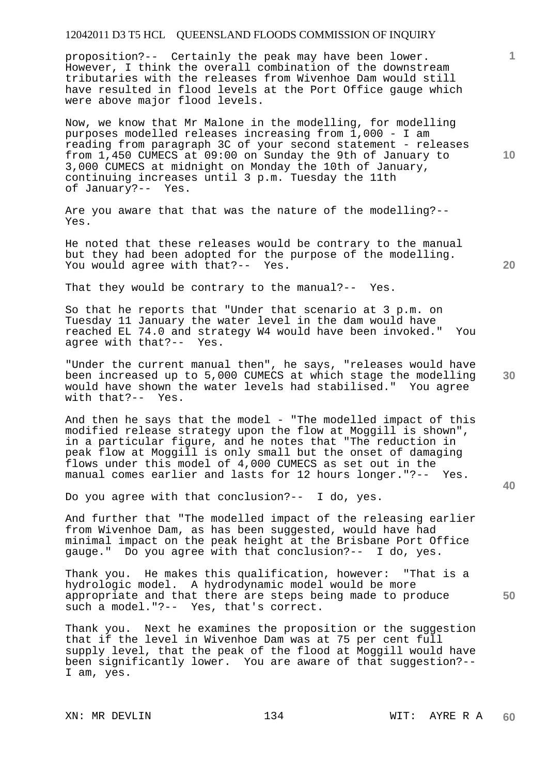proposition?-- Certainly the peak may have been lower. However, I think the overall combination of the downstream tributaries with the releases from Wivenhoe Dam would still have resulted in flood levels at the Port Office gauge which were above major flood levels.

Now, we know that Mr Malone in the modelling, for modelling purposes modelled releases increasing from 1,000 - I am reading from paragraph 3C of your second statement - releases from 1,450 CUMECS at 09:00 on Sunday the 9th of January to 3,000 CUMECS at midnight on Monday the 10th of January, continuing increases until 3 p.m. Tuesday the 11th of January?-- Yes.

Are you aware that that was the nature of the modelling?-- Yes.

He noted that these releases would be contrary to the manual but they had been adopted for the purpose of the modelling. You would agree with that?-- Yes.

That they would be contrary to the manual?-- Yes.

So that he reports that "Under that scenario at 3 p.m. on Tuesday 11 January the water level in the dam would have reached EL 74.0 and strategy W4 would have been invoked." You agree with that?-- Yes.

"Under the current manual then", he says, "releases would have been increased up to 5,000 CUMECS at which stage the modelling would have shown the water levels had stabilised." You agree with that?-- Yes.

And then he says that the model - "The modelled impact of this modified release strategy upon the flow at Moggill is shown", in a particular figure, and he notes that "The reduction in peak flow at Moggill is only small but the onset of damaging flows under this model of 4,000 CUMECS as set out in the manual comes earlier and lasts for 12 hours longer."?-- Yes.

Do you agree with that conclusion?-- I do, yes.

And further that "The modelled impact of the releasing earlier from Wivenhoe Dam, as has been suggested, would have had minimal impact on the peak height at the Brisbane Port Office gauge." Do you agree with that conclusion?-- I do, yes.

Thank you. He makes this qualification, however: "That is a hydrologic model. A hydrodynamic model would be more appropriate and that there are steps being made to produce such a model."?-- Yes, that's correct.

Thank you. Next he examines the proposition or the suggestion that if the level in Wivenhoe Dam was at 75 per cent full supply level, that the peak of the flood at Moggill would have been significantly lower. You are aware of that suggestion?-- I am, yes.

**10** 

**1**

**20** 

**30** 

**40**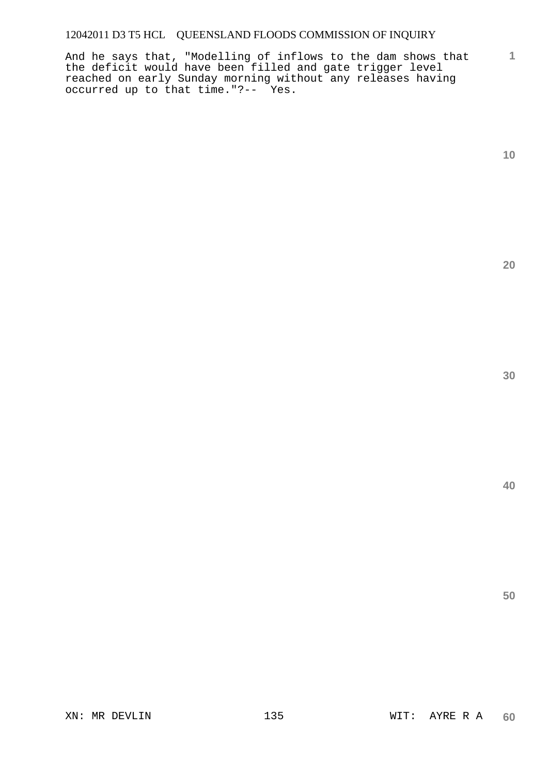And he says that, "Modelling of inflows to the dam shows that the deficit would have been filled and gate trigger level reached on early Sunday morning without any releases having occurred up to that time."?-- Yes.

**1**

**20** 

**40**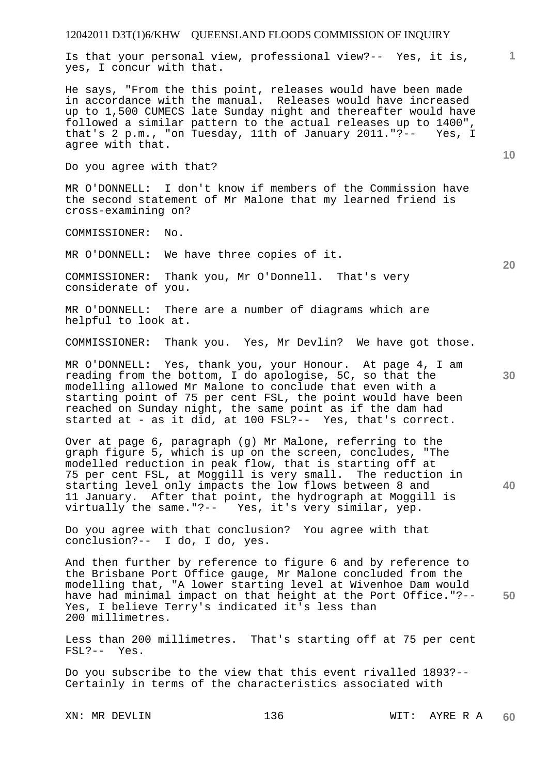Is that your personal view, professional view?-- Yes, it is, yes, I concur with that.

He says, "From the this point, releases would have been made in accordance with the manual. Releases would have increased up to 1,500 CUMECS late Sunday night and thereafter would have followed a similar pattern to the actual releases up to 1400", that's 2 p.m., "on Tuesday, 11th of January 2011."?-- Yes, I agree with that.

Do you agree with that?

MR O'DONNELL: I don't know if members of the Commission have the second statement of Mr Malone that my learned friend is cross-examining on?

COMMISSIONER: No.

MR O'DONNELL: We have three copies of it.

COMMISSIONER: Thank you, Mr O'Donnell. That's very considerate of you.

MR O'DONNELL: There are a number of diagrams which are helpful to look at.

COMMISSIONER: Thank you. Yes, Mr Devlin? We have got those.

MR O'DONNELL: Yes, thank you, your Honour. At page 4, I am reading from the bottom, I do apologise, 5C, so that the modelling allowed Mr Malone to conclude that even with a starting point of 75 per cent FSL, the point would have been reached on Sunday night, the same point as if the dam had started at - as it did, at 100 FSL?-- Yes, that's correct.

Over at page 6, paragraph (g) Mr Malone, referring to the graph figure 5, which is up on the screen, concludes, "The modelled reduction in peak flow, that is starting off at 75 per cent FSL, at Moggill is very small. The reduction in starting level only impacts the low flows between 8 and 11 January. After that point, the hydrograph at Moggill is virtually the same."?-- Yes, it's very similar, yep.

Do you agree with that conclusion? You agree with that conclusion?-- I do, I do, yes.

**50**  And then further by reference to figure 6 and by reference to the Brisbane Port Office gauge, Mr Malone concluded from the modelling that, "A lower starting level at Wivenhoe Dam would have had minimal impact on that height at the Port Office."?-- Yes, I believe Terry's indicated it's less than 200 millimetres.

Less than 200 millimetres. That's starting off at 75 per cent FSL?-- Yes.

Do you subscribe to the view that this event rivalled 1893?-- Certainly in terms of the characteristics associated with

**10** 

**1**

**20** 

**30**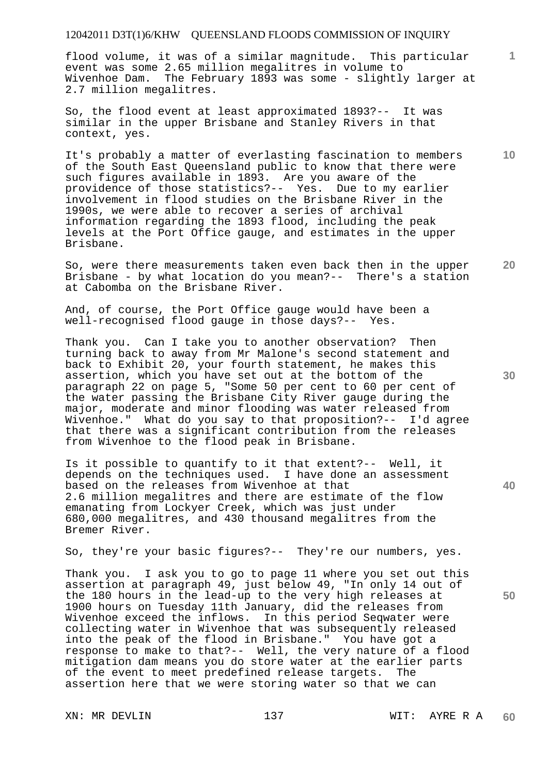flood volume, it was of a similar magnitude. This particular event was some 2.65 million megalitres in volume to Wivenhoe Dam. The February 1893 was some - slightly larger at 2.7 million megalitres.

So, the flood event at least approximated 1893?-- It was similar in the upper Brisbane and Stanley Rivers in that context, yes.

It's probably a matter of everlasting fascination to members of the South East Queensland public to know that there were such figures available in 1893. Are you aware of the providence of those statistics?-- Yes. Due to my earlier involvement in flood studies on the Brisbane River in the 1990s, we were able to recover a series of archival information regarding the 1893 flood, including the peak levels at the Port Office gauge, and estimates in the upper Brisbane.

So, were there measurements taken even back then in the upper Brisbane - by what location do you mean?-- There's a station at Cabomba on the Brisbane River.

And, of course, the Port Office gauge would have been a well-recognised flood gauge in those days?-- Yes.

Thank you. Can I take you to another observation? Then turning back to away from Mr Malone's second statement and back to Exhibit 20, your fourth statement, he makes this assertion, which you have set out at the bottom of the paragraph 22 on page 5, "Some 50 per cent to 60 per cent of the water passing the Brisbane City River gauge during the major, moderate and minor flooding was water released from Wivenhoe." What do you say to that proposition?-- I'd agree that there was a significant contribution from the releases from Wivenhoe to the flood peak in Brisbane.

Is it possible to quantify to it that extent?-- Well, it depends on the techniques used. I have done an assessment based on the releases from Wivenhoe at that 2.6 million megalitres and there are estimate of the flow emanating from Lockyer Creek, which was just under 680,000 megalitres, and 430 thousand megalitres from the Bremer River.

So, they're your basic figures?-- They're our numbers, yes.

Thank you. I ask you to go to page 11 where you set out this assertion at paragraph 49, just below 49, "In only 14 out of the 180 hours in the lead-up to the very high releases at 1900 hours on Tuesday 11th January, did the releases from Wivenhoe exceed the inflows. In this period Seqwater were collecting water in Wivenhoe that was subsequently released into the peak of the flood in Brisbane." You have got a response to make to that?-- Well, the very nature of a flood mitigation dam means you do store water at the earlier parts of the event to meet predefined release targets. The assertion here that we were storing water so that we can

**40** 

**50** 

**20** 

**10**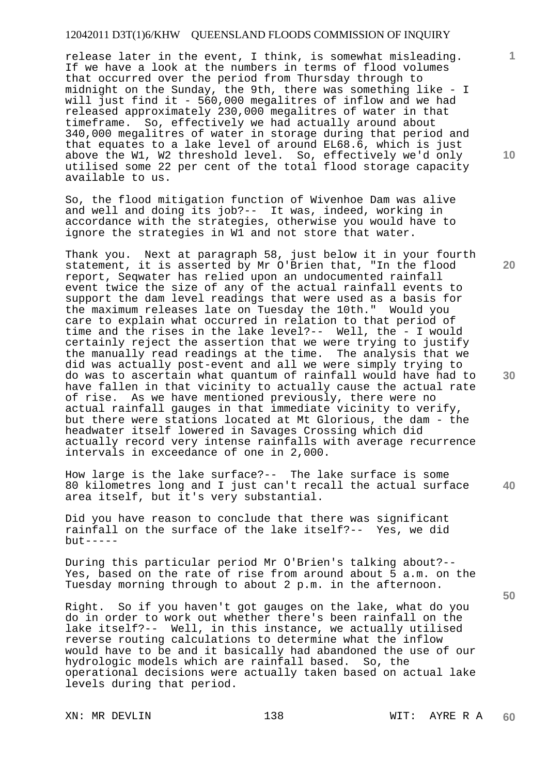release later in the event, I think, is somewhat misleading. If we have a look at the numbers in terms of flood volumes that occurred over the period from Thursday through to midnight on the Sunday, the 9th, there was something like - I will just find it - 560,000 megalitres of inflow and we had released approximately 230,000 megalitres of water in that timeframe. So, effectively we had actually around about 340,000 megalitres of water in storage during that period and that equates to a lake level of around EL68.6, which is just above the W1, W2 threshold level. So, effectively we'd only utilised some 22 per cent of the total flood storage capacity available to us.

So, the flood mitigation function of Wivenhoe Dam was alive and well and doing its job?-- It was, indeed, working in accordance with the strategies, otherwise you would have to ignore the strategies in W1 and not store that water.

Thank you. Next at paragraph 58, just below it in your fourth statement, it is asserted by Mr O'Brien that, "In the flood report, Seqwater has relied upon an undocumented rainfall event twice the size of any of the actual rainfall events to support the dam level readings that were used as a basis for the maximum releases late on Tuesday the 10th." Would you care to explain what occurred in relation to that period of time and the rises in the lake level?-- Well, the - I would certainly reject the assertion that we were trying to justify the manually read readings at the time. The analysis that we did was actually post-event and all we were simply trying to do was to ascertain what quantum of rainfall would have had to have fallen in that vicinity to actually cause the actual rate of rise. As we have mentioned previously, there were no actual rainfall gauges in that immediate vicinity to verify, but there were stations located at Mt Glorious, the dam - the headwater itself lowered in Savages Crossing which did actually record very intense rainfalls with average recurrence intervals in exceedance of one in 2,000.

**40**  How large is the lake surface?-- The lake surface is some 80 kilometres long and I just can't recall the actual surface area itself, but it's very substantial.

Did you have reason to conclude that there was significant rainfall on the surface of the lake itself?-- Yes, we did  $but --- -$ 

During this particular period Mr O'Brien's talking about?-- Yes, based on the rate of rise from around about 5 a.m. on the Tuesday morning through to about 2 p.m. in the afternoon.

Right. So if you haven't got gauges on the lake, what do you do in order to work out whether there's been rainfall on the lake itself?-- Well, in this instance, we actually utilised reverse routing calculations to determine what the inflow would have to be and it basically had abandoned the use of our hydrologic models which are rainfall based. So, the operational decisions were actually taken based on actual lake levels during that period.

XN: MR DEVLIN 138 WIT: AYRE R A

**10** 

**1**

**20** 

**30**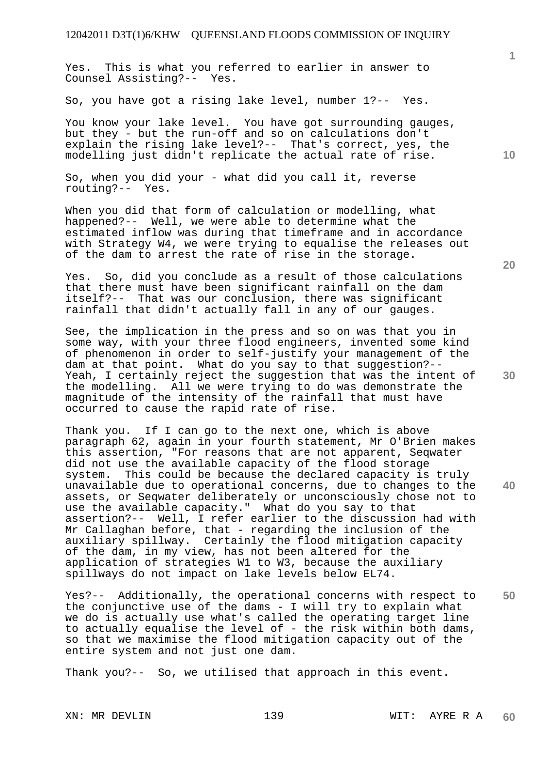Yes. This is what you referred to earlier in answer to Counsel Assisting?-- Yes.

So, you have got a rising lake level, number 1?-- Yes.

You know your lake level. You have got surrounding gauges, but they - but the run-off and so on calculations don't explain the rising lake level?-- That's correct, yes, the modelling just didn't replicate the actual rate of rise.

So, when you did your - what did you call it, reverse routing?-- Yes.

When you did that form of calculation or modelling, what happened?-- Well, we were able to determine what the estimated inflow was during that timeframe and in accordance with Strategy W4, we were trying to equalise the releases out of the dam to arrest the rate of rise in the storage.

Yes. So, did you conclude as a result of those calculations that there must have been significant rainfall on the dam itself?-- That was our conclusion, there was significant rainfall that didn't actually fall in any of our gauges.

See, the implication in the press and so on was that you in some way, with your three flood engineers, invented some kind of phenomenon in order to self-justify your management of the dam at that point. What do you say to that suggestion?-- Yeah, I certainly reject the suggestion that was the intent of the modelling. All we were trying to do was demonstrate the magnitude of the intensity of the rainfall that must have occurred to cause the rapid rate of rise.

Thank you. If I can go to the next one, which is above paragraph 62, again in your fourth statement, Mr O'Brien makes this assertion, "For reasons that are not apparent, Seqwater did not use the available capacity of the flood storage system. This could be because the declared capacity is truly unavailable due to operational concerns, due to changes to the assets, or Seqwater deliberately or unconsciously chose not to use the available capacity." What do you say to that assertion?-- Well, I refer earlier to the discussion had with Mr Callaghan before, that - regarding the inclusion of the auxiliary spillway. Certainly the flood mitigation capacity of the dam, in my view, has not been altered for the application of strategies W1 to W3, because the auxiliary spillways do not impact on lake levels below EL74.

**50**  Yes?-- Additionally, the operational concerns with respect to the conjunctive use of the dams - I will try to explain what we do is actually use what's called the operating target line to actually equalise the level of - the risk within both dams, so that we maximise the flood mitigation capacity out of the entire system and not just one dam.

Thank you?-- So, we utilised that approach in this event.

**10** 

**1**

**20** 

**30**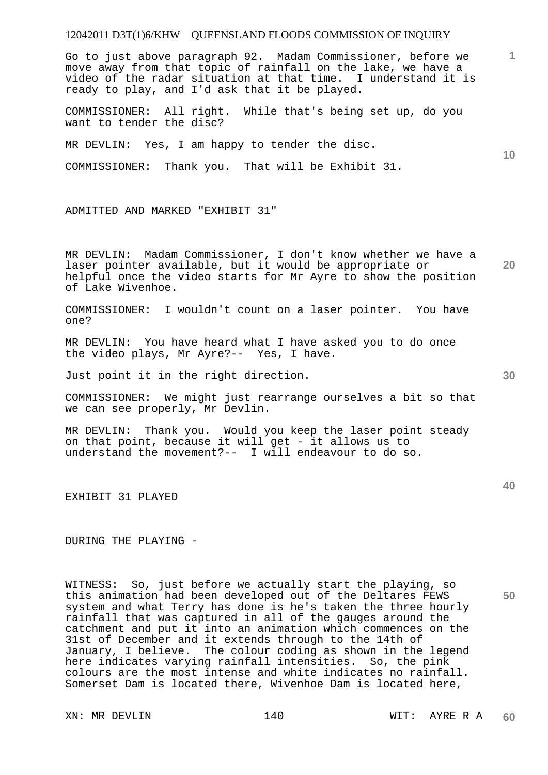Go to just above paragraph 92. Madam Commissioner, before we move away from that topic of rainfall on the lake, we have a video of the radar situation at that time. I understand it is ready to play, and I'd ask that it be played.

COMMISSIONER: All right. While that's being set up, do you want to tender the disc?

MR DEVLIN: Yes, I am happy to tender the disc.

COMMISSIONER: Thank you. That will be Exhibit 31.

ADMITTED AND MARKED "EXHIBIT 31"

MR DEVLIN: Madam Commissioner, I don't know whether we have a laser pointer available, but it would be appropriate or helpful once the video starts for Mr Ayre to show the position of Lake Wivenhoe.

COMMISSIONER: I wouldn't count on a laser pointer. You have one?

MR DEVLIN: You have heard what I have asked you to do once the video plays, Mr Ayre?-- Yes, I have.

Just point it in the right direction.

COMMISSIONER: We might just rearrange ourselves a bit so that we can see properly, Mr Devlin.

MR DEVLIN: Thank you. Would you keep the laser point steady on that point, because it will get - it allows us to understand the movement?-- I will endeavour to do so.

EXHIBIT 31 PLAYED

DURING THE PLAYING -

WITNESS: So, just before we actually start the playing, so this animation had been developed out of the Deltares FEWS system and what Terry has done is he's taken the three hourly rainfall that was captured in all of the gauges around the catchment and put it into an animation which commences on the 31st of December and it extends through to the 14th of January, I believe. The colour coding as shown in the legend here indicates varying rainfall intensities. So, the pink colours are the most intense and white indicates no rainfall. Somerset Dam is located there, Wivenhoe Dam is located here,

XN: MR DEVLIN 140 140 WIT: AYRE R A

**10** 

**20** 

**1**

**30**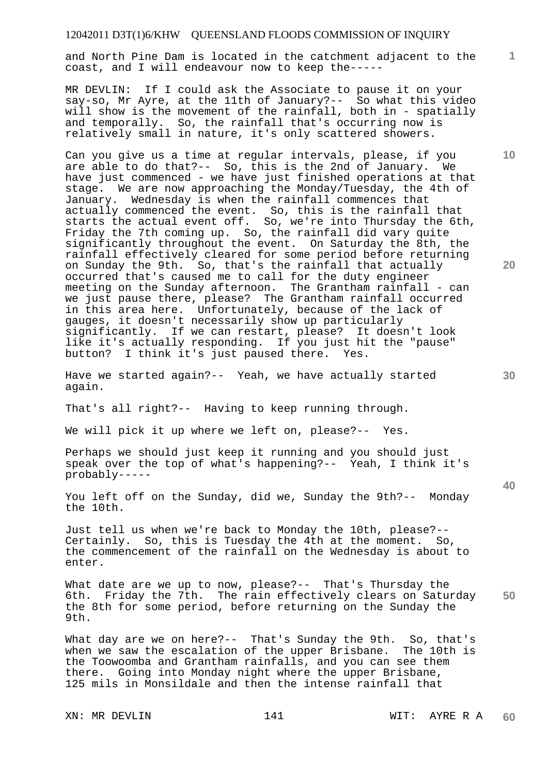and North Pine Dam is located in the catchment adjacent to the coast, and I will endeavour now to keep the-----

MR DEVLIN: If I could ask the Associate to pause it on your say-so, Mr Ayre, at the 11th of January?-- So what this video will show is the movement of the rainfall, both in - spatially and temporally. So, the rainfall that's occurring now is relatively small in nature, it's only scattered showers.

Can you give us a time at regular intervals, please, if you are able to do that?-- So, this is the 2nd of January. We have just commenced - we have just finished operations at that stage. We are now approaching the Monday/Tuesday, the 4th of January. Wednesday is when the rainfall commences that actually commenced the event. So, this is the rainfall that starts the actual event off. So, we're into Thursday the 6th, Friday the 7th coming up. So, the rainfall did vary quite significantly throughout the event. On Saturday the 8th, the rainfall effectively cleared for some period before returning on Sunday the 9th. So, that's the rainfall that actually occurred that's caused me to call for the duty engineer meeting on the Sunday afternoon. The Grantham rainfall - can we just pause there, please? The Grantham rainfall occurred in this area here. Unfortunately, because of the lack of gauges, it doesn't necessarily show up particularly significantly. If we can restart, please? It doesn't look like it's actually responding. If you just hit the "pause" button? I think it's just paused there. Yes.

Have we started again?-- Yeah, we have actually started again.

That's all right?-- Having to keep running through.

We will pick it up where we left on, please?-- Yes.

Perhaps we should just keep it running and you should just speak over the top of what's happening?-- Yeah, I think it's probably-----

You left off on the Sunday, did we, Sunday the 9th?-- Monday the 10th.

Just tell us when we're back to Monday the 10th, please?-- Certainly. So, this is Tuesday the 4th at the moment. So, the commencement of the rainfall on the Wednesday is about to enter.

**50**  What date are we up to now, please?-- That's Thursday the 6th. Friday the 7th. The rain effectively clears on Saturday the 8th for some period, before returning on the Sunday the 9th.

What day are we on here?-- That's Sunday the 9th. So, that's when we saw the escalation of the upper Brisbane. The 10th is the Toowoomba and Grantham rainfalls, and you can see them there. Going into Monday night where the upper Brisbane, 125 mils in Monsildale and then the intense rainfall that

**10** 

**1**

**20**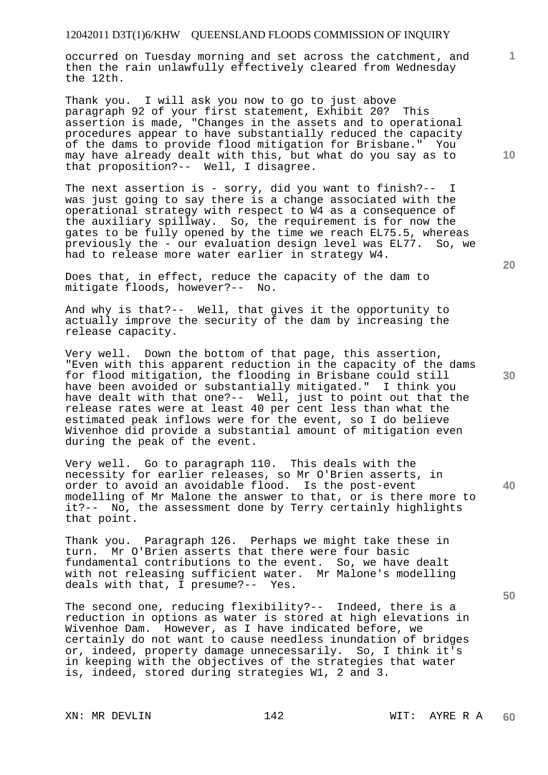occurred on Tuesday morning and set across the catchment, and then the rain unlawfully effectively cleared from Wednesday the 12th.

Thank you. I will ask you now to go to just above paragraph 92 of your first statement, Exhibit 20? This assertion is made, "Changes in the assets and to operational procedures appear to have substantially reduced the capacity of the dams to provide flood mitigation for Brisbane." You may have already dealt with this, but what do you say as to that proposition?-- Well, I disagree.

The next assertion is - sorry, did you want to finish?-- I was just going to say there is a change associated with the operational strategy with respect to W4 as a consequence of the auxiliary spillway. So, the requirement is for now the gates to be fully opened by the time we reach EL75.5, whereas previously the - our evaluation design level was EL77. So, we had to release more water earlier in strategy W4.

Does that, in effect, reduce the capacity of the dam to mitigate floods, however?-- No.

And why is that?-- Well, that gives it the opportunity to actually improve the security of the dam by increasing the release capacity.

Very well. Down the bottom of that page, this assertion, "Even with this apparent reduction in the capacity of the dams for flood mitigation, the flooding in Brisbane could still have been avoided or substantially mitigated." I think you have dealt with that one?-- Well, just to point out that the release rates were at least 40 per cent less than what the estimated peak inflows were for the event, so I do believe Wivenhoe did provide a substantial amount of mitigation even during the peak of the event.

Very well. Go to paragraph 110. This deals with the necessity for earlier releases, so Mr O'Brien asserts, in order to avoid an avoidable flood. Is the post-event modelling of Mr Malone the answer to that, or is there more to it?-- No, the assessment done by Terry certainly highlights that point.

Thank you. Paragraph 126. Perhaps we might take these in turn. Mr O'Brien asserts that there were four basic fundamental contributions to the event. So, we have dealt with not releasing sufficient water. Mr Malone's modelling deals with that, I presume?-- Yes.

The second one, reducing flexibility?-- Indeed, there is a reduction in options as water is stored at high elevations in Wivenhoe Dam. However, as I have indicated before, we certainly do not want to cause needless inundation of bridges or, indeed, property damage unnecessarily. So, I think it's in keeping with the objectives of the strategies that water is, indeed, stored during strategies W1, 2 and 3.

**20** 

**10** 

**1**

**30** 

**50**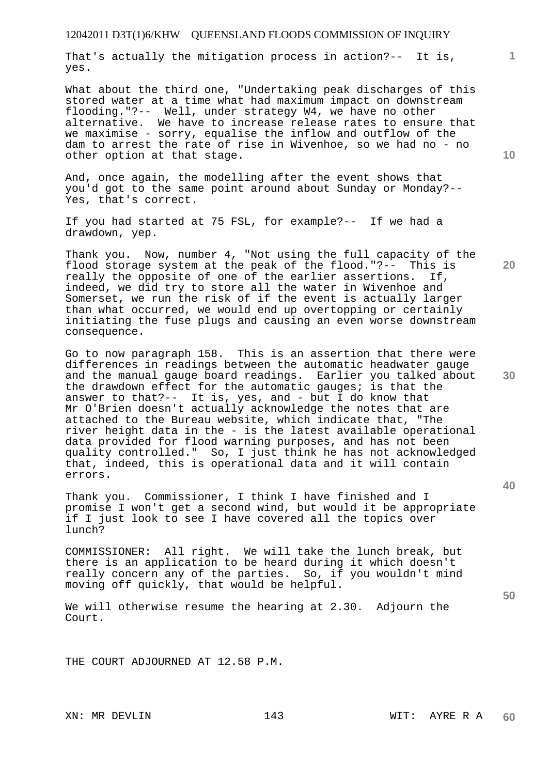That's actually the mitigation process in action?-- It is, yes.

What about the third one, "Undertaking peak discharges of this stored water at a time what had maximum impact on downstream flooding."?-- Well, under strategy W4, we have no other alternative. We have to increase release rates to ensure that we maximise - sorry, equalise the inflow and outflow of the dam to arrest the rate of rise in Wivenhoe, so we had no - no other option at that stage.

And, once again, the modelling after the event shows that you'd got to the same point around about Sunday or Monday?-- Yes, that's correct.

If you had started at 75 FSL, for example?-- If we had a drawdown, yep.

Thank you. Now, number 4, "Not using the full capacity of the flood storage system at the peak of the flood."?-- This is really the opposite of one of the earlier assertions. If, indeed, we did try to store all the water in Wivenhoe and Somerset, we run the risk of if the event is actually larger than what occurred, we would end up overtopping or certainly initiating the fuse plugs and causing an even worse downstream consequence.

Go to now paragraph 158. This is an assertion that there were differences in readings between the automatic headwater gauge and the manual gauge board readings. Earlier you talked about the drawdown effect for the automatic gauges; is that the answer to that?-- It is, yes, and - but I do know that Mr O'Brien doesn't actually acknowledge the notes that are attached to the Bureau website, which indicate that, "The river height data in the - is the latest available operational data provided for flood warning purposes, and has not been quality controlled." So, I just think he has not acknowledged that, indeed, this is operational data and it will contain errors.

Thank you. Commissioner, I think I have finished and I promise I won't get a second wind, but would it be appropriate if I just look to see I have covered all the topics over lunch?

COMMISSIONER: All right. We will take the lunch break, but there is an application to be heard during it which doesn't really concern any of the parties. So, if you wouldn't mind moving off quickly, that would be helpful.

We will otherwise resume the hearing at 2.30. Adjourn the Court.

THE COURT ADJOURNED AT 12.58 P.M.

**10** 

**1**

**20** 

**50**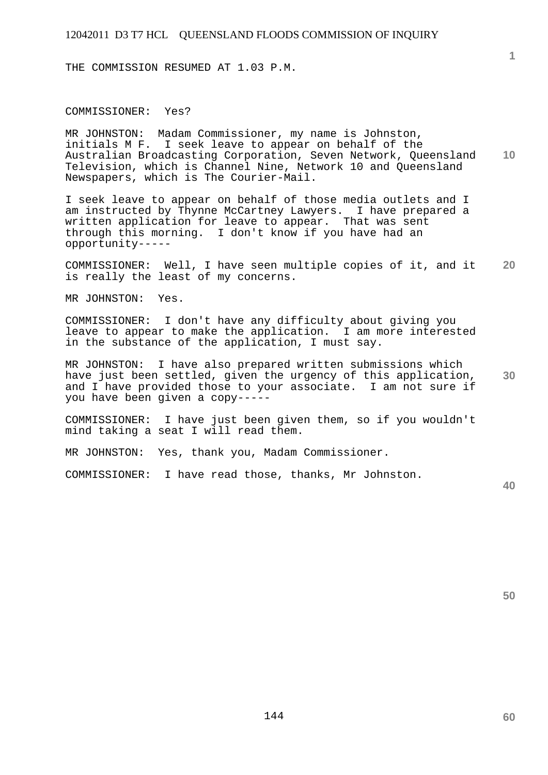THE COMMISSION RESUMED AT 1.03 P.M.

COMMISSIONER: Yes?

**10**  MR JOHNSTON: Madam Commissioner, my name is Johnston, initials M F. I seek leave to appear on behalf of the Australian Broadcasting Corporation, Seven Network, Queensland Television, which is Channel Nine, Network 10 and Queensland Newspapers, which is The Courier-Mail.

I seek leave to appear on behalf of those media outlets and I am instructed by Thynne McCartney Lawyers. I have prepared a written application for leave to appear. That was sent through this morning. I don't know if you have had an opportunity-----

**20**  COMMISSIONER: Well, I have seen multiple copies of it, and it is really the least of my concerns.

MR JOHNSTON: Yes.

COMMISSIONER: I don't have any difficulty about giving you leave to appear to make the application. I am more interested in the substance of the application, I must say.

**30**  MR JOHNSTON: I have also prepared written submissions which have just been settled, given the urgency of this application, and I have provided those to your associate. I am not sure if you have been given a copy-----

COMMISSIONER: I have just been given them, so if you wouldn't mind taking a seat I will read them.

MR JOHNSTON: Yes, thank you, Madam Commissioner.

COMMISSIONER: I have read those, thanks, Mr Johnston.

**40** 

**50** 

**60**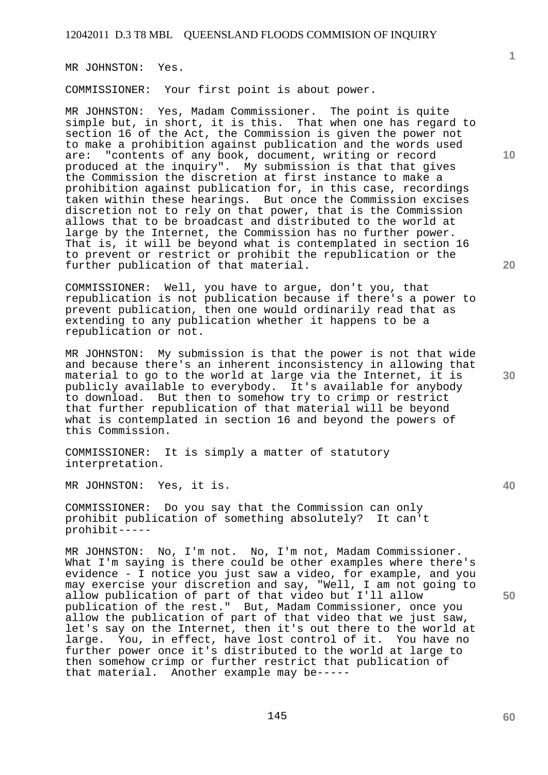MR JOHNSTON: Yes.

COMMISSIONER: Your first point is about power.

MR JOHNSTON: Yes, Madam Commissioner. The point is quite simple but, in short, it is this. That when one has regard to section 16 of the Act, the Commission is given the power not to make a prohibition against publication and the words used are: "contents of any book, document, writing or record produced at the inquiry". My submission is that that gives the Commission the discretion at first instance to make a prohibition against publication for, in this case, recordings taken within these hearings. But once the Commission excises discretion not to rely on that power, that is the Commission allows that to be broadcast and distributed to the world at large by the Internet, the Commission has no further power. That is, it will be beyond what is contemplated in section 16 to prevent or restrict or prohibit the republication or the further publication of that material.

COMMISSIONER: Well, you have to argue, don't you, that republication is not publication because if there's a power to prevent publication, then one would ordinarily read that as extending to any publication whether it happens to be a republication or not.

MR JOHNSTON: My submission is that the power is not that wide and because there's an inherent inconsistency in allowing that material to go to the world at large via the Internet, it is publicly available to everybody. It's available for anybody to download. But then to somehow try to crimp or restrict that further republication of that material will be beyond what is contemplated in section 16 and beyond the powers of this Commission.

COMMISSIONER: It is simply a matter of statutory interpretation.

MR JOHNSTON: Yes, it is.

COMMISSIONER: Do you say that the Commission can only prohibit publication of something absolutely? It can't prohibit-----

MR JOHNSTON: No, I'm not. No, I'm not, Madam Commissioner. What I'm saying is there could be other examples where there's evidence - I notice you just saw a video, for example, and you may exercise your discretion and say, "Well, I am not going to allow publication of part of that video but I'll allow publication of the rest." But, Madam Commissioner, once you allow the publication of part of that video that we just saw, let's say on the Internet, then it's out there to the world at large. You, in effect, have lost control of it. You have no further power once it's distributed to the world at large to then somehow crimp or further restrict that publication of that material. Another example may be-----

**1**

**10** 

**20** 

**50**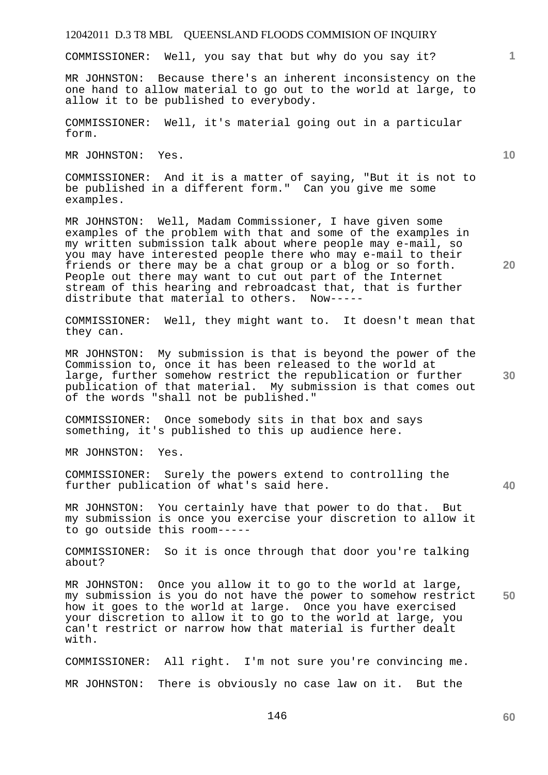COMMISSIONER: Well, you say that but why do you say it?

MR JOHNSTON: Because there's an inherent inconsistency on the one hand to allow material to go out to the world at large, to allow it to be published to everybody.

COMMISSIONER: Well, it's material going out in a particular form.

MR JOHNSTON: Yes.

COMMISSIONER: And it is a matter of saying, "But it is not to be published in a different form." Can you give me some examples.

MR JOHNSTON: Well, Madam Commissioner, I have given some examples of the problem with that and some of the examples in my written submission talk about where people may e-mail, so you may have interested people there who may e-mail to their friends or there may be a chat group or a blog or so forth. People out there may want to cut out part of the Internet stream of this hearing and rebroadcast that, that is further distribute that material to others. Now-----

COMMISSIONER: Well, they might want to. It doesn't mean that they can.

MR JOHNSTON: My submission is that is beyond the power of the Commission to, once it has been released to the world at large, further somehow restrict the republication or further publication of that material. My submission is that comes out of the words "shall not be published."

COMMISSIONER: Once somebody sits in that box and says something, it's published to this up audience here.

MR JOHNSTON: Yes.

COMMISSIONER: Surely the powers extend to controlling the further publication of what's said here.

MR JOHNSTON: You certainly have that power to do that. But my submission is once you exercise your discretion to allow it to go outside this room-----

COMMISSIONER: So it is once through that door you're talking about?

**50**  MR JOHNSTON: Once you allow it to go to the world at large, my submission is you do not have the power to somehow restrict how it goes to the world at large. Once you have exercised your discretion to allow it to go to the world at large, you can't restrict or narrow how that material is further dealt with.

COMMISSIONER: All right. I'm not sure you're convincing me. MR JOHNSTON: There is obviously no case law on it. But the

146

**60** 

**20** 

**40** 

**30** 

**10**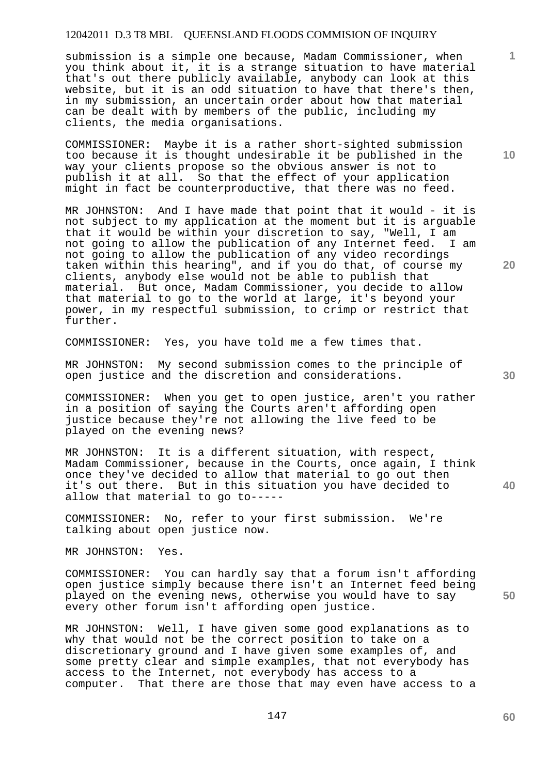submission is a simple one because, Madam Commissioner, when you think about it, it is a strange situation to have material that's out there publicly available, anybody can look at this website, but it is an odd situation to have that there's then, in my submission, an uncertain order about how that material can be dealt with by members of the public, including my clients, the media organisations.

COMMISSIONER: Maybe it is a rather short-sighted submission too because it is thought undesirable it be published in the way your clients propose so the obvious answer is not to publish it at all. So that the effect of your application might in fact be counterproductive, that there was no feed.

MR JOHNSTON: And I have made that point that it would - it is not subject to my application at the moment but it is arguable that it would be within your discretion to say, "Well, I am not going to allow the publication of any Internet feed. I am not going to allow the publication of any video recordings taken within this hearing", and if you do that, of course my clients, anybody else would not be able to publish that material. But once, Madam Commissioner, you decide to allow that material to go to the world at large, it's beyond your power, in my respectful submission, to crimp or restrict that further.

COMMISSIONER: Yes, you have told me a few times that.

MR JOHNSTON: My second submission comes to the principle of open justice and the discretion and considerations.

COMMISSIONER: When you get to open justice, aren't you rather in a position of saying the Courts aren't affording open justice because they're not allowing the live feed to be played on the evening news?

MR JOHNSTON: It is a different situation, with respect, Madam Commissioner, because in the Courts, once again, I think once they've decided to allow that material to go out then it's out there. But in this situation you have decided to allow that material to go to-----

COMMISSIONER: No, refer to your first submission. We're talking about open justice now.

MR JOHNSTON: Yes.

COMMISSIONER: You can hardly say that a forum isn't affording open justice simply because there isn't an Internet feed being played on the evening news, otherwise you would have to say every other forum isn't affording open justice.

MR JOHNSTON: Well, I have given some good explanations as to why that would not be the correct position to take on a discretionary ground and I have given some examples of, and some pretty clear and simple examples, that not everybody has access to the Internet, not everybody has access to a computer. That there are those that may even have access to a

**10** 

**1**

**30** 

**20**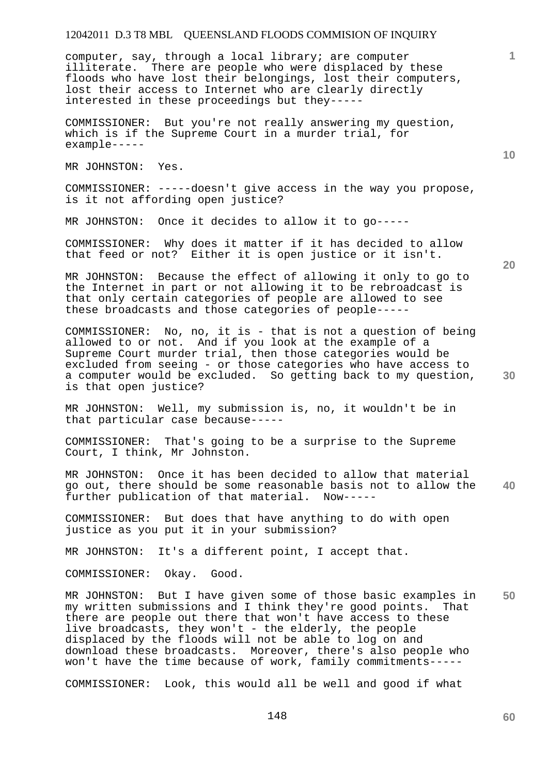computer, say, through a local library; are computer illiterate. There are people who were displaced by these floods who have lost their belongings, lost their computers, lost their access to Internet who are clearly directly interested in these proceedings but they-----

COMMISSIONER: But you're not really answering my question, which is if the Supreme Court in a murder trial, for example-----

MR JOHNSTON: Yes.

COMMISSIONER: -----doesn't give access in the way you propose, is it not affording open justice?

MR JOHNSTON: Once it decides to allow it to go-----

COMMISSIONER: Why does it matter if it has decided to allow that feed or not? Either it is open justice or it isn't.

MR JOHNSTON: Because the effect of allowing it only to go to the Internet in part or not allowing it to be rebroadcast is that only certain categories of people are allowed to see these broadcasts and those categories of people-----

COMMISSIONER: No, no, it is - that is not a question of being allowed to or not. And if you look at the example of a Supreme Court murder trial, then those categories would be excluded from seeing - or those categories who have access to a computer would be excluded. So getting back to my question, is that open justice?

MR JOHNSTON: Well, my submission is, no, it wouldn't be in that particular case because-----

COMMISSIONER: That's going to be a surprise to the Supreme Court, I think, Mr Johnston.

**40**  MR JOHNSTON: Once it has been decided to allow that material go out, there should be some reasonable basis not to allow the further publication of that material. Now-----

COMMISSIONER: But does that have anything to do with open justice as you put it in your submission?

MR JOHNSTON: It's a different point, I accept that.

COMMISSIONER: Okay. Good.

**50**  MR JOHNSTON: But I have given some of those basic examples in my written submissions and I think they're good points. That there are people out there that won't have access to these live broadcasts, they won't - the elderly, the people displaced by the floods will not be able to log on and download these broadcasts. Moreover, there's also people who won't have the time because of work, family commitments-----

COMMISSIONER: Look, this would all be well and good if what

**20** 

**10** 

**1**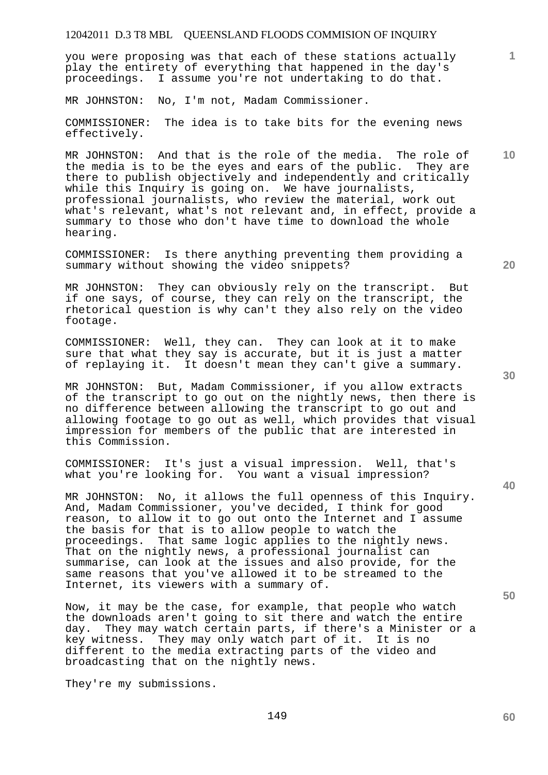you were proposing was that each of these stations actually play the entirety of everything that happened in the day's proceedings. I assume you're not undertaking to do that.

MR JOHNSTON: No, I'm not, Madam Commissioner.

COMMISSIONER: The idea is to take bits for the evening news effectively.

MR JOHNSTON: And that is the role of the media. The role of the media is to be the eyes and ears of the public. They are there to publish objectively and independently and critically while this Inquiry is going on. We have journalists, professional journalists, who review the material, work out what's relevant, what's not relevant and, in effect, provide a summary to those who don't have time to download the whole hearing.

COMMISSIONER: Is there anything preventing them providing a summary without showing the video snippets?

MR JOHNSTON: They can obviously rely on the transcript. But if one says, of course, they can rely on the transcript, the rhetorical question is why can't they also rely on the video footage.

COMMISSIONER: Well, they can. They can look at it to make sure that what they say is accurate, but it is just a matter of replaying it. It doesn't mean they can't give a summary.

MR JOHNSTON: But, Madam Commissioner, if you allow extracts of the transcript to go out on the nightly news, then there is no difference between allowing the transcript to go out and allowing footage to go out as well, which provides that visual impression for members of the public that are interested in this Commission.

COMMISSIONER: It's just a visual impression. Well, that's what you're looking for. You want a visual impression?

MR JOHNSTON: No, it allows the full openness of this Inquiry. And, Madam Commissioner, you've decided, I think for good reason, to allow it to go out onto the Internet and I assume the basis for that is to allow people to watch the proceedings. That same logic applies to the nightly news. That on the nightly news, a professional journalist can summarise, can look at the issues and also provide, for the same reasons that you've allowed it to be streamed to the Internet, its viewers with a summary of.

Now, it may be the case, for example, that people who watch the downloads aren't going to sit there and watch the entire day. They may watch certain parts, if there's a Minister or a key witness. They may only watch part of it. It is no different to the media extracting parts of the video and broadcasting that on the nightly news.

They're my submissions.

**30** 

**20** 

**40** 

**10**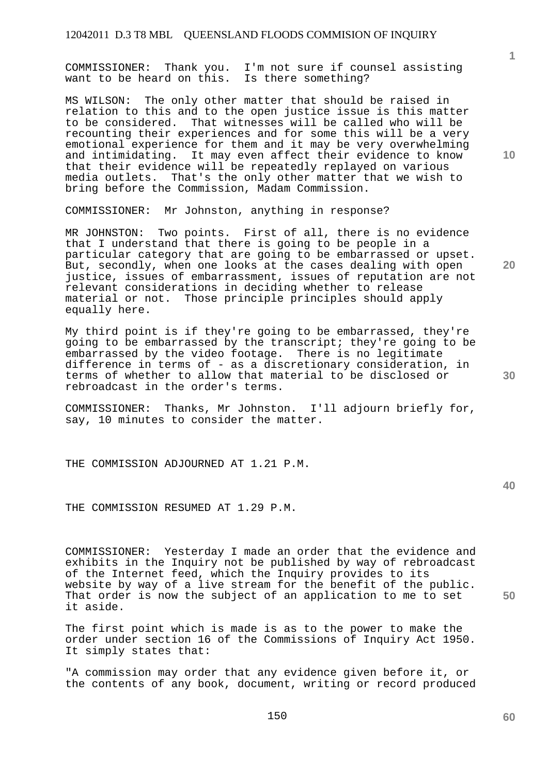COMMISSIONER: Thank you. I'm not sure if counsel assisting want to be heard on this. Is there something?

MS WILSON: The only other matter that should be raised in relation to this and to the open justice issue is this matter to be considered. That witnesses will be called who will be recounting their experiences and for some this will be a very emotional experience for them and it may be very overwhelming and intimidating. It may even affect their evidence to know that their evidence will be repeatedly replayed on various media outlets. That's the only other matter that we wish to bring before the Commission, Madam Commission.

COMMISSIONER: Mr Johnston, anything in response?

MR JOHNSTON: Two points. First of all, there is no evidence that I understand that there is going to be people in a particular category that are going to be embarrassed or upset. But, secondly, when one looks at the cases dealing with open justice, issues of embarrassment, issues of reputation are not relevant considerations in deciding whether to release material or not. Those principle principles should apply equally here.

My third point is if they're going to be embarrassed, they're going to be embarrassed by the transcript; they're going to be embarrassed by the video footage. There is no legitimate difference in terms of - as a discretionary consideration, in terms of whether to allow that material to be disclosed or rebroadcast in the order's terms.

COMMISSIONER: Thanks, Mr Johnston. I'll adjourn briefly for, say, 10 minutes to consider the matter.

THE COMMISSION ADJOURNED AT 1.21 P.M.

**40** 

THE COMMISSION RESUMED AT 1.29 P.M.

COMMISSIONER: Yesterday I made an order that the evidence and exhibits in the Inquiry not be published by way of rebroadcast of the Internet feed, which the Inquiry provides to its website by way of a live stream for the benefit of the public. That order is now the subject of an application to me to set it aside.

The first point which is made is as to the power to make the order under section 16 of the Commissions of Inquiry Act 1950. It simply states that:

"A commission may order that any evidence given before it, or the contents of any book, document, writing or record produced **10** 

**1**

**20** 

**30** 

**60**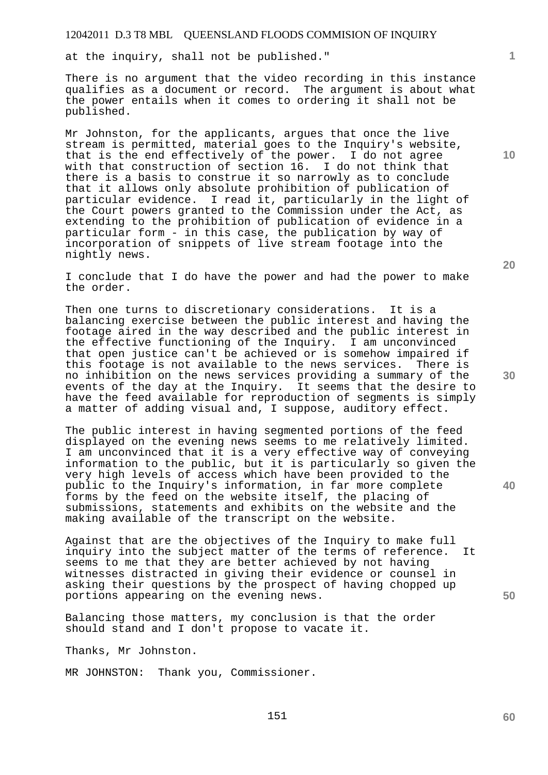at the inquiry, shall not be published."

There is no argument that the video recording in this instance qualifies as a document or record. The argument is about what the power entails when it comes to ordering it shall not be published.

Mr Johnston, for the applicants, argues that once the live stream is permitted, material goes to the Inquiry's website, that is the end effectively of the power. I do not agree with that construction of section 16. I do not think that there is a basis to construe it so narrowly as to conclude that it allows only absolute prohibition of publication of particular evidence. I read it, particularly in the light of the Court powers granted to the Commission under the Act, as extending to the prohibition of publication of evidence in a particular form - in this case, the publication by way of incorporation of snippets of live stream footage into the nightly news.

I conclude that I do have the power and had the power to make the order.

Then one turns to discretionary considerations. It is a balancing exercise between the public interest and having the footage aired in the way described and the public interest in the effective functioning of the Inquiry. I am unconvinced that open justice can't be achieved or is somehow impaired if this footage is not available to the news services. There is no inhibition on the news services providing a summary of the events of the day at the Inquiry. It seems that the desire to have the feed available for reproduction of segments is simply a matter of adding visual and, I suppose, auditory effect.

The public interest in having segmented portions of the feed displayed on the evening news seems to me relatively limited. I am unconvinced that it is a very effective way of conveying information to the public, but it is particularly so given the very high levels of access which have been provided to the public to the Inquiry's information, in far more complete forms by the feed on the website itself, the placing of submissions, statements and exhibits on the website and the making available of the transcript on the website.

Against that are the objectives of the Inquiry to make full inquiry into the subject matter of the terms of reference. It seems to me that they are better achieved by not having witnesses distracted in giving their evidence or counsel in asking their questions by the prospect of having chopped up portions appearing on the evening news.

Balancing those matters, my conclusion is that the order should stand and I don't propose to vacate it.

Thanks, Mr Johnston.

MR JOHNSTON: Thank you, Commissioner.

**10** 

**1**

**20** 

**30** 

**40**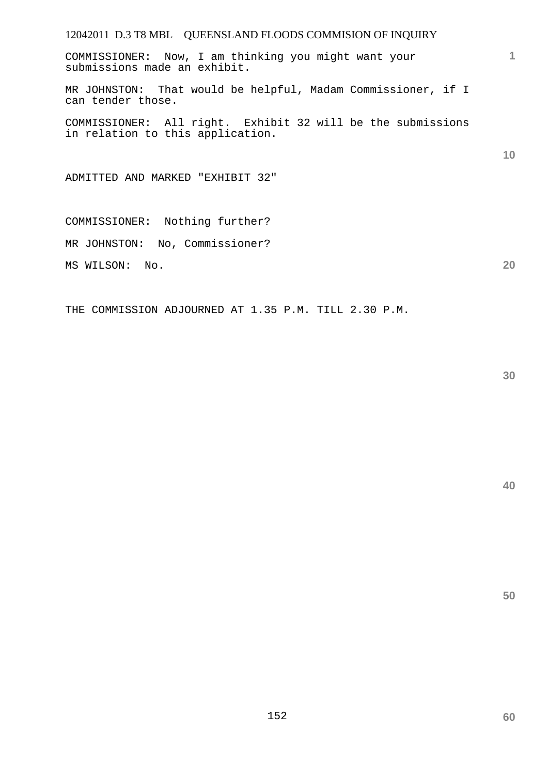COMMISSIONER: Now, I am thinking you might want your submissions made an exhibit.

MR JOHNSTON: That would be helpful, Madam Commissioner, if I can tender those.

COMMISSIONER: All right. Exhibit 32 will be the submissions in relation to this application.

ADMITTED AND MARKED "EXHIBIT 32"

COMMISSIONER: Nothing further? MR JOHNSTON: No, Commissioner? MS WILSON: No.

THE COMMISSION ADJOURNED AT 1.35 P.M. TILL 2.30 P.M.

**40** 

**1**

**10** 

**20**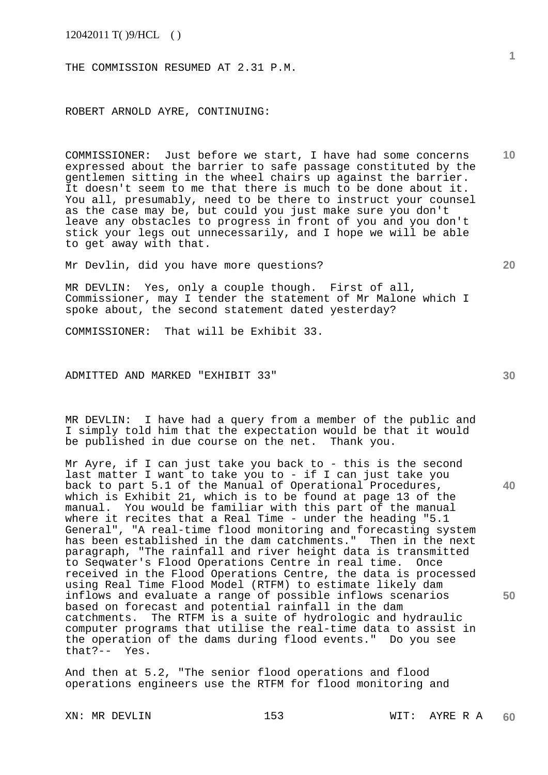THE COMMISSION RESUMED AT 2.31 P.M.

ROBERT ARNOLD AYRE, CONTINUING:

COMMISSIONER: Just before we start, I have had some concerns expressed about the barrier to safe passage constituted by the gentlemen sitting in the wheel chairs up against the barrier. It doesn't seem to me that there is much to be done about it. You all, presumably, need to be there to instruct your counsel as the case may be, but could you just make sure you don't leave any obstacles to progress in front of you and you don't stick your legs out unnecessarily, and I hope we will be able to get away with that.

Mr Devlin, did you have more questions?

MR DEVLIN: Yes, only a couple though. First of all, Commissioner, may I tender the statement of Mr Malone which I spoke about, the second statement dated yesterday?

COMMISSIONER: That will be Exhibit 33.

ADMITTED AND MARKED "EXHIBIT 33"

MR DEVLIN: I have had a query from a member of the public and I simply told him that the expectation would be that it would be published in due course on the net. Thank you.

Mr Ayre, if I can just take you back to - this is the second last matter I want to take you to - if I can just take you back to part 5.1 of the Manual of Operational Procedures, which is Exhibit 21, which is to be found at page 13 of the manual. You would be familiar with this part of the manual where it recites that a Real Time - under the heading "5.1 General", "A real-time flood monitoring and forecasting system has been established in the dam catchments." Then in the next paragraph, "The rainfall and river height data is transmitted to Seqwater's Flood Operations Centre in real time. Once received in the Flood Operations Centre, the data is processed using Real Time Flood Model (RTFM) to estimate likely dam inflows and evaluate a range of possible inflows scenarios based on forecast and potential rainfall in the dam catchments. The RTFM is a suite of hydrologic and hydraulic computer programs that utilise the real-time data to assist in the operation of the dams during flood events." Do you see that?-- Yes.

And then at 5.2, "The senior flood operations and flood operations engineers use the RTFM for flood monitoring and

**1**

**10** 

**20** 

**30** 

**40**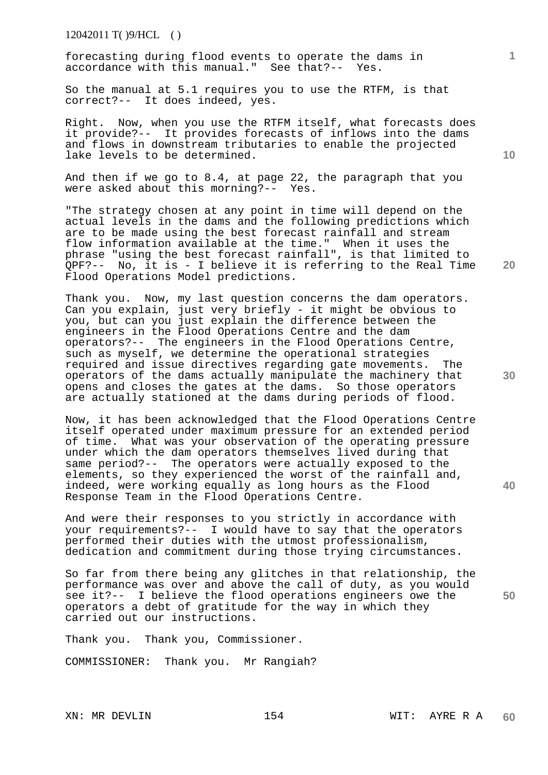12042011 T( )9/HCL ( )

forecasting during flood events to operate the dams in accordance with this manual." See that?-- Yes.

So the manual at 5.1 requires you to use the RTFM, is that correct?-- It does indeed, yes.

Right. Now, when you use the RTFM itself, what forecasts does it provide?-- It provides forecasts of inflows into the dams and flows in downstream tributaries to enable the projected lake levels to be determined.

And then if we go to 8.4, at page 22, the paragraph that you were asked about this morning?-- Yes.

"The strategy chosen at any point in time will depend on the actual levels in the dams and the following predictions which are to be made using the best forecast rainfall and stream flow information available at the time." When it uses the phrase "using the best forecast rainfall", is that limited to QPF?-- No, it is - I believe it is referring to the Real Time Flood Operations Model predictions.

Thank you. Now, my last question concerns the dam operators. Can you explain, just very briefly - it might be obvious to you, but can you just explain the difference between the engineers in the Flood Operations Centre and the dam operators?-- The engineers in the Flood Operations Centre, such as myself, we determine the operational strategies required and issue directives regarding gate movements. The operators of the dams actually manipulate the machinery that opens and closes the gates at the dams. So those operators are actually stationed at the dams during periods of flood.

Now, it has been acknowledged that the Flood Operations Centre itself operated under maximum pressure for an extended period of time. What was your observation of the operating pressure under which the dam operators themselves lived during that same period?-- The operators were actually exposed to the elements, so they experienced the worst of the rainfall and, indeed, were working equally as long hours as the Flood Response Team in the Flood Operations Centre.

And were their responses to you strictly in accordance with your requirements?-- I would have to say that the operators performed their duties with the utmost professionalism, dedication and commitment during those trying circumstances.

So far from there being any glitches in that relationship, the performance was over and above the call of duty, as you would see it?-- I believe the flood operations engineers owe the operators a debt of gratitude for the way in which they carried out our instructions.

Thank you. Thank you, Commissioner.

COMMISSIONER: Thank you. Mr Rangiah?

**10** 

**20** 

**1**

**40** 

**50**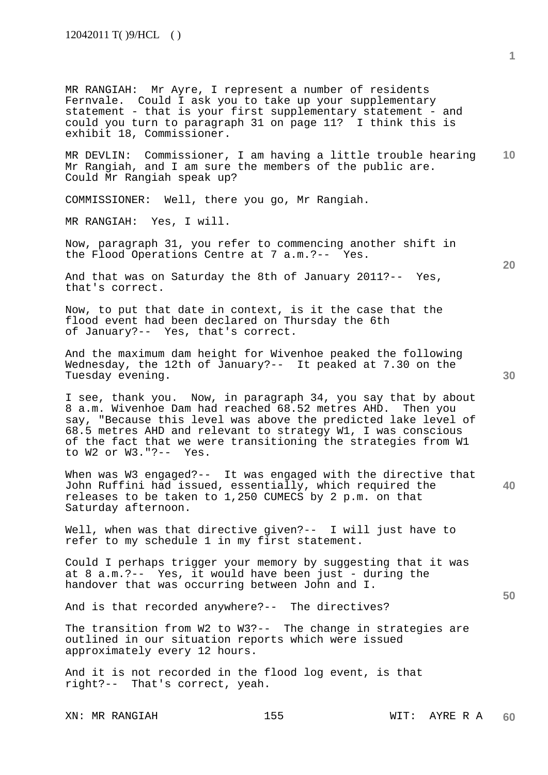MR RANGIAH: Mr Ayre, I represent a number of residents Fernvale. Could I ask you to take up your supplementary statement - that is your first supplementary statement - and could you turn to paragraph 31 on page 11? I think this is exhibit 18, Commissioner.

**10**  MR DEVLIN: Commissioner, I am having a little trouble hearing Mr Rangiah, and I am sure the members of the public are. Could Mr Rangiah speak up?

COMMISSIONER: Well, there you go, Mr Rangiah.

MR RANGIAH: Yes, I will.

Now, paragraph 31, you refer to commencing another shift in the Flood Operations Centre at 7 a.m.?-- Yes.

And that was on Saturday the 8th of January 2011?-- Yes, that's correct.

Now, to put that date in context, is it the case that the flood event had been declared on Thursday the 6th of January?-- Yes, that's correct.

And the maximum dam height for Wivenhoe peaked the following Wednesday, the 12th of January?-- It peaked at 7.30 on the Tuesday evening.

I see, thank you. Now, in paragraph 34, you say that by about 8 a.m. Wivenhoe Dam had reached 68.52 metres AHD. Then you say, "Because this level was above the predicted lake level of 68.5 metres AHD and relevant to strategy W1, I was conscious of the fact that we were transitioning the strategies from W1 to W2 or W3."?-- Yes.

**40**  When was W3 engaged?-- It was engaged with the directive that John Ruffini had issued, essentially, which required the releases to be taken to 1,250 CUMECS by 2 p.m. on that Saturday afternoon.

Well, when was that directive given?-- I will just have to refer to my schedule 1 in my first statement.

Could I perhaps trigger your memory by suggesting that it was at 8 a.m.?-- Yes, it would have been just - during the handover that was occurring between John and I.

And is that recorded anywhere?-- The directives?

The transition from W2 to W3?-- The change in strategies are outlined in our situation reports which were issued approximately every 12 hours.

And it is not recorded in the flood log event, is that right?-- That's correct, yeah.

**20**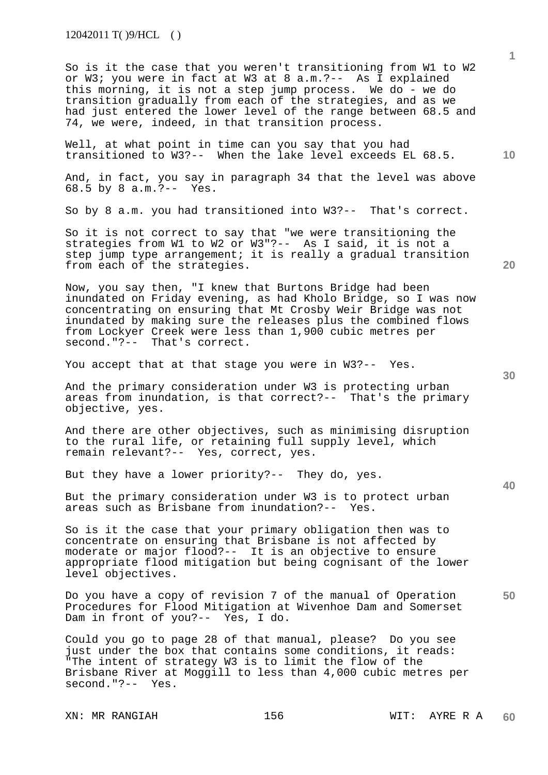12042011 T( )9/HCL ( )

So is it the case that you weren't transitioning from W1 to W2 or W3; you were in fact at W3 at 8 a.m.?-- As I explained this morning, it is not a step jump process. We do - we do transition gradually from each of the strategies, and as we had just entered the lower level of the range between 68.5 and 74, we were, indeed, in that transition process.

Well, at what point in time can you say that you had transitioned to W3?-- When the lake level exceeds EL 68.5.

And, in fact, you say in paragraph 34 that the level was above 68.5 by 8 a.m.?-- Yes.

So by 8 a.m. you had transitioned into W3?-- That's correct.

So it is not correct to say that "we were transitioning the strategies from W1 to W2 or W3"?-- As I said, it is not a step jump type arrangement; it is really a gradual transition from each of the strategies.

Now, you say then, "I knew that Burtons Bridge had been inundated on Friday evening, as had Kholo Bridge, so I was now concentrating on ensuring that Mt Crosby Weir Bridge was not inundated by making sure the releases plus the combined flows from Lockyer Creek were less than 1,900 cubic metres per second."?-- That's correct.

You accept that at that stage you were in W3?-- Yes.

And the primary consideration under W3 is protecting urban areas from inundation, is that correct?-- That's the primary objective, yes.

And there are other objectives, such as minimising disruption to the rural life, or retaining full supply level, which remain relevant?-- Yes, correct, yes.

But they have a lower priority?-- They do, yes.

But the primary consideration under W3 is to protect urban areas such as Brisbane from inundation?-- Yes.

So is it the case that your primary obligation then was to concentrate on ensuring that Brisbane is not affected by moderate or major flood?-- It is an objective to ensure appropriate flood mitigation but being cognisant of the lower level objectives.

Do you have a copy of revision 7 of the manual of Operation Procedures for Flood Mitigation at Wivenhoe Dam and Somerset Dam in front of you?-- Yes, I do.

Could you go to page 28 of that manual, please? Do you see just under the box that contains some conditions, it reads: "The intent of strategy W3 is to limit the flow of the Brisbane River at Moggill to less than 4,000 cubic metres per second."?-- Yes.

XN: MR RANGIAH 156 1990 WIT: AYRE R A

**30** 

**40** 

**50** 

**20** 

**10**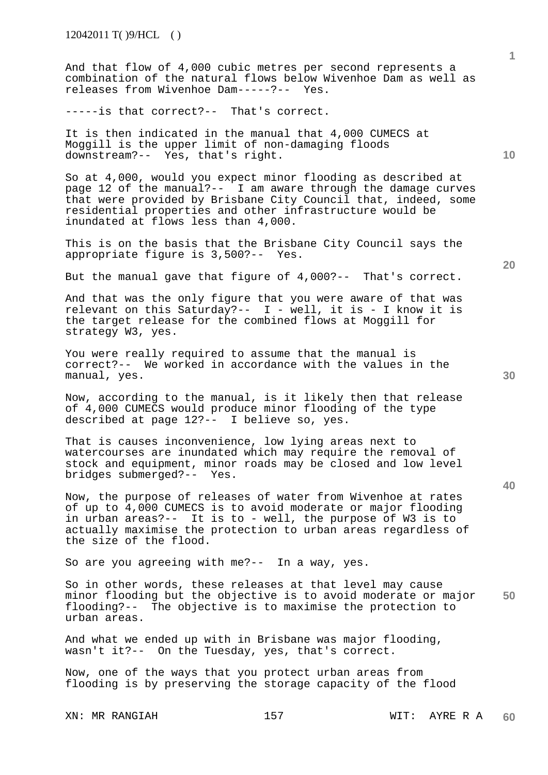And that flow of 4,000 cubic metres per second represents a combination of the natural flows below Wivenhoe Dam as well as releases from Wivenhoe Dam-----?-- Yes.

-----is that correct?-- That's correct.

It is then indicated in the manual that 4,000 CUMECS at Moggill is the upper limit of non-damaging floods downstream?-- Yes, that's right.

So at 4,000, would you expect minor flooding as described at page 12 of the manual?-- I am aware through the damage curves that were provided by Brisbane City Council that, indeed, some residential properties and other infrastructure would be inundated at flows less than 4,000.

This is on the basis that the Brisbane City Council says the appropriate figure is 3,500?-- Yes.

But the manual gave that figure of 4,000?-- That's correct.

And that was the only figure that you were aware of that was relevant on this Saturday?-- I - well, it is - I know it is the target release for the combined flows at Moggill for strategy W3, yes.

You were really required to assume that the manual is correct?-- We worked in accordance with the values in the manual, yes.

Now, according to the manual, is it likely then that release of 4,000 CUMECS would produce minor flooding of the type described at page 12?-- I believe so, yes.

That is causes inconvenience, low lying areas next to watercourses are inundated which may require the removal of stock and equipment, minor roads may be closed and low level bridges submerged?-- Yes.

Now, the purpose of releases of water from Wivenhoe at rates of up to 4,000 CUMECS is to avoid moderate or major flooding in urban areas?-- It is to - well, the purpose of W3 is to actually maximise the protection to urban areas regardless of the size of the flood.

So are you agreeing with me?-- In a way, yes.

**50**  So in other words, these releases at that level may cause minor flooding but the objective is to avoid moderate or major flooding?-- The objective is to maximise the protection to urban areas.

And what we ended up with in Brisbane was major flooding, wasn't it?-- On the Tuesday, yes, that's correct.

Now, one of the ways that you protect urban areas from flooding is by preserving the storage capacity of the flood

**20** 

**40** 

**10**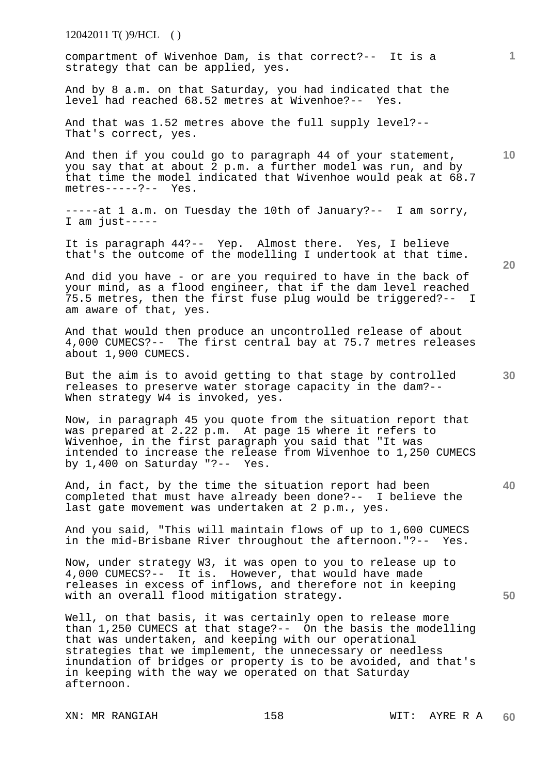| $12042011 \text{ T}$ ()9/HCL ()                                                                                                                                                                                                                                                                                                                                                           |    |
|-------------------------------------------------------------------------------------------------------------------------------------------------------------------------------------------------------------------------------------------------------------------------------------------------------------------------------------------------------------------------------------------|----|
| compartment of Wivenhoe Dam, is that correct?-- It is a<br>strategy that can be applied, yes.                                                                                                                                                                                                                                                                                             | 1  |
| And by 8 a.m. on that Saturday, you had indicated that the<br>level had reached 68.52 metres at Wivenhoe?-- Yes.                                                                                                                                                                                                                                                                          |    |
| And that was 1.52 metres above the full supply level?--<br>That's correct, yes.                                                                                                                                                                                                                                                                                                           |    |
| And then if you could go to paragraph 44 of your statement,<br>you say that at about 2 p.m. a further model was run, and by<br>that time the model indicated that Wivenhoe would peak at 68.7<br>$metres---?--- Yes.$                                                                                                                                                                     | 10 |
| -----at 1 a.m. on Tuesday the 10th of January?-- I am sorry,<br>I am just-----                                                                                                                                                                                                                                                                                                            |    |
| It is paragraph 44?-- Yep. Almost there. Yes, I believe<br>that's the outcome of the modelling I undertook at that time.                                                                                                                                                                                                                                                                  | 20 |
| And did you have - or are you required to have in the back of<br>your mind, as a flood engineer, that if the dam level reached<br>75.5 metres, then the first fuse plug would be triggered?-- I<br>am aware of that, yes.                                                                                                                                                                 |    |
| And that would then produce an uncontrolled release of about<br>4,000 CUMECS?-- The first central bay at 75.7 metres releases<br>about 1,900 CUMECS.                                                                                                                                                                                                                                      |    |
| But the aim is to avoid getting to that stage by controlled<br>releases to preserve water storage capacity in the dam?--<br>When strategy W4 is invoked, yes.                                                                                                                                                                                                                             | 30 |
| Now, in paragraph 45 you quote from the situation report that<br>was prepared at 2.22 p.m. At page 15 where it refers to<br>Wivenhoe, in the first paragraph you said that "It was<br>intended to increase the release from Wivenhoe to 1,250 CUMECS<br>by $1,400$ on Saturday "?-- Yes.                                                                                                  |    |
| And, in fact, by the time the situation report had been<br>completed that must have already been done?-- I believe the<br>last gate movement was undertaken at 2 p.m., yes.                                                                                                                                                                                                               | 40 |
| And you said, "This will maintain flows of up to 1,600 CUMECS<br>in the mid-Brisbane River throughout the afternoon."?-- Yes.                                                                                                                                                                                                                                                             |    |
| Now, under strategy W3, it was open to you to release up to<br>4,000 CUMECS?-- It is. However, that would have made<br>releases in excess of inflows, and therefore not in keeping<br>with an overall flood mitigation strategy.                                                                                                                                                          | 50 |
| Well, on that basis, it was certainly open to release more<br>than 1,250 CUMECS at that stage?-- On the basis the modelling<br>that was undertaken, and keeping with our operational<br>strategies that we implement, the unnecessary or needless<br>inundation of bridges or property is to be avoided, and that's<br>in keeping with the way we operated on that Saturday<br>afternoon. |    |
|                                                                                                                                                                                                                                                                                                                                                                                           |    |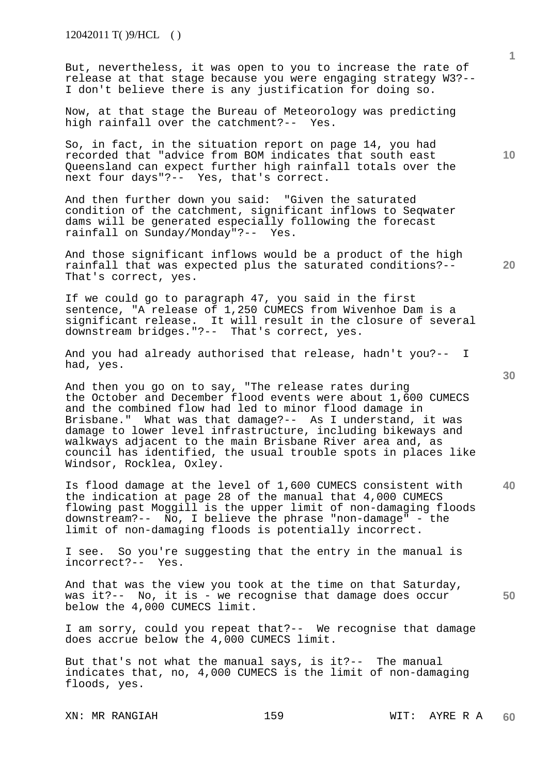But, nevertheless, it was open to you to increase the rate of release at that stage because you were engaging strategy W3?-- I don't believe there is any justification for doing so.

Now, at that stage the Bureau of Meteorology was predicting high rainfall over the catchment?-- Yes.

So, in fact, in the situation report on page 14, you had recorded that "advice from BOM indicates that south east Queensland can expect further high rainfall totals over the next four days"?-- Yes, that's correct.

And then further down you said: "Given the saturated condition of the catchment, significant inflows to Seqwater dams will be generated especially following the forecast rainfall on Sunday/Monday"?-- Yes.

And those significant inflows would be a product of the high rainfall that was expected plus the saturated conditions?-- That's correct, yes.

If we could go to paragraph 47, you said in the first sentence, "A release of 1,250 CUMECS from Wivenhoe Dam is a significant release. It will result in the closure of several downstream bridges."?-- That's correct, yes.

And you had already authorised that release, hadn't you?-- I had, yes.

And then you go on to say, "The release rates during the October and December flood events were about 1,600 CUMECS and the combined flow had led to minor flood damage in Brisbane." What was that damage?-- As I understand, it was damage to lower level infrastructure, including bikeways and walkways adjacent to the main Brisbane River area and, as council has identified, the usual trouble spots in places like Windsor, Rocklea, Oxley.

Is flood damage at the level of 1,600 CUMECS consistent with the indication at page 28 of the manual that 4,000 CUMECS flowing past Moggill is the upper limit of non-damaging floods downstream?-- No, I believe the phrase "non-damage" - the limit of non-damaging floods is potentially incorrect.

I see. So you're suggesting that the entry in the manual is incorrect?-- Yes.

**50**  And that was the view you took at the time on that Saturday, was it?-- No, it is - we recognise that damage does occur below the 4,000 CUMECS limit.

I am sorry, could you repeat that?-- We recognise that damage does accrue below the 4,000 CUMECS limit.

But that's not what the manual says, is it?-- The manual indicates that, no, 4,000 CUMECS is the limit of non-damaging floods, yes.

XN: MR RANGIAH 159 MIT: AYRE R A

**1**

**10** 

**30** 

**40**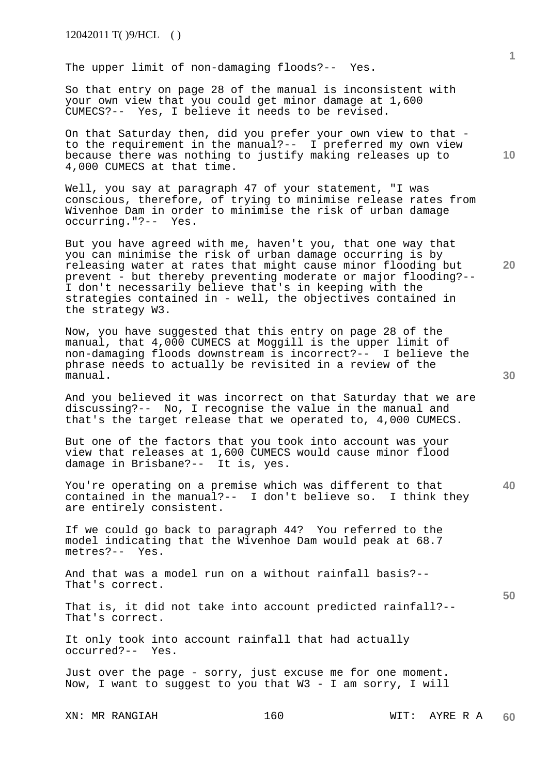The upper limit of non-damaging floods?-- Yes.

So that entry on page 28 of the manual is inconsistent with your own view that you could get minor damage at 1,600 CUMECS?-- Yes, I believe it needs to be revised.

On that Saturday then, did you prefer your own view to that to the requirement in the manual?-- I preferred my own view because there was nothing to justify making releases up to 4,000 CUMECS at that time.

Well, you say at paragraph 47 of your statement, "I was conscious, therefore, of trying to minimise release rates from Wivenhoe Dam in order to minimise the risk of urban damage occurring."?-- Yes.

But you have agreed with me, haven't you, that one way that you can minimise the risk of urban damage occurring is by releasing water at rates that might cause minor flooding but prevent - but thereby preventing moderate or major flooding?-- I don't necessarily believe that's in keeping with the strategies contained in - well, the objectives contained in the strategy W3.

Now, you have suggested that this entry on page 28 of the manual, that 4,000 CUMECS at Moggill is the upper limit of non-damaging floods downstream is incorrect?-- I believe the phrase needs to actually be revisited in a review of the manual.

And you believed it was incorrect on that Saturday that we are discussing?-- No, I recognise the value in the manual and that's the target release that we operated to, 4,000 CUMECS.

But one of the factors that you took into account was your view that releases at 1,600 CUMECS would cause minor flood damage in Brisbane?-- It is, yes.

**40**  You're operating on a premise which was different to that contained in the manual?-- I don't believe so. I think they are entirely consistent.

If we could go back to paragraph 44? You referred to the model indicating that the Wivenhoe Dam would peak at 68.7 metres?-- Yes.

And that was a model run on a without rainfall basis?-- That's correct.

That is, it did not take into account predicted rainfall?-- That's correct.

It only took into account rainfall that had actually occurred?-- Yes.

Just over the page - sorry, just excuse me for one moment. Now, I want to suggest to you that W3 - I am sorry, I will

XN: MR RANGIAH 160 MIT: AYRE R A

**10** 

**1**

**20**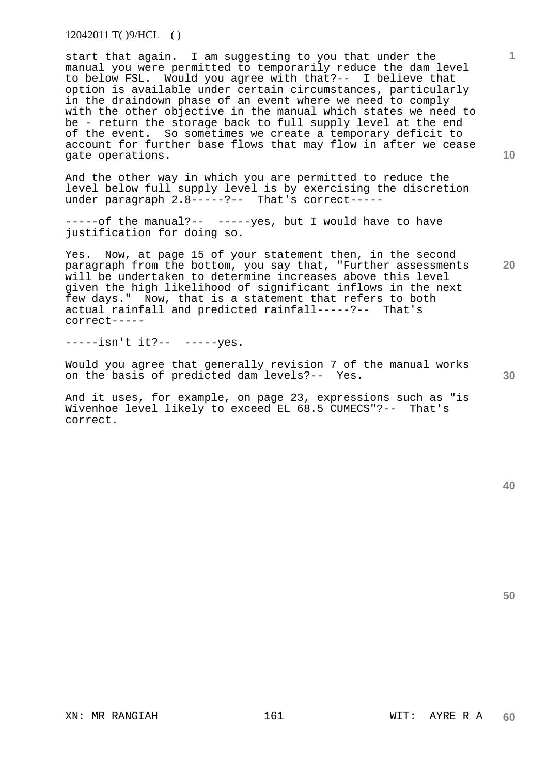12042011 T( )9/HCL ( )

start that again. I am suggesting to you that under the manual you were permitted to temporarily reduce the dam level to below FSL. Would you agree with that?-- I believe that option is available under certain circumstances, particularly in the draindown phase of an event where we need to comply with the other objective in the manual which states we need to be - return the storage back to full supply level at the end of the event. So sometimes we create a temporary deficit to account for further base flows that may flow in after we cease gate operations.

And the other way in which you are permitted to reduce the level below full supply level is by exercising the discretion under paragraph  $2.8$ -----?-- That's correct-----

-----of the manual?-- -----yes, but I would have to have justification for doing so.

Yes. Now, at page 15 of your statement then, in the second paragraph from the bottom, you say that, "Further assessments will be undertaken to determine increases above this level given the high likelihood of significant inflows in the next few days." Now, that is a statement that refers to both actual rainfall and predicted rainfall-----?-- That's correct-----

-----isn't it?-- -----yes.

Would you agree that generally revision 7 of the manual works on the basis of predicted dam levels?-- Yes.

And it uses, for example, on page 23, expressions such as "is Wivenhoe level likely to exceed EL 68.5 CUMECS"?-- That's correct.

**50** 

**30** 

**1**

**10**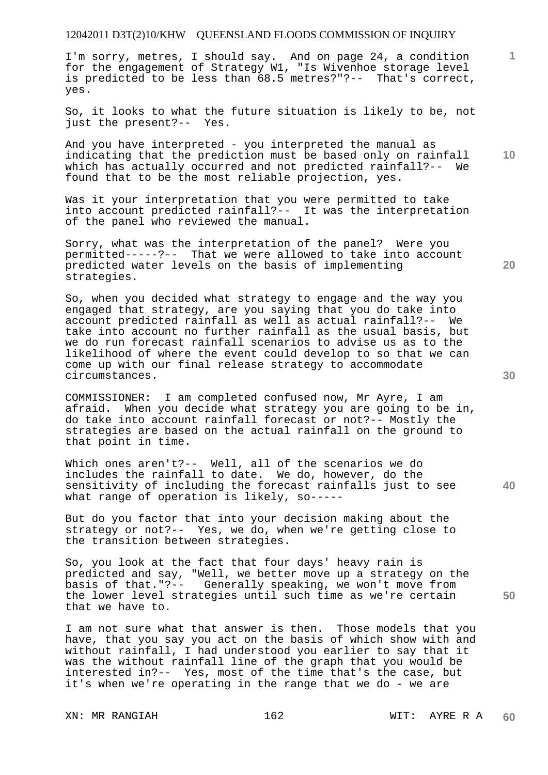I'm sorry, metres, I should say. And on page 24, a condition for the engagement of Strategy W1, "Is Wivenhoe storage level is predicted to be less than 68.5 metres?"?-- That's correct, yes.

So, it looks to what the future situation is likely to be, not just the present?-- Yes. just the present?--

**10**  And you have interpreted - you interpreted the manual as indicating that the prediction must be based only on rainfall which has actually occurred and not predicted rainfall?-- We found that to be the most reliable projection, yes.

Was it your interpretation that you were permitted to take into account predicted rainfall?-- It was the interpretation of the panel who reviewed the manual.

Sorry, what was the interpretation of the panel? Were you permitted-----?-- That we were allowed to take into account predicted water levels on the basis of implementing strategies.

So, when you decided what strategy to engage and the way you engaged that strategy, are you saying that you do take into account predicted rainfall as well as actual rainfall?-- We take into account no further rainfall as the usual basis, but we do run forecast rainfall scenarios to advise us as to the likelihood of where the event could develop to so that we can come up with our final release strategy to accommodate circumstances.

COMMISSIONER: I am completed confused now, Mr Ayre, I am afraid. When you decide what strategy you are going to be in, do take into account rainfall forecast or not?-- Mostly the strategies are based on the actual rainfall on the ground to that point in time.

**40**  Which ones aren't?-- Well, all of the scenarios we do includes the rainfall to date. We do, however, do the sensitivity of including the forecast rainfalls just to see what range of operation is likely, so-----

But do you factor that into your decision making about the strategy or not?-- Yes, we do, when we're getting close to the transition between strategies.

So, you look at the fact that four days' heavy rain is predicted and say, "Well, we better move up a strategy on the basis of that."?-- Generally speaking, we won't move from the lower level strategies until such time as we're certain that we have to.

I am not sure what that answer is then. Those models that you have, that you say you act on the basis of which show with and without rainfall, I had understood you earlier to say that it was the without rainfall line of the graph that you would be interested in?-- Yes, most of the time that's the case, but it's when we're operating in the range that we do - we are

**30** 

**20** 

**1**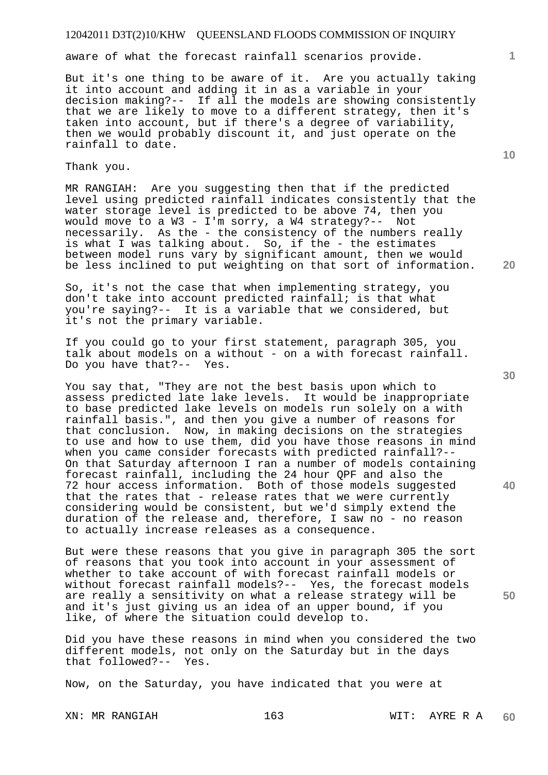aware of what the forecast rainfall scenarios provide.

But it's one thing to be aware of it. Are you actually taking it into account and adding it in as a variable in your decision making?-- If all the models are showing consistently that we are likely to move to a different strategy, then it's taken into account, but if there's a degree of variability, then we would probably discount it, and just operate on the rainfall to date.

Thank you.

MR RANGIAH: Are you suggesting then that if the predicted level using predicted rainfall indicates consistently that the water storage level is predicted to be above 74, then you would move to a W3 - I'm sorry, a W4 strategy?-- Not necessarily. As the - the consistency of the numbers really is what I was talking about. So, if the - the estimates between model runs vary by significant amount, then we would be less inclined to put weighting on that sort of information.

So, it's not the case that when implementing strategy, you don't take into account predicted rainfall; is that what you're saying?-- It is a variable that we considered, but it's not the primary variable.

If you could go to your first statement, paragraph 305, you talk about models on a without - on a with forecast rainfall. Do you have that?-- Yes.

You say that, "They are not the best basis upon which to assess predicted late lake levels. It would be inappropriate to base predicted lake levels on models run solely on a with rainfall basis.", and then you give a number of reasons for that conclusion. Now, in making decisions on the strategies to use and how to use them, did you have those reasons in mind when you came consider forecasts with predicted rainfall?-- On that Saturday afternoon I ran a number of models containing forecast rainfall, including the 24 hour QPF and also the 72 hour access information. Both of those models suggested that the rates that - release rates that we were currently considering would be consistent, but we'd simply extend the duration of the release and, therefore, I saw no - no reason to actually increase releases as a consequence.

But were these reasons that you give in paragraph 305 the sort of reasons that you took into account in your assessment of whether to take account of with forecast rainfall models or without forecast rainfall models?-- Yes, the forecast models are really a sensitivity on what a release strategy will be and it's just giving us an idea of an upper bound, if you like, of where the situation could develop to.

Did you have these reasons in mind when you considered the two different models, not only on the Saturday but in the days that followed?-- Yes.

Now, on the Saturday, you have indicated that you were at

**30** 

**20** 

**40** 

**50** 

**10**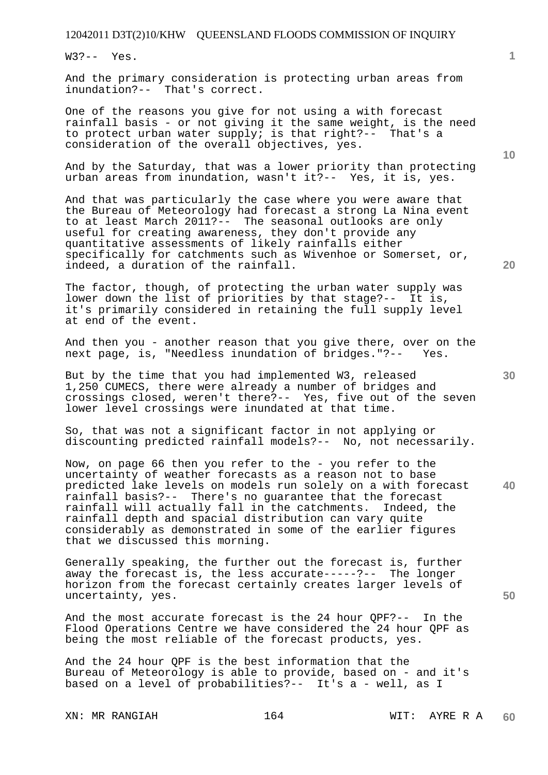W3?-- Yes.

And the primary consideration is protecting urban areas from inundation?-- That's correct.

One of the reasons you give for not using a with forecast rainfall basis - or not giving it the same weight, is the need to protect urban water supply; is that right?-- That's a consideration of the overall objectives, yes.

And by the Saturday, that was a lower priority than protecting urban areas from inundation, wasn't it?-- Yes, it is, yes.

And that was particularly the case where you were aware that the Bureau of Meteorology had forecast a strong La Nina event to at least March 2011?-- The seasonal outlooks are only useful for creating awareness, they don't provide any quantitative assessments of likely rainfalls either specifically for catchments such as Wivenhoe or Somerset, or, indeed, a duration of the rainfall.

The factor, though, of protecting the urban water supply was lower down the list of priorities by that stage?-- It is, it's primarily considered in retaining the full supply level at end of the event.

And then you - another reason that you give there, over on the next page, is, "Needless inundation of bridges."?-- Yes.

But by the time that you had implemented W3, released 1,250 CUMECS, there were already a number of bridges and crossings closed, weren't there?-- Yes, five out of the seven lower level crossings were inundated at that time.

So, that was not a significant factor in not applying or discounting predicted rainfall models?-- No, not necessarily.

**40**  Now, on page 66 then you refer to the - you refer to the uncertainty of weather forecasts as a reason not to base predicted lake levels on models run solely on a with forecast rainfall basis?-- There's no guarantee that the forecast rainfall will actually fall in the catchments. Indeed, the rainfall depth and spacial distribution can vary quite considerably as demonstrated in some of the earlier figures that we discussed this morning.

Generally speaking, the further out the forecast is, further away the forecast is, the less accurate-----?-- The longer horizon from the forecast certainly creates larger levels of uncertainty, yes.

And the most accurate forecast is the 24 hour QPF?-- In the Flood Operations Centre we have considered the 24 hour QPF as being the most reliable of the forecast products, yes.

And the 24 hour QPF is the best information that the Bureau of Meteorology is able to provide, based on - and it's based on a level of probabilities?-- It's a - well, as I

XN: MR RANGIAH 164 MIT: AYRE R A

**20** 

**10** 

**1**

**30**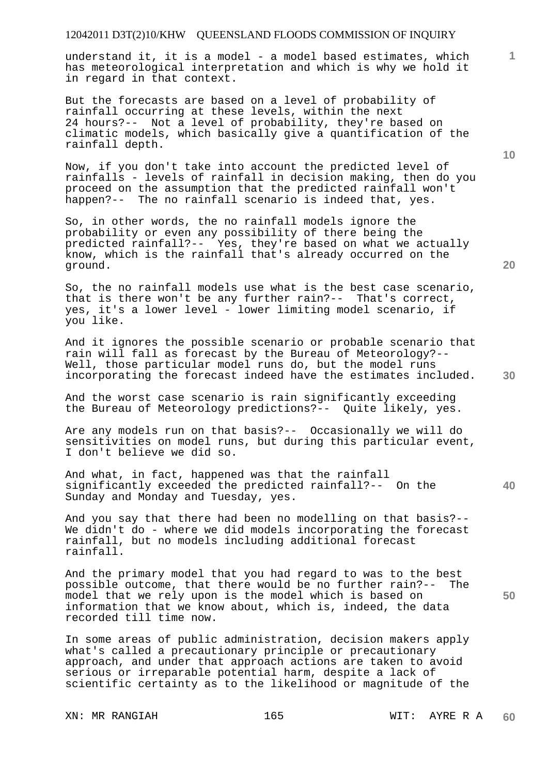understand it, it is a model - a model based estimates, which has meteorological interpretation and which is why we hold it in regard in that context.

But the forecasts are based on a level of probability of rainfall occurring at these levels, within the next 24 hours?-- Not a level of probability, they're based on climatic models, which basically give a quantification of the rainfall depth.

Now, if you don't take into account the predicted level of rainfalls - levels of rainfall in decision making, then do you proceed on the assumption that the predicted rainfall won't happen?-- The no rainfall scenario is indeed that, yes.

So, in other words, the no rainfall models ignore the probability or even any possibility of there being the predicted rainfall?-- Yes, they're based on what we actually know, which is the rainfall that's already occurred on the ground.

So, the no rainfall models use what is the best case scenario, that is there won't be any further rain?-- That's correct, yes, it's a lower level - lower limiting model scenario, if you like.

And it ignores the possible scenario or probable scenario that rain will fall as forecast by the Bureau of Meteorology?-- Well, those particular model runs do, but the model runs incorporating the forecast indeed have the estimates included.

And the worst case scenario is rain significantly exceeding the Bureau of Meteorology predictions?-- Quite likely, yes.

Are any models run on that basis?-- Occasionally we will do sensitivities on model runs, but during this particular event, I don't believe we did so.

And what, in fact, happened was that the rainfall significantly exceeded the predicted rainfall?-- On the Sunday and Monday and Tuesday, yes.

And you say that there had been no modelling on that basis?-- We didn't do - where we did models incorporating the forecast rainfall, but no models including additional forecast rainfall.

And the primary model that you had regard to was to the best possible outcome, that there would be no further rain?-- The model that we rely upon is the model which is based on information that we know about, which is, indeed, the data recorded till time now.

In some areas of public administration, decision makers apply what's called a precautionary principle or precautionary approach, and under that approach actions are taken to avoid serious or irreparable potential harm, despite a lack of scientific certainty as to the likelihood or magnitude of the

XN: MR RANGIAH 165 165 WIT: AYRE R A

**1**

**20** 

**40**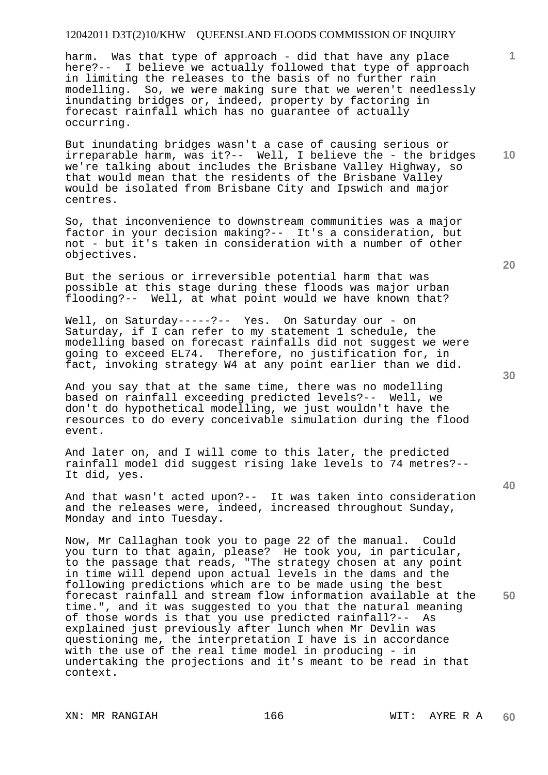harm. Was that type of approach - did that have any place here?-- I believe we actually followed that type of approach in limiting the releases to the basis of no further rain modelling. So, we were making sure that we weren't needlessly inundating bridges or, indeed, property by factoring in forecast rainfall which has no guarantee of actually occurring.

But inundating bridges wasn't a case of causing serious or irreparable harm, was it?-- Well, I believe the - the bridges we're talking about includes the Brisbane Valley Highway, so that would mean that the residents of the Brisbane Valley would be isolated from Brisbane City and Ipswich and major centres.

So, that inconvenience to downstream communities was a major factor in your decision making?-- It's a consideration, but not - but it's taken in consideration with a number of other objectives.

But the serious or irreversible potential harm that was possible at this stage during these floods was major urban flooding?-- Well, at what point would we have known that?

Well, on Saturday-----?-- Yes. On Saturday our - on Saturday, if I can refer to my statement 1 schedule, the modelling based on forecast rainfalls did not suggest we were going to exceed EL74. Therefore, no justification for, in fact, invoking strategy W4 at any point earlier than we did.

And you say that at the same time, there was no modelling based on rainfall exceeding predicted levels?-- Well, we don't do hypothetical modelling, we just wouldn't have the resources to do every conceivable simulation during the flood event.

And later on, and I will come to this later, the predicted rainfall model did suggest rising lake levels to 74 metres?-- It did, yes.

And that wasn't acted upon?-- It was taken into consideration and the releases were, indeed, increased throughout Sunday, Monday and into Tuesday.

Now, Mr Callaghan took you to page 22 of the manual. Could you turn to that again, please? He took you, in particular, to the passage that reads, "The strategy chosen at any point in time will depend upon actual levels in the dams and the following predictions which are to be made using the best forecast rainfall and stream flow information available at the time.", and it was suggested to you that the natural meaning of those words is that you use predicted rainfall?-- As explained just previously after lunch when Mr Devlin was questioning me, the interpretation I have is in accordance with the use of the real time model in producing - in undertaking the projections and it's meant to be read in that context.

**30** 

**20** 



**50** 

**10**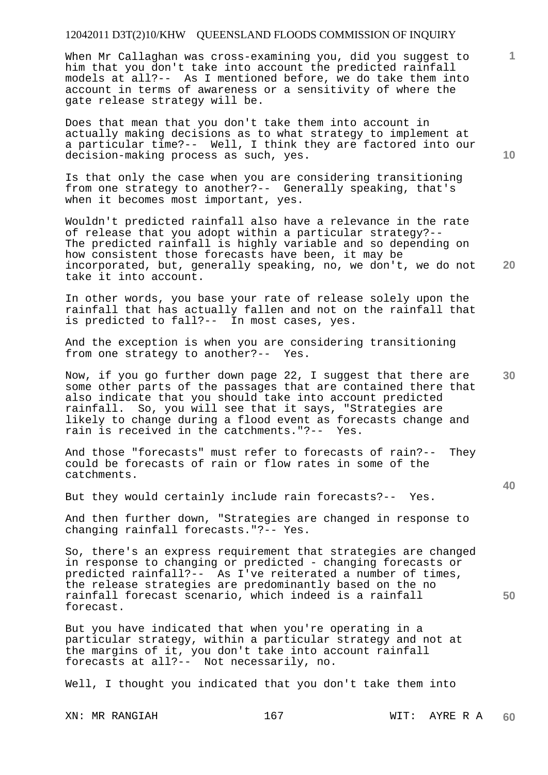When Mr Callaghan was cross-examining you, did you suggest to him that you don't take into account the predicted rainfall models at all?-- As I mentioned before, we do take them into account in terms of awareness or a sensitivity of where the gate release strategy will be.

Does that mean that you don't take them into account in actually making decisions as to what strategy to implement at a particular time?-- Well, I think they are factored into our decision-making process as such, yes.

Is that only the case when you are considering transitioning from one strategy to another?-- Generally speaking, that's when it becomes most important, yes.

Wouldn't predicted rainfall also have a relevance in the rate of release that you adopt within a particular strategy?-- The predicted rainfall is highly variable and so depending on how consistent those forecasts have been, it may be incorporated, but, generally speaking, no, we don't, we do not take it into account.

In other words, you base your rate of release solely upon the rainfall that has actually fallen and not on the rainfall that is predicted to fall?-- In most cases, yes.

And the exception is when you are considering transitioning from one strategy to another?-- Yes.

**30**  Now, if you go further down page 22, I suggest that there are some other parts of the passages that are contained there that also indicate that you should take into account predicted rainfall. So, you will see that it says, "Strategies are likely to change during a flood event as forecasts change and rain is received in the catchments."?-- Yes.

And those "forecasts" must refer to forecasts of rain?-- They could be forecasts of rain or flow rates in some of the catchments.

But they would certainly include rain forecasts?-- Yes.

And then further down, "Strategies are changed in response to changing rainfall forecasts."?-- Yes.

So, there's an express requirement that strategies are changed in response to changing or predicted - changing forecasts or predicted rainfall?-- As I've reiterated a number of times, the release strategies are predominantly based on the no rainfall forecast scenario, which indeed is a rainfall forecast.

But you have indicated that when you're operating in a particular strategy, within a particular strategy and not at the margins of it, you don't take into account rainfall forecasts at all?-- Not necessarily, no.

Well, I thought you indicated that you don't take them into

**10** 

**20** 

**1**

**40**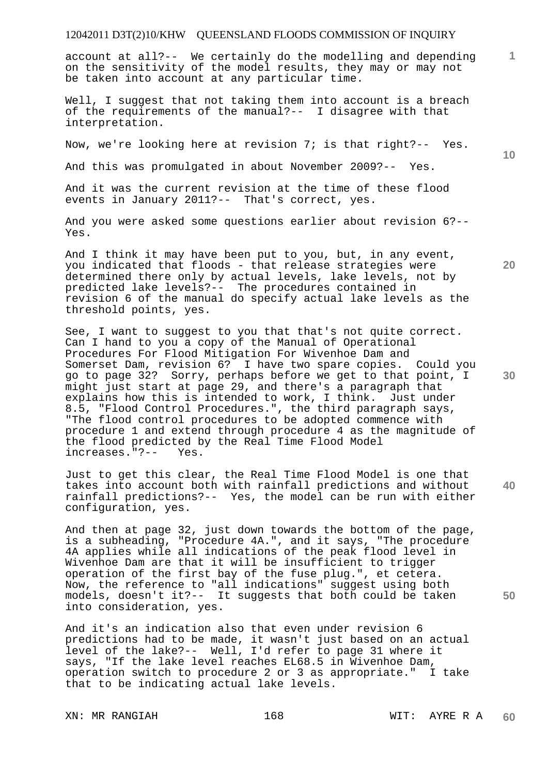account at all?-- We certainly do the modelling and depending on the sensitivity of the model results, they may or may not be taken into account at any particular time.

Well, I suggest that not taking them into account is a breach of the requirements of the manual?-- I disagree with that interpretation.

Now, we're looking here at revision 7; is that right?-- Yes.

And this was promulgated in about November 2009?-- Yes.

And it was the current revision at the time of these flood events in January 2011?-- That's correct, yes.

And you were asked some questions earlier about revision 6?-- Yes.

And I think it may have been put to you, but, in any event, you indicated that floods - that release strategies were determined there only by actual levels, lake levels, not by predicted lake levels?-- The procedures contained in revision 6 of the manual do specify actual lake levels as the threshold points, yes.

See, I want to suggest to you that that's not quite correct. Can I hand to you a copy of the Manual of Operational Procedures For Flood Mitigation For Wivenhoe Dam and Somerset Dam, revision 6? I have two spare copies. Could you go to page 32? Sorry, perhaps before we get to that point, I might just start at page 29, and there's a paragraph that explains how this is intended to work, I think. Just under 8.5, "Flood Control Procedures.", the third paragraph says, "The flood control procedures to be adopted commence with procedure 1 and extend through procedure 4 as the magnitude of the flood predicted by the Real Time Flood Model<br>increases."?-- Yes. increases."?--

Just to get this clear, the Real Time Flood Model is one that takes into account both with rainfall predictions and without rainfall predictions?-- Yes, the model can be run with either configuration, yes.

And then at page 32, just down towards the bottom of the page, is a subheading, "Procedure 4A.", and it says, "The procedure 4A applies while all indications of the peak flood level in Wivenhoe Dam are that it will be insufficient to trigger operation of the first bay of the fuse plug.", et cetera. Now, the reference to "all indications" suggest using both models, doesn't it?-- It suggests that both could be taken into consideration, yes.

And it's an indication also that even under revision 6 predictions had to be made, it wasn't just based on an actual level of the lake?-- Well, I'd refer to page 31 where it says, "If the lake level reaches EL68.5 in Wivenhoe Dam, operation switch to procedure 2 or 3 as appropriate." I take that to be indicating actual lake levels.

XN: MR RANGIAH 168 MIT: AYRE R A

**20** 

**10** 

**1**

**40**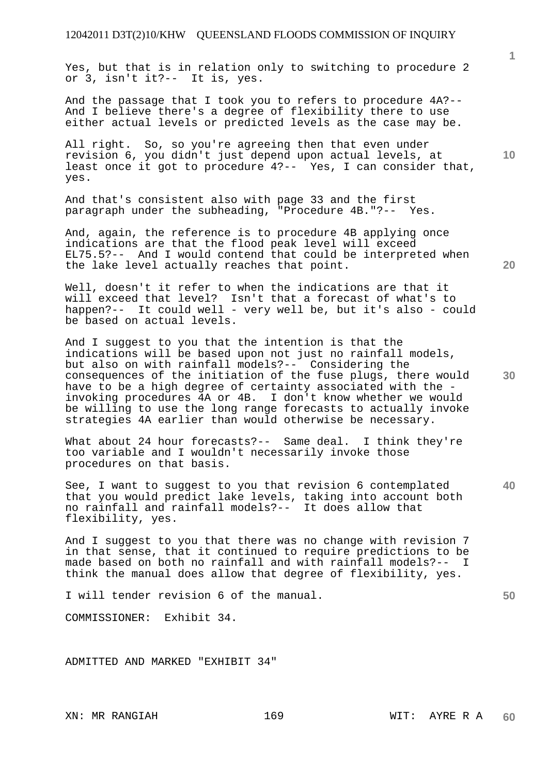Yes, but that is in relation only to switching to procedure 2 or 3, isn't it?-- It is, yes.

And the passage that I took you to refers to procedure 4A?-- And I believe there's a degree of flexibility there to use either actual levels or predicted levels as the case may be.

All right. So, so you're agreeing then that even under revision 6, you didn't just depend upon actual levels, at least once it got to procedure 4?-- Yes, I can consider that, yes.

And that's consistent also with page 33 and the first paragraph under the subheading, "Procedure 4B."?-- Yes.

And, again, the reference is to procedure 4B applying once indications are that the flood peak level will exceed EL75.5?-- And I would contend that could be interpreted when the lake level actually reaches that point.

Well, doesn't it refer to when the indications are that it will exceed that level? Isn't that a forecast of what's to happen?-- It could well - very well be, but it's also - could be based on actual levels.

And I suggest to you that the intention is that the indications will be based upon not just no rainfall models, but also on with rainfall models?-- Considering the consequences of the initiation of the fuse plugs, there would have to be a high degree of certainty associated with the invoking procedures 4A or 4B. I don't know whether we would be willing to use the long range forecasts to actually invoke strategies 4A earlier than would otherwise be necessary.

What about 24 hour forecasts?-- Same deal. I think they're too variable and I wouldn't necessarily invoke those procedures on that basis.

**40**  See, I want to suggest to you that revision 6 contemplated that you would predict lake levels, taking into account both no rainfall and rainfall models?-- It does allow that flexibility, yes.

And I suggest to you that there was no change with revision 7 in that sense, that it continued to require predictions to be made based on both no rainfall and with rainfall models?-- I think the manual does allow that degree of flexibility, yes.

I will tender revision 6 of the manual.

COMMISSIONER: Exhibit 34.

ADMITTED AND MARKED "EXHIBIT 34"

**20** 

**10** 

**30**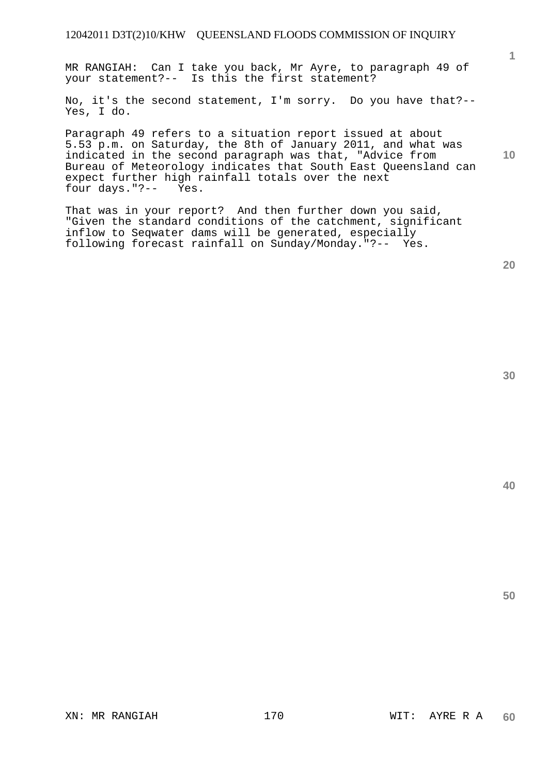MR RANGIAH: Can I take you back, Mr Ayre, to paragraph 49 of your statement?-- Is this the first statement?

No, it's the second statement, I'm sorry. Do you have that?-- Yes, I do.

Paragraph 49 refers to a situation report issued at about 5.53 p.m. on Saturday, the 8th of January 2011, and what was indicated in the second paragraph was that, "Advice from Bureau of Meteorology indicates that South East Queensland can expect further high rainfall totals over the next<br>four days. "?-- Yes. four days."?--

That was in your report? And then further down you said, "Given the standard conditions of the catchment, significant inflow to Seqwater dams will be generated, especially following forecast rainfall on Sunday/Monday."?-- Yes.

**20** 

**40** 

**50** 

**1**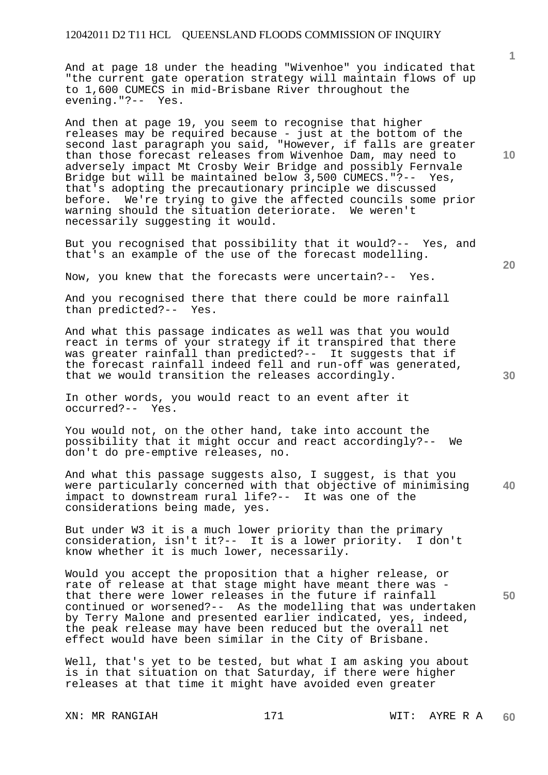And at page 18 under the heading "Wivenhoe" you indicated that "the current gate operation strategy will maintain flows of up to 1,600 CUMECS in mid-Brisbane River throughout the evening."?-- Yes.

And then at page 19, you seem to recognise that higher releases may be required because - just at the bottom of the second last paragraph you said, "However, if falls are greater than those forecast releases from Wivenhoe Dam, may need to adversely impact Mt Crosby Weir Bridge and possibly Fernvale Bridge but will be maintained below 3,500 CUMECS."?-- Yes, that's adopting the precautionary principle we discussed before. We're trying to give the affected councils some prior warning should the situation deteriorate. We weren't necessarily suggesting it would.

But you recognised that possibility that it would?-- Yes, and that's an example of the use of the forecast modelling.

Now, you knew that the forecasts were uncertain?-- Yes.

And you recognised there that there could be more rainfall than predicted?-- Yes. than predicted?--

And what this passage indicates as well was that you would react in terms of your strategy if it transpired that there was greater rainfall than predicted?-- It suggests that if the forecast rainfall indeed fell and run-off was generated, that we would transition the releases accordingly.

In other words, you would react to an event after it occurred?-- Yes.

You would not, on the other hand, take into account the possibility that it might occur and react accordingly?-- We don't do pre-emptive releases, no.

**40**  And what this passage suggests also, I suggest, is that you were particularly concerned with that objective of minimising impact to downstream rural life?-- It was one of the considerations being made, yes.

But under W3 it is a much lower priority than the primary consideration, isn't it?-- It is a lower priority. I don't know whether it is much lower, necessarily.

Would you accept the proposition that a higher release, or rate of release at that stage might have meant there was that there were lower releases in the future if rainfall continued or worsened?-- As the modelling that was undertaken by Terry Malone and presented earlier indicated, yes, indeed, the peak release may have been reduced but the overall net effect would have been similar in the City of Brisbane.

Well, that's yet to be tested, but what I am asking you about is in that situation on that Saturday, if there were higher releases at that time it might have avoided even greater

XN: MR RANGIAH 171 WIT: AYRE R A

**10** 

**1**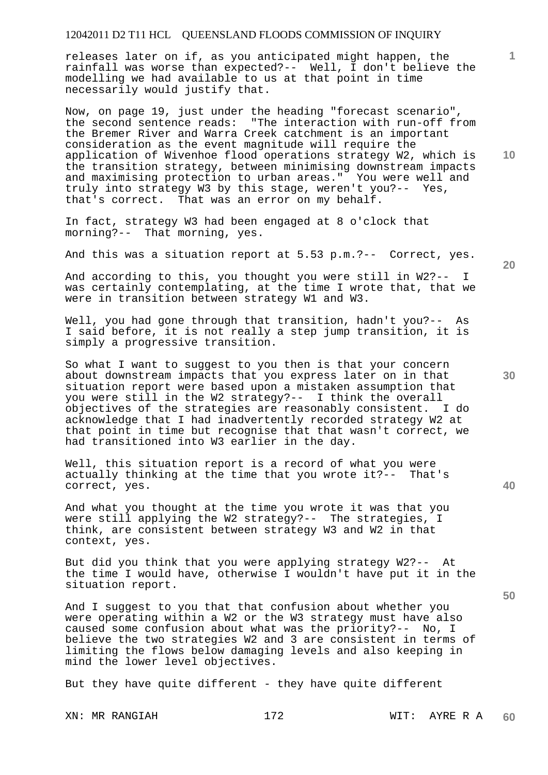releases later on if, as you anticipated might happen, the rainfall was worse than expected?-- Well, I don't believe the modelling we had available to us at that point in time necessarily would justify that.

Now, on page 19, just under the heading "forecast scenario", the second sentence reads: "The interaction with run-off from the Bremer River and Warra Creek catchment is an important consideration as the event magnitude will require the application of Wivenhoe flood operations strategy W2, which is the transition strategy, between minimising downstream impacts and maximising protection to urban areas." You were well and truly into strategy W3 by this stage, weren't you?-- Yes, that's correct. That was an error on my behalf.

In fact, strategy W3 had been engaged at 8 o'clock that morning?-- That morning, yes.

And this was a situation report at 5.53 p.m.?-- Correct, yes.

And according to this, you thought you were still in W2?-- I was certainly contemplating, at the time I wrote that, that we were in transition between strategy W1 and W3.

Well, you had gone through that transition, hadn't you?-- As I said before, it is not really a step jump transition, it is simply a progressive transition.

So what I want to suggest to you then is that your concern about downstream impacts that you express later on in that situation report were based upon a mistaken assumption that you were still in the W2 strategy?-- I think the overall objectives of the strategies are reasonably consistent. I do acknowledge that I had inadvertently recorded strategy W2 at that point in time but recognise that that wasn't correct, we had transitioned into W3 earlier in the day.

Well, this situation report is a record of what you were actually thinking at the time that you wrote it?-- That's correct, yes.

And what you thought at the time you wrote it was that you were still applying the W2 strategy?-- The strategies, I think, are consistent between strategy W3 and W2 in that context, yes.

But did you think that you were applying strategy W2?-- At the time I would have, otherwise I wouldn't have put it in the situation report.

And I suggest to you that that confusion about whether you were operating within a W2 or the W3 strategy must have also caused some confusion about what was the priority?-- No, I believe the two strategies W2 and 3 are consistent in terms of limiting the flows below damaging levels and also keeping in mind the lower level objectives.

But they have quite different - they have quite different

**20** 

**40** 

**30** 

**50** 

**10**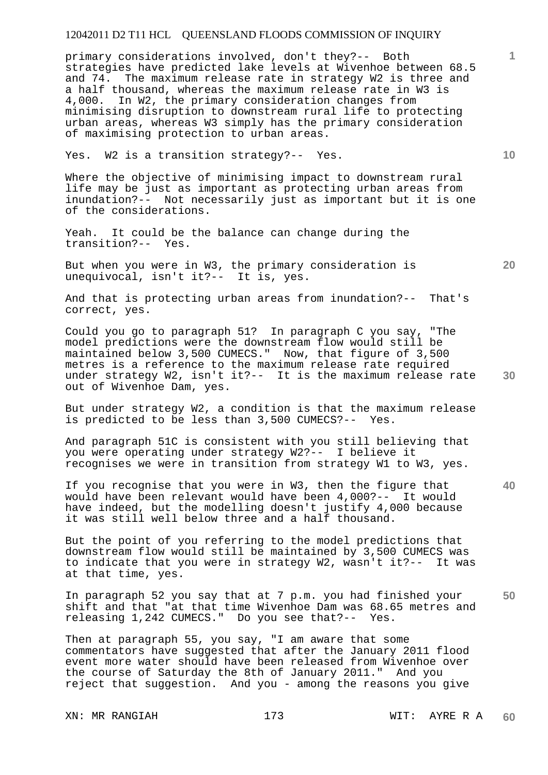primary considerations involved, don't they?-- Both strategies have predicted lake levels at Wivenhoe between 68.5 and 74. The maximum release rate in strategy W2 is three and a half thousand, whereas the maximum release rate in W3 is 4,000. In W2, the primary consideration changes from minimising disruption to downstream rural life to protecting urban areas, whereas W3 simply has the primary consideration of maximising protection to urban areas.

Yes. W2 is a transition strategy?-- Yes.

Where the objective of minimising impact to downstream rural life may be just as important as protecting urban areas from inundation?-- Not necessarily just as important but it is one of the considerations.

Yeah. It could be the balance can change during the transition?-- Yes.

But when you were in W3, the primary consideration is unequivocal, isn't it?-- It is, yes.

And that is protecting urban areas from inundation?-- That's correct, yes.

**30**  Could you go to paragraph 51? In paragraph C you say, "The model predictions were the downstream flow would still be maintained below 3,500 CUMECS." Now, that figure of 3,500 metres is a reference to the maximum release rate required under strategy W2, isn't it?-- It is the maximum release rate out of Wivenhoe Dam, yes.

But under strategy W2, a condition is that the maximum release is predicted to be less than 3,500 CUMECS?-- Yes.

And paragraph 51C is consistent with you still believing that you were operating under strategy W2?-- I believe it recognises we were in transition from strategy W1 to W3, yes.

If you recognise that you were in W3, then the figure that would have been relevant would have been 4,000?-- It would have indeed, but the modelling doesn't justify 4,000 because it was still well below three and a half thousand.

But the point of you referring to the model predictions that downstream flow would still be maintained by 3,500 CUMECS was to indicate that you were in strategy W2, wasn't it?-- It was at that time, yes.

**50**  In paragraph 52 you say that at 7 p.m. you had finished your shift and that "at that time Wivenhoe Dam was 68.65 metres and releasing 1,242 CUMECS." Do you see that?-- Yes.

Then at paragraph 55, you say, "I am aware that some commentators have suggested that after the January 2011 flood event more water should have been released from Wivenhoe over the course of Saturday the 8th of January 2011." And you reject that suggestion. And you - among the reasons you give

XN: MR RANGIAH 173 1999 WIT: AYRE R A

**10** 

**1**

**20**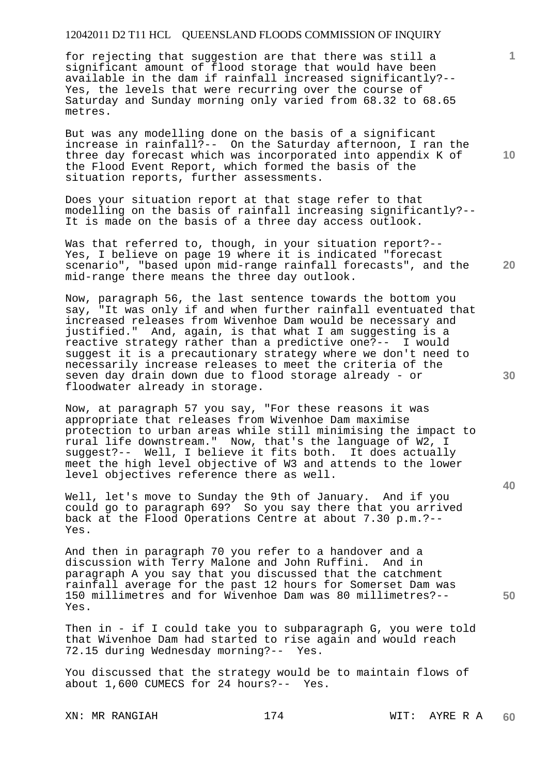for rejecting that suggestion are that there was still a significant amount of flood storage that would have been available in the dam if rainfall increased significantly?-- Yes, the levels that were recurring over the course of Saturday and Sunday morning only varied from 68.32 to 68.65 metres.

But was any modelling done on the basis of a significant increase in rainfall?-- On the Saturday afternoon, I ran the three day forecast which was incorporated into appendix K of the Flood Event Report, which formed the basis of the situation reports, further assessments.

Does your situation report at that stage refer to that modelling on the basis of rainfall increasing significantly?-- It is made on the basis of a three day access outlook.

Was that referred to, though, in your situation report?-- Yes, I believe on page 19 where it is indicated "forecast scenario", "based upon mid-range rainfall forecasts", and the mid-range there means the three day outlook.

Now, paragraph 56, the last sentence towards the bottom you say, "It was only if and when further rainfall eventuated that increased releases from Wivenhoe Dam would be necessary and justified." And, again, is that what I am suggesting is a reactive strategy rather than a predictive one?-- I would suggest it is a precautionary strategy where we don't need to necessarily increase releases to meet the criteria of the seven day drain down due to flood storage already - or floodwater already in storage.

Now, at paragraph 57 you say, "For these reasons it was appropriate that releases from Wivenhoe Dam maximise protection to urban areas while still minimising the impact to rural life downstream." Now, that's the language of W2, I suggest?-- Well, I believe it fits both. It does actually meet the high level objective of W3 and attends to the lower level objectives reference there as well.

Well, let's move to Sunday the 9th of January. And if you could go to paragraph 69? So you say there that you arrived back at the Flood Operations Centre at about 7.30 p.m.?-- Yes.

And then in paragraph 70 you refer to a handover and a discussion with Terry Malone and John Ruffini. And in paragraph A you say that you discussed that the catchment rainfall average for the past 12 hours for Somerset Dam was 150 millimetres and for Wivenhoe Dam was 80 millimetres?-- Yes.

Then in - if I could take you to subparagraph G, you were told that Wivenhoe Dam had started to rise again and would reach 72.15 during Wednesday morning?-- Yes.

You discussed that the strategy would be to maintain flows of about 1,600 CUMECS for 24 hours?-- Yes.

XN: MR RANGIAH 174 WIT: AYRE R A

**10** 

**1**

**30** 

**20** 

**40**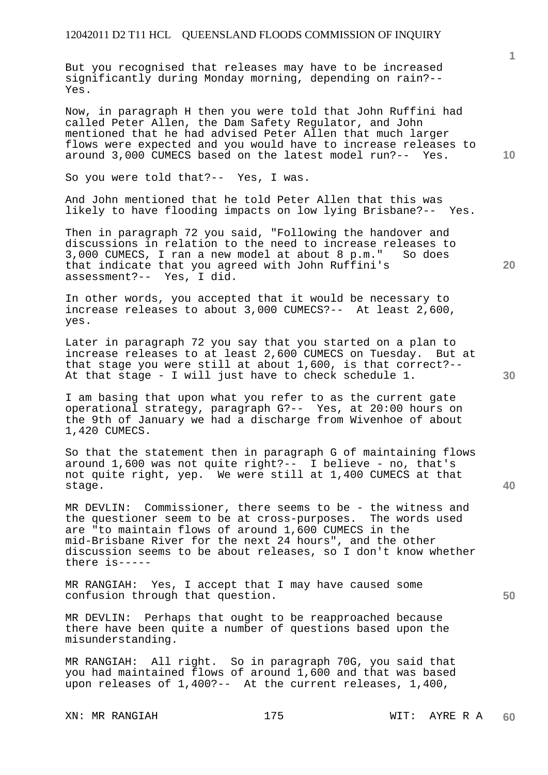But you recognised that releases may have to be increased significantly during Monday morning, depending on rain?-- Yes.

Now, in paragraph H then you were told that John Ruffini had called Peter Allen, the Dam Safety Regulator, and John mentioned that he had advised Peter Allen that much larger flows were expected and you would have to increase releases to around 3,000 CUMECS based on the latest model run?-- Yes.

So you were told that?-- Yes, I was.

And John mentioned that he told Peter Allen that this was likely to have flooding impacts on low lying Brisbane?-- Yes.

Then in paragraph 72 you said, "Following the handover and discussions in relation to the need to increase releases to 3,000 CUMECS, I ran a new model at about 8 p.m." So does that indicate that you agreed with John Ruffini's assessment?-- Yes, I did.

In other words, you accepted that it would be necessary to increase releases to about 3,000 CUMECS?-- At least 2,600, yes.

Later in paragraph 72 you say that you started on a plan to increase releases to at least 2,600 CUMECS on Tuesday. But at that stage you were still at about 1,600, is that correct?-- At that stage - I will just have to check schedule 1.

I am basing that upon what you refer to as the current gate operational strategy, paragraph G?-- Yes, at 20:00 hours on the 9th of January we had a discharge from Wivenhoe of about 1,420 CUMECS.

So that the statement then in paragraph G of maintaining flows around 1,600 was not quite right?-- I believe - no, that's not quite right, yep. We were still at 1,400 CUMECS at that stage.

MR DEVLIN: Commissioner, there seems to be - the witness and the questioner seem to be at cross-purposes. The words used are "to maintain flows of around 1,600 CUMECS in the mid-Brisbane River for the next 24 hours", and the other discussion seems to be about releases, so I don't know whether there is-----

MR RANGIAH: Yes, I accept that I may have caused some confusion through that question.

MR DEVLIN: Perhaps that ought to be reapproached because there have been quite a number of questions based upon the misunderstanding.

MR RANGIAH: All right. So in paragraph 70G, you said that you had maintained flows of around 1,600 and that was based upon releases of 1,400?-- At the current releases, 1,400,

XN: MR RANGIAH 175 175 WIT: AYRE R A

**1**

**20** 

**40**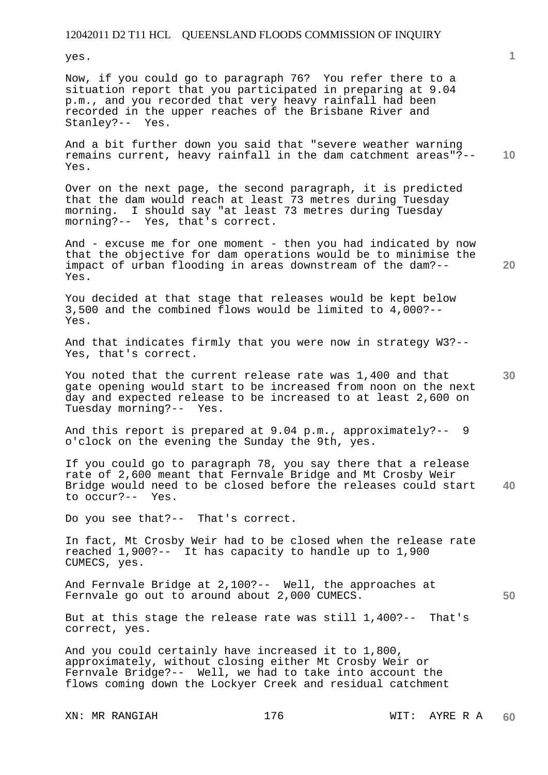yes.

Now, if you could go to paragraph 76? You refer there to a situation report that you participated in preparing at 9.04 p.m., and you recorded that very heavy rainfall had been recorded in the upper reaches of the Brisbane River and Stanley?-- Yes.

**10**  And a bit further down you said that "severe weather warning remains current, heavy rainfall in the dam catchment areas"?-- Yes.

Over on the next page, the second paragraph, it is predicted that the dam would reach at least 73 metres during Tuesday morning. I should say "at least 73 metres during Tuesday morning?-- Yes, that's correct.

And - excuse me for one moment - then you had indicated by now that the objective for dam operations would be to minimise the impact of urban flooding in areas downstream of the dam?-- Yes.

You decided at that stage that releases would be kept below 3,500 and the combined flows would be limited to 4,000?-- Yes.

And that indicates firmly that you were now in strategy W3?-- Yes, that's correct.

**30**  You noted that the current release rate was 1,400 and that gate opening would start to be increased from noon on the next day and expected release to be increased to at least 2,600 on Tuesday morning?-- Yes.

And this report is prepared at 9.04 p.m., approximately?-- 9 o'clock on the evening the Sunday the 9th, yes.

**40**  If you could go to paragraph 78, you say there that a release rate of 2,600 meant that Fernvale Bridge and Mt Crosby Weir Bridge would need to be closed before the releases could start to occur?-- Yes.

Do you see that?-- That's correct.

In fact, Mt Crosby Weir had to be closed when the release rate reached 1,900?-- It has capacity to handle up to 1,900 CUMECS, yes.

And Fernvale Bridge at 2,100?-- Well, the approaches at Fernvale go out to around about 2,000 CUMECS.

But at this stage the release rate was still 1,400?-- That's correct, yes.

And you could certainly have increased it to 1,800, approximately, without closing either Mt Crosby Weir or Fernvale Bridge?-- Well, we had to take into account the flows coming down the Lockyer Creek and residual catchment

XN: MR RANGIAH 176 176 WIT: AYRE R A

**20**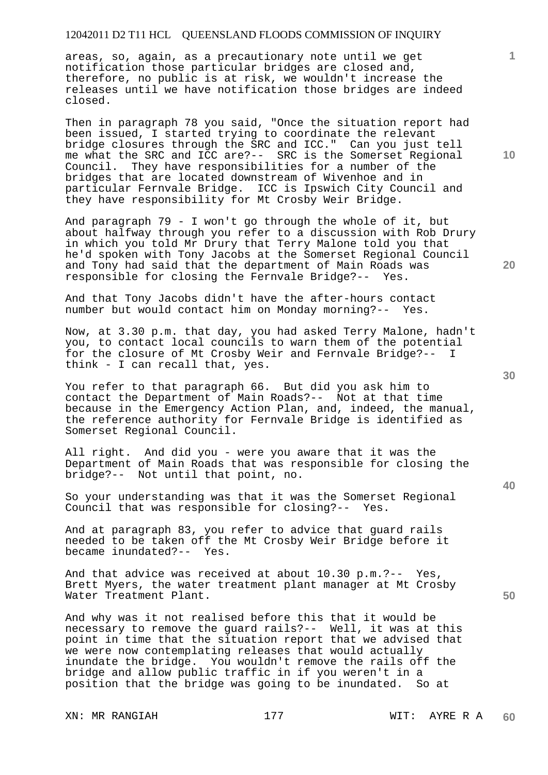areas, so, again, as a precautionary note until we get notification those particular bridges are closed and, therefore, no public is at risk, we wouldn't increase the releases until we have notification those bridges are indeed closed.

Then in paragraph 78 you said, "Once the situation report had been issued, I started trying to coordinate the relevant bridge closures through the SRC and ICC." Can you just tell me what the SRC and ICC are?-- SRC is the Somerset Regional Council. They have responsibilities for a number of the bridges that are located downstream of Wivenhoe and in particular Fernvale Bridge. ICC is Ipswich City Council and they have responsibility for Mt Crosby Weir Bridge.

And paragraph 79 - I won't go through the whole of it, but about halfway through you refer to a discussion with Rob Drury in which you told Mr Drury that Terry Malone told you that he'd spoken with Tony Jacobs at the Somerset Regional Council and Tony had said that the department of Main Roads was responsible for closing the Fernvale Bridge?-- Yes.

And that Tony Jacobs didn't have the after-hours contact number but would contact him on Monday morning?-- Yes.

Now, at 3.30 p.m. that day, you had asked Terry Malone, hadn't you, to contact local councils to warn them of the potential for the closure of Mt Crosby Weir and Fernvale Bridge?-- I think - I can recall that, yes.

You refer to that paragraph 66. But did you ask him to contact the Department of Main Roads?-- Not at that time because in the Emergency Action Plan, and, indeed, the manual, the reference authority for Fernvale Bridge is identified as Somerset Regional Council.

All right. And did you - were you aware that it was the Department of Main Roads that was responsible for closing the bridge?-- Not until that point, no.

So your understanding was that it was the Somerset Regional Council that was responsible for closing?-- Yes.

And at paragraph 83, you refer to advice that guard rails needed to be taken off the Mt Crosby Weir Bridge before it became inundated?-- Yes.

And that advice was received at about 10.30 p.m.?-- Yes, Brett Myers, the water treatment plant manager at Mt Crosby Water Treatment Plant.

And why was it not realised before this that it would be necessary to remove the guard rails?-- Well, it was at this point in time that the situation report that we advised that we were now contemplating releases that would actually inundate the bridge. You wouldn't remove the rails off the bridge and allow public traffic in if you weren't in a position that the bridge was going to be inundated. So at

XN: MR RANGIAH 177 177 WIT: AYRE R A

**10** 

**1**

**20** 

**30**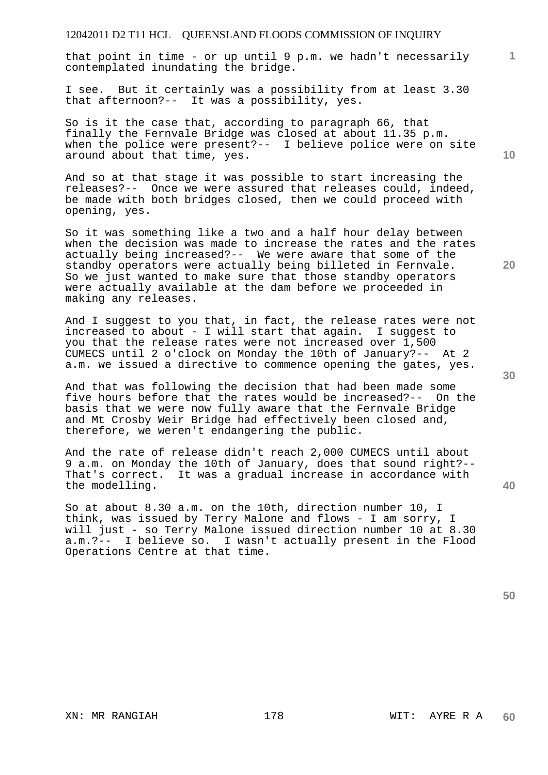that point in time - or up until 9 p.m. we hadn't necessarily contemplated inundating the bridge.

I see. But it certainly was a possibility from at least 3.30 that afternoon?-- It was a possibility, yes.

So is it the case that, according to paragraph 66, that finally the Fernvale Bridge was closed at about 11.35 p.m. when the police were present?-- I believe police were on site around about that time, yes.

And so at that stage it was possible to start increasing the releases?-- Once we were assured that releases could, indeed, be made with both bridges closed, then we could proceed with opening, yes.

So it was something like a two and a half hour delay between when the decision was made to increase the rates and the rates actually being increased?-- We were aware that some of the standby operators were actually being billeted in Fernvale. So we just wanted to make sure that those standby operators were actually available at the dam before we proceeded in making any releases.

And I suggest to you that, in fact, the release rates were not increased to about - I will start that again. I suggest to you that the release rates were not increased over 1,500 CUMECS until 2 o'clock on Monday the 10th of January?-- At 2 a.m. we issued a directive to commence opening the gates, yes.

And that was following the decision that had been made some five hours before that the rates would be increased?-- On the basis that we were now fully aware that the Fernvale Bridge and Mt Crosby Weir Bridge had effectively been closed and, therefore, we weren't endangering the public.

And the rate of release didn't reach 2,000 CUMECS until about 9 a.m. on Monday the 10th of January, does that sound right?-- That's correct. It was a gradual increase in accordance with the modelling.

So at about 8.30 a.m. on the 10th, direction number 10, I think, was issued by Terry Malone and flows - I am sorry, I will just - so Terry Malone issued direction number 10 at 8.30 a.m.?-- I believe so. I wasn't actually present in the Flood Operations Centre at that time.

**10** 

**1**

**20** 

**30**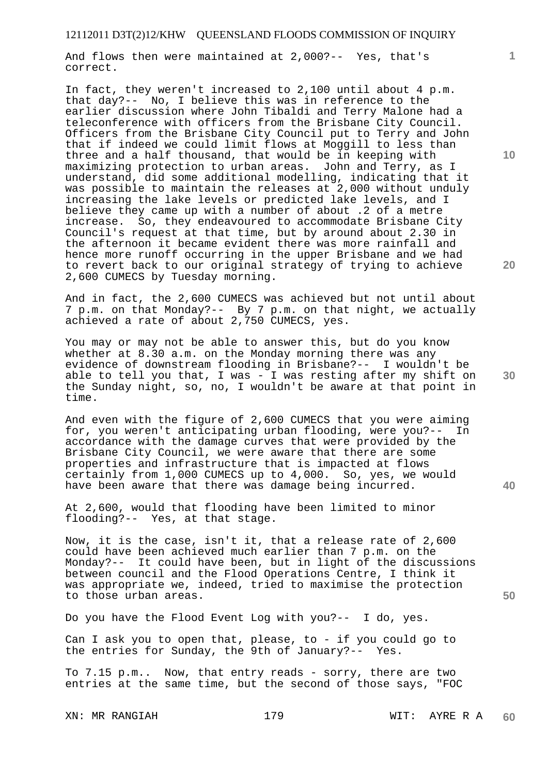And flows then were maintained at 2,000?-- Yes, that's correct.

In fact, they weren't increased to 2,100 until about 4 p.m. that day?-- No, I believe this was in reference to the earlier discussion where John Tibaldi and Terry Malone had a teleconference with officers from the Brisbane City Council. Officers from the Brisbane City Council put to Terry and John that if indeed we could limit flows at Moggill to less than three and a half thousand, that would be in keeping with maximizing protection to urban areas. John and Terry, as I understand, did some additional modelling, indicating that it was possible to maintain the releases at 2,000 without unduly increasing the lake levels or predicted lake levels, and I believe they came up with a number of about .2 of a metre increase. So, they endeavoured to accommodate Brisbane City Council's request at that time, but by around about 2.30 in the afternoon it became evident there was more rainfall and hence more runoff occurring in the upper Brisbane and we had to revert back to our original strategy of trying to achieve 2,600 CUMECS by Tuesday morning.

And in fact, the 2,600 CUMECS was achieved but not until about 7 p.m. on that Monday?-- By 7 p.m. on that night, we actually achieved a rate of about 2,750 CUMECS, yes.

You may or may not be able to answer this, but do you know whether at 8.30 a.m. on the Monday morning there was any evidence of downstream flooding in Brisbane?-- I wouldn't be able to tell you that, I was  $-$  I was resting after my shift on the Sunday night, so, no, I wouldn't be aware at that point in time.

And even with the figure of 2,600 CUMECS that you were aiming for, you weren't anticipating urban flooding, were you?-- In accordance with the damage curves that were provided by the Brisbane City Council, we were aware that there are some properties and infrastructure that is impacted at flows certainly from 1,000 CUMECS up to 4,000. So, yes, we would have been aware that there was damage being incurred.

At 2,600, would that flooding have been limited to minor flooding?-- Yes, at that stage.

Now, it is the case, isn't it, that a release rate of 2,600 could have been achieved much earlier than 7 p.m. on the Monday?-- It could have been, but in light of the discussions between council and the Flood Operations Centre, I think it was appropriate we, indeed, tried to maximise the protection to those urban areas.

Do you have the Flood Event Log with you?-- I do, yes.

Can I ask you to open that, please, to - if you could go to the entries for Sunday, the 9th of January?-- Yes.

To 7.15 p.m.. Now, that entry reads - sorry, there are two entries at the same time, but the second of those says, "FOC

XN: MR RANGIAH 179 179 WIT: AYRE R A

**10** 

**1**

**20** 

**40**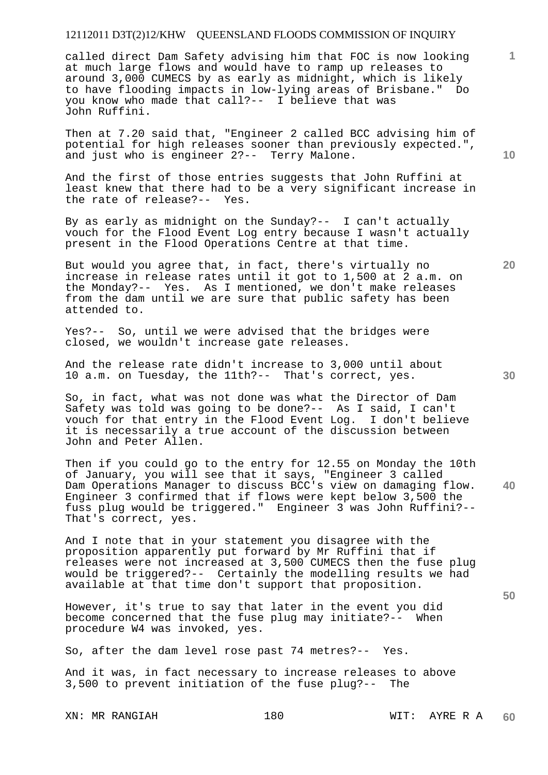called direct Dam Safety advising him that FOC is now looking at much large flows and would have to ramp up releases to around 3,000 CUMECS by as early as midnight, which is likely to have flooding impacts in low-lying areas of Brisbane." Do you know who made that call?-- I believe that was John Ruffini.

Then at 7.20 said that, "Engineer 2 called BCC advising him of potential for high releases sooner than previously expected.", and just who is engineer 2?-- Terry Malone.

And the first of those entries suggests that John Ruffini at least knew that there had to be a very significant increase in the rate of release?-- Yes.

By as early as midnight on the Sunday?-- I can't actually vouch for the Flood Event Log entry because I wasn't actually present in the Flood Operations Centre at that time.

But would you agree that, in fact, there's virtually no increase in release rates until it got to 1,500 at 2 a.m. on the Monday?-- Yes. As I mentioned, we don't make releases from the dam until we are sure that public safety has been attended to.

Yes?-- So, until we were advised that the bridges were closed, we wouldn't increase gate releases.

And the release rate didn't increase to 3,000 until about 10 a.m. on Tuesday, the 11th?-- That's correct, yes.

So, in fact, what was not done was what the Director of Dam Safety was told was going to be done?-- As I said, I can't vouch for that entry in the Flood Event Log. I don't believe it is necessarily a true account of the discussion between John and Peter Allen.

**40**  Then if you could go to the entry for 12.55 on Monday the 10th of January, you will see that it says, "Engineer 3 called Dam Operations Manager to discuss BCC's view on damaging flow. Engineer 3 confirmed that if flows were kept below 3,500 the fuss plug would be triggered." Engineer 3 was John Ruffini?-- That's correct, yes.

And I note that in your statement you disagree with the proposition apparently put forward by Mr Ruffini that if releases were not increased at 3,500 CUMECS then the fuse plug would be triggered?-- Certainly the modelling results we had available at that time don't support that proposition.

However, it's true to say that later in the event you did become concerned that the fuse plug may initiate?-- When procedure W4 was invoked, yes.

So, after the dam level rose past 74 metres?-- Yes.

And it was, in fact necessary to increase releases to above 3,500 to prevent initiation of the fuse plug?-- The

XN: MR RANGIAH 180 180 WIT: AYRE R A

**10** 

**1**

**20**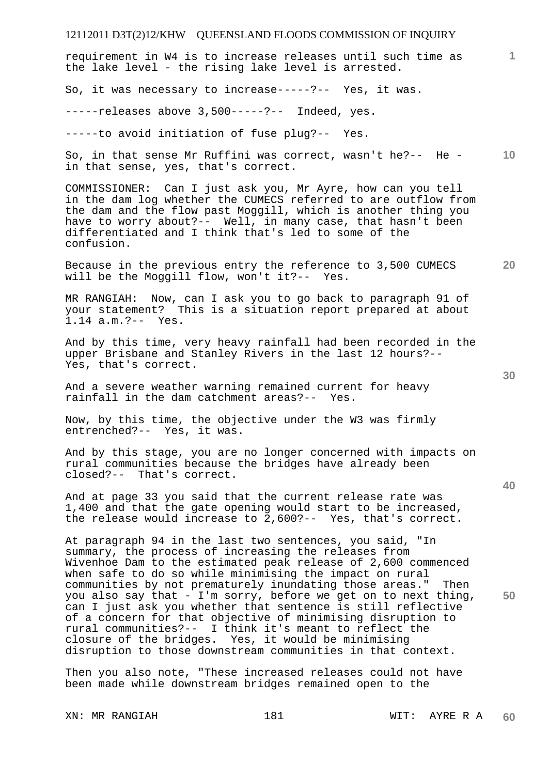**1 10 20 30 40 50**  requirement in W4 is to increase releases until such time as the lake level - the rising lake level is arrested. So, it was necessary to increase-----?-- Yes, it was. -----releases above 3,500-----?-- Indeed, yes. -----to avoid initiation of fuse plug?-- Yes. So, in that sense Mr Ruffini was correct, wasn't he?-- He in that sense, yes, that's correct. COMMISSIONER: Can I just ask you, Mr Ayre, how can you tell in the dam log whether the CUMECS referred to are outflow from the dam and the flow past Moggill, which is another thing you have to worry about?-- Well, in many case, that hasn't been differentiated and I think that's led to some of the confusion. Because in the previous entry the reference to  $3,500$  CUMECS will be the Moggill flow, won't it ?-- Yes. will be the Moggill flow, won't it ?--MR RANGIAH: Now, can I ask you to go back to paragraph 91 of your statement? This is a situation report prepared at about 1.14 a.m.?-- Yes. And by this time, very heavy rainfall had been recorded in the upper Brisbane and Stanley Rivers in the last 12 hours?-- Yes, that's correct. And a severe weather warning remained current for heavy rainfall in the dam catchment areas?-- Yes. Now, by this time, the objective under the W3 was firmly entrenched?-- Yes, it was. And by this stage, you are no longer concerned with impacts on rural communities because the bridges have already been closed?-- That's correct. And at page 33 you said that the current release rate was 1,400 and that the gate opening would start to be increased, the release would increase to 2,600?-- Yes, that's correct. At paragraph 94 in the last two sentences, you said, "In summary, the process of increasing the releases from Wivenhoe Dam to the estimated peak release of 2,600 commenced when safe to do so while minimising the impact on rural communities by not prematurely inundating those areas." Then you also say that - I'm sorry, before we get on to next thing, can I just ask you whether that sentence is still reflective of a concern for that objective of minimising disruption to rural communities?-- I think it's meant to reflect the closure of the bridges. Yes, it would be minimising disruption to those downstream communities in that context.

Then you also note, "These increased releases could not have been made while downstream bridges remained open to the

XN: MR RANGIAH 181 181 WIT: AYRE R A **60**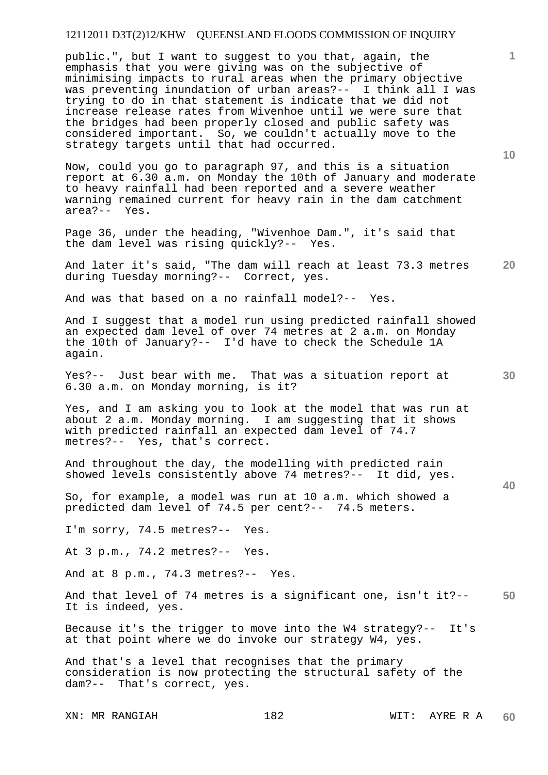public.", but I want to suggest to you that, again, the emphasis that you were giving was on the subjective of minimising impacts to rural areas when the primary objective was preventing inundation of urban areas?-- I think all I was trying to do in that statement is indicate that we did not increase release rates from Wivenhoe until we were sure that the bridges had been properly closed and public safety was considered important. So, we couldn't actually move to the strategy targets until that had occurred.

Now, could you go to paragraph 97, and this is a situation report at 6.30 a.m. on Monday the 10th of January and moderate to heavy rainfall had been reported and a severe weather warning remained current for heavy rain in the dam catchment area?-- Yes.

Page 36, under the heading, "Wivenhoe Dam.", it's said that the dam level was rising quickly?-- Yes.

**20**  And later it's said, "The dam will reach at least 73.3 metres during Tuesday morning?-- Correct, yes.

And was that based on a no rainfall model?-- Yes.

And I suggest that a model run using predicted rainfall showed an expected dam level of over 74 metres at 2 a.m. on Monday the 10th of January?-- I'd have to check the Schedule 1A again.

Yes?-- Just bear with me. That was a situation report at 6.30 a.m. on Monday morning, is it?

Yes, and I am asking you to look at the model that was run at about 2 a.m. Monday morning. I am suggesting that it shows with predicted rainfall an expected dam level of 74.7 metres?-- Yes, that's correct.

And throughout the day, the modelling with predicted rain showed levels consistently above 74 metres?-- It did, yes.

So, for example, a model was run at 10 a.m. which showed a predicted dam level of 74.5 per cent?-- 74.5 meters.

I'm sorry, 74.5 metres?-- Yes.

At 3 p.m., 74.2 metres?-- Yes.

And at 8 p.m., 74.3 metres?-- Yes.

**50**  And that level of 74 metres is a significant one, isn't it?-- It is indeed, yes.

Because it's the trigger to move into the W4 strategy?-- It's at that point where we do invoke our strategy W4, yes.

And that's a level that recognises that the primary consideration is now protecting the structural safety of the dam?-- That's correct, yes.

XN: MR RANGIAH 182 WIT: AYRE R A

**10** 

**1**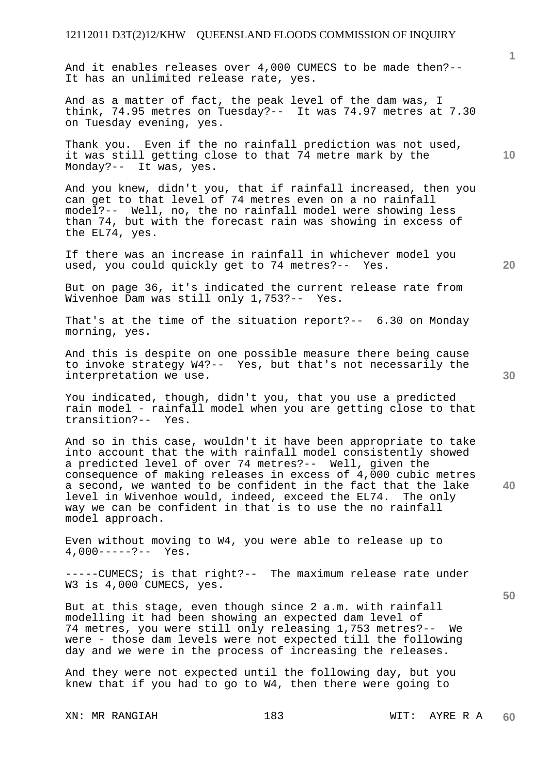And it enables releases over 4,000 CUMECS to be made then?-- It has an unlimited release rate, yes.

And as a matter of fact, the peak level of the dam was, I think, 74.95 metres on Tuesday?-- It was 74.97 metres at 7.30 on Tuesday evening, yes.

Thank you. Even if the no rainfall prediction was not used, it was still getting close to that 74 metre mark by the Monday?-- It was, yes.

And you knew, didn't you, that if rainfall increased, then you can get to that level of 74 metres even on a no rainfall model?-- Well, no, the no rainfall model were showing less than 74, but with the forecast rain was showing in excess of the EL74, yes.

If there was an increase in rainfall in whichever model you used, you could quickly get to 74 metres?-- Yes.

But on page 36, it's indicated the current release rate from Wivenhoe Dam was still only 1,753?-- Yes.

That's at the time of the situation report?-- 6.30 on Monday morning, yes.

And this is despite on one possible measure there being cause to invoke strategy W4?-- Yes, but that's not necessarily the interpretation we use.

You indicated, though, didn't you, that you use a predicted rain model - rainfall model when you are getting close to that transition?-- Yes.

And so in this case, wouldn't it have been appropriate to take into account that the with rainfall model consistently showed a predicted level of over 74 metres?-- Well, given the consequence of making releases in excess of 4,000 cubic metres a second, we wanted to be confident in the fact that the lake level in Wivenhoe would, indeed, exceed the EL74. The only way we can be confident in that is to use the no rainfall model approach.

Even without moving to W4, you were able to release up to 4,000-----?-- Yes.

-----CUMECS; is that right?-- The maximum release rate under W3 is 4,000 CUMECS, yes.

But at this stage, even though since 2 a.m. with rainfall modelling it had been showing an expected dam level of 74 metres, you were still only releasing 1,753 metres?-- We were - those dam levels were not expected till the following day and we were in the process of increasing the releases.

And they were not expected until the following day, but you knew that if you had to go to W4, then there were going to

**20** 

**30** 

**50** 

**10**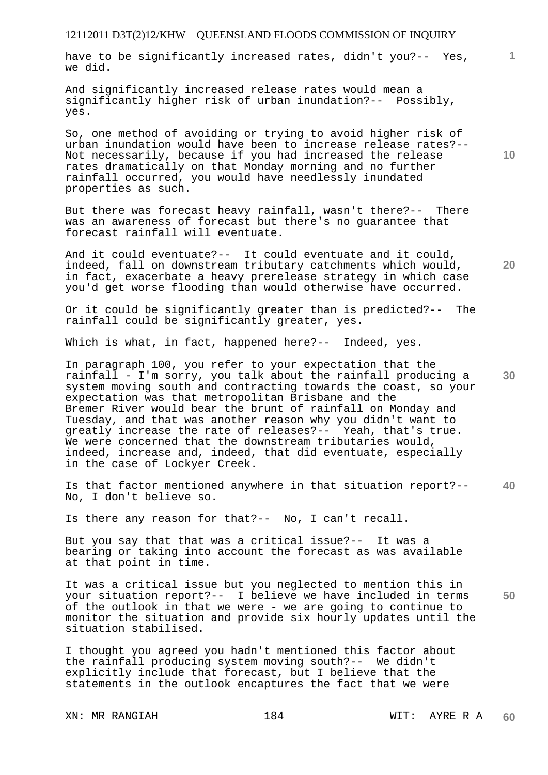have to be significantly increased rates, didn't you?-- Yes, we did.

And significantly increased release rates would mean a significantly higher risk of urban inundation?-- Possibly, yes.

So, one method of avoiding or trying to avoid higher risk of urban inundation would have been to increase release rates?-- Not necessarily, because if you had increased the release rates dramatically on that Monday morning and no further rainfall occurred, you would have needlessly inundated properties as such.

But there was forecast heavy rainfall, wasn't there?-- There was an awareness of forecast but there's no guarantee that forecast rainfall will eventuate.

And it could eventuate?-- It could eventuate and it could, indeed, fall on downstream tributary catchments which would, in fact, exacerbate a heavy prerelease strategy in which case you'd get worse flooding than would otherwise have occurred.

Or it could be significantly greater than is predicted?-- The rainfall could be significantly greater, yes.

Which is what, in fact, happened here?-- Indeed, yes.

In paragraph 100, you refer to your expectation that the rainfall - I'm sorry, you talk about the rainfall producing a system moving south and contracting towards the coast, so your expectation was that metropolitan Brisbane and the Bremer River would bear the brunt of rainfall on Monday and Tuesday, and that was another reason why you didn't want to greatly increase the rate of releases?-- Yeah, that's true. We were concerned that the downstream tributaries would, indeed, increase and, indeed, that did eventuate, especially in the case of Lockyer Creek.

**40**  Is that factor mentioned anywhere in that situation report?-- No, I don't believe so.

Is there any reason for that?-- No, I can't recall.

But you say that that was a critical issue?-- It was a bearing or taking into account the forecast as was available at that point in time.

**50**  It was a critical issue but you neglected to mention this in your situation report?-- I believe we have included in terms of the outlook in that we were - we are going to continue to monitor the situation and provide six hourly updates until the situation stabilised.

I thought you agreed you hadn't mentioned this factor about the rainfall producing system moving south?-- We didn't explicitly include that forecast, but I believe that the statements in the outlook encaptures the fact that we were

XN: MR RANGIAH 184 WIT: AYRE R A

**10** 

**1**

**30**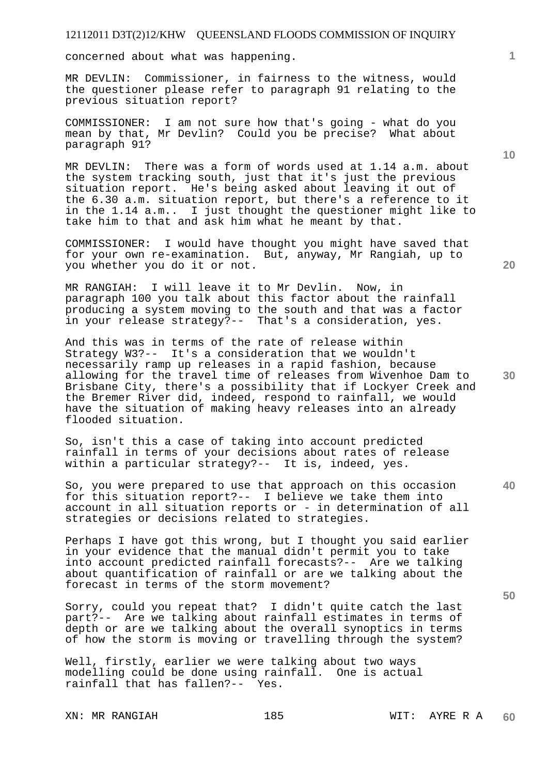concerned about what was happening.

MR DEVLIN: Commissioner, in fairness to the witness, would the questioner please refer to paragraph 91 relating to the previous situation report?

COMMISSIONER: I am not sure how that's going - what do you mean by that, Mr Devlin? Could you be precise? What about paragraph 91?

MR DEVLIN: There was a form of words used at 1.14 a.m. about the system tracking south, just that it's just the previous situation report. He's being asked about leaving it out of the 6.30 a.m. situation report, but there's a reference to it in the 1.14 a.m.. I just thought the questioner might like to take him to that and ask him what he meant by that.

COMMISSIONER: I would have thought you might have saved that for your own re-examination. But, anyway, Mr Rangiah, up to you whether you do it or not.

MR RANGIAH: I will leave it to Mr Devlin. Now, in paragraph 100 you talk about this factor about the rainfall producing a system moving to the south and that was a factor in your release strategy?-- That's a consideration, yes.

And this was in terms of the rate of release within Strategy W3?-- It's a consideration that we wouldn't necessarily ramp up releases in a rapid fashion, because allowing for the travel time of releases from Wivenhoe Dam to Brisbane City, there's a possibility that if Lockyer Creek and the Bremer River did, indeed, respond to rainfall, we would have the situation of making heavy releases into an already flooded situation.

So, isn't this a case of taking into account predicted rainfall in terms of your decisions about rates of release within a particular strategy?-- It is, indeed, yes.

So, you were prepared to use that approach on this occasion for this situation report?-- I believe we take them into account in all situation reports or - in determination of all strategies or decisions related to strategies.

Perhaps I have got this wrong, but I thought you said earlier in your evidence that the manual didn't permit you to take into account predicted rainfall forecasts?-- Are we talking about quantification of rainfall or are we talking about the forecast in terms of the storm movement?

Sorry, could you repeat that? I didn't quite catch the last part?-- Are we talking about rainfall estimates in terms of depth or are we talking about the overall synoptics in terms of how the storm is moving or travelling through the system?

Well, firstly, earlier we were talking about two ways modelling could be done using rainfall. One is actual rainfall that has fallen?-- Yes.

XN: MR RANGIAH 185 185 WIT: AYRE R A

**10** 

**1**

**20** 

**30** 

**40**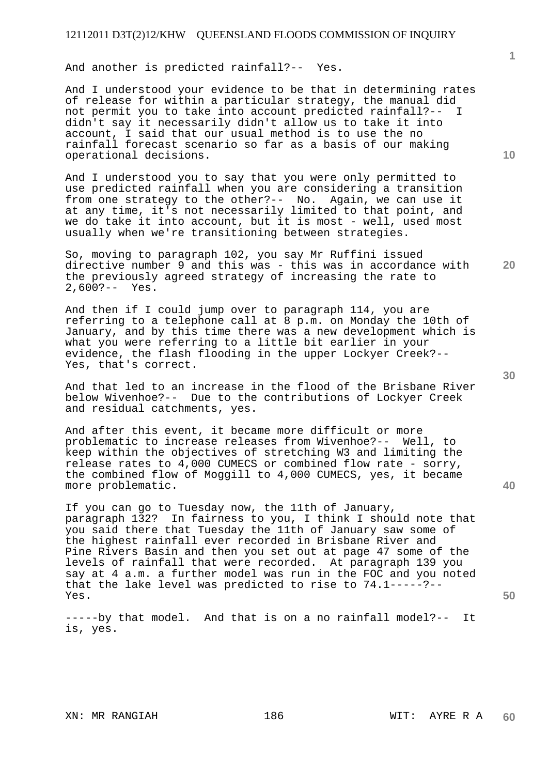And another is predicted rainfall?-- Yes.

And I understood your evidence to be that in determining rates of release for within a particular strategy, the manual did not permit you to take into account predicted rainfall?-- I didn't say it necessarily didn't allow us to take it into account, I said that our usual method is to use the no rainfall forecast scenario so far as a basis of our making operational decisions.

And I understood you to say that you were only permitted to use predicted rainfall when you are considering a transition from one strategy to the other?-- No. Again, we can use it at any time, it's not necessarily limited to that point, and we do take it into account, but it is most - well, used most usually when we're transitioning between strategies.

So, moving to paragraph 102, you say Mr Ruffini issued directive number 9 and this was - this was in accordance with the previously agreed strategy of increasing the rate to 2,600?-- Yes.

And then if I could jump over to paragraph 114, you are referring to a telephone call at 8 p.m. on Monday the 10th of January, and by this time there was a new development which is what you were referring to a little bit earlier in your evidence, the flash flooding in the upper Lockyer Creek?-- Yes, that's correct.

And that led to an increase in the flood of the Brisbane River below Wivenhoe?-- Due to the contributions of Lockyer Creek and residual catchments, yes.

And after this event, it became more difficult or more problematic to increase releases from Wivenhoe?-- Well, to keep within the objectives of stretching W3 and limiting the release rates to 4,000 CUMECS or combined flow rate - sorry, the combined flow of Moggill to 4,000 CUMECS, yes, it became more problematic.

If you can go to Tuesday now, the 11th of January, paragraph 132? In fairness to you, I think I should note that you said there that Tuesday the 11th of January saw some of the highest rainfall ever recorded in Brisbane River and Pine Rivers Basin and then you set out at page 47 some of the levels of rainfall that were recorded. At paragraph 139 you say at 4 a.m. a further model was run in the FOC and you noted that the lake level was predicted to rise to 74.1-----?-- Yes.

-----by that model. And that is on a no rainfall model?-- It is, yes.

**10** 

**1**

**20** 

**40**